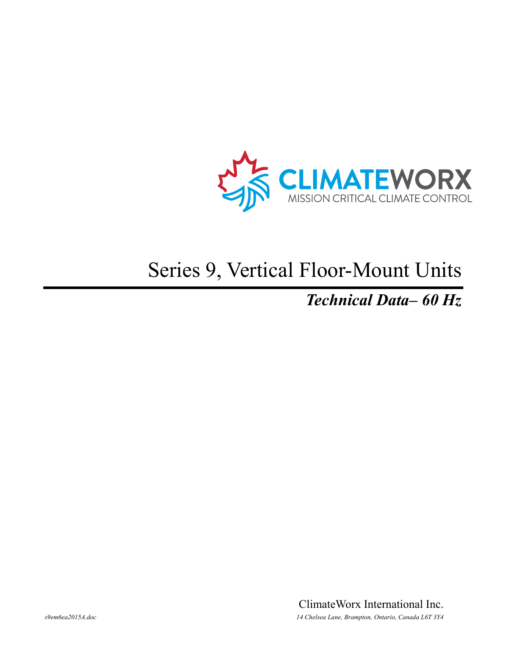

# Series 9, Vertical Floor-Mount Units

### *Technical Data– 60 Hz*

ClimateWorx International Inc. *s9em6ea2015A.doc 14 Chelsea Lane, Brampton, Ontario, Canada L6T 3Y4*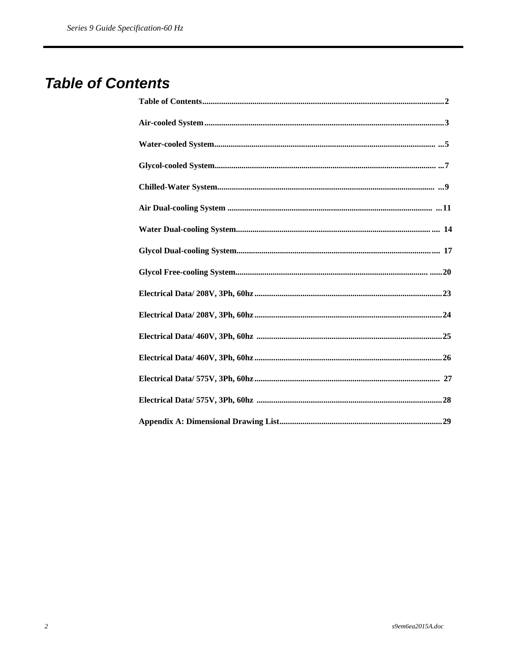### **Table of Contents**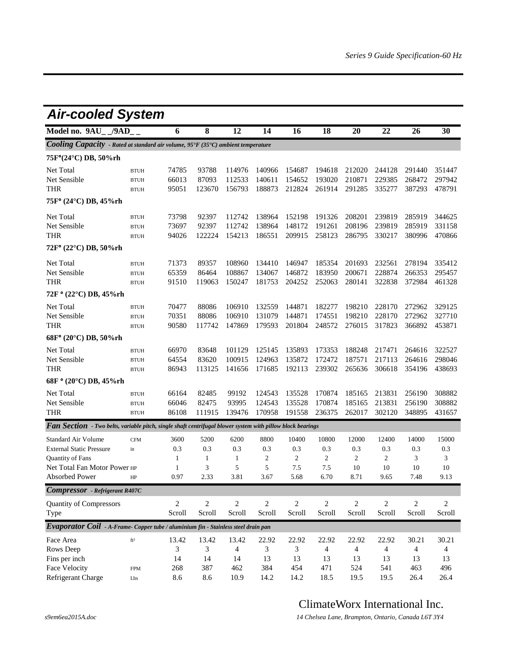| Model no. 9AU /9AD<br>8<br>12<br>14<br>16<br>18<br>20<br>22<br>6<br>Cooling Capacity - Rated at standard air volume, 95°F (35°C) ambient temperature<br>75F°(24°C) DB, 50%rh<br>Net Total<br>74785<br>93788<br>114976<br>140966<br>154687<br>212020<br>194618<br>244128<br><b>BTUH</b><br>Net Sensible<br>66013<br>87093<br>112533<br>140611<br>154652<br>193020<br>210871<br>229385<br><b>BTUH</b><br><b>THR</b><br>95051<br>123670<br>156793<br>188873<br>212824<br>261914<br>291285<br>335277<br><b>BTUH</b><br>75F° (24°C) DB, 45%rh<br>Net Total<br>73798<br>92397<br>112742<br>138964<br>152198<br>191326<br>208201<br>239819<br><b>BTUH</b><br>Net Sensible<br>73697<br>92397<br>112742<br>138964<br>148172<br>191261<br>208196<br>239819<br><b>BTUH</b><br><b>THR</b><br>94026<br>122224<br>154213<br>186551<br>209915<br>258123<br>286795<br>330217<br><b>BTUH</b><br>$72F^{\circ}$ (22 $^{\circ}$ C) DB, 50%rh<br>Net Total<br>108960<br>71373<br>89357<br>134410<br>146947<br>185354<br>201693<br>232561<br><b>BTUH</b><br>Net Sensible<br>65359<br>86464<br>108867<br>134067<br>146872<br>183950<br>200671<br>228874<br><b>BTUH</b><br><b>THR</b><br>91510<br>119063<br>150247<br>181753<br>252063<br>280141<br>322838<br>204252<br><b>BTUH</b><br>72F ° (22°C) DB, 45%rh | <b>Air-cooled System</b>                     |                                 |  |  |  |  |  |  |  |  |  |  |  |
|---------------------------------------------------------------------------------------------------------------------------------------------------------------------------------------------------------------------------------------------------------------------------------------------------------------------------------------------------------------------------------------------------------------------------------------------------------------------------------------------------------------------------------------------------------------------------------------------------------------------------------------------------------------------------------------------------------------------------------------------------------------------------------------------------------------------------------------------------------------------------------------------------------------------------------------------------------------------------------------------------------------------------------------------------------------------------------------------------------------------------------------------------------------------------------------------------------------------------------------------------------------------------------------|----------------------------------------------|---------------------------------|--|--|--|--|--|--|--|--|--|--|--|
|                                                                                                                                                                                                                                                                                                                                                                                                                                                                                                                                                                                                                                                                                                                                                                                                                                                                                                                                                                                                                                                                                                                                                                                                                                                                                       | 26                                           | 30                              |  |  |  |  |  |  |  |  |  |  |  |
|                                                                                                                                                                                                                                                                                                                                                                                                                                                                                                                                                                                                                                                                                                                                                                                                                                                                                                                                                                                                                                                                                                                                                                                                                                                                                       |                                              |                                 |  |  |  |  |  |  |  |  |  |  |  |
|                                                                                                                                                                                                                                                                                                                                                                                                                                                                                                                                                                                                                                                                                                                                                                                                                                                                                                                                                                                                                                                                                                                                                                                                                                                                                       |                                              |                                 |  |  |  |  |  |  |  |  |  |  |  |
|                                                                                                                                                                                                                                                                                                                                                                                                                                                                                                                                                                                                                                                                                                                                                                                                                                                                                                                                                                                                                                                                                                                                                                                                                                                                                       | 291440<br>268472<br>387293                   | 351447<br>297942<br>478791      |  |  |  |  |  |  |  |  |  |  |  |
|                                                                                                                                                                                                                                                                                                                                                                                                                                                                                                                                                                                                                                                                                                                                                                                                                                                                                                                                                                                                                                                                                                                                                                                                                                                                                       |                                              |                                 |  |  |  |  |  |  |  |  |  |  |  |
|                                                                                                                                                                                                                                                                                                                                                                                                                                                                                                                                                                                                                                                                                                                                                                                                                                                                                                                                                                                                                                                                                                                                                                                                                                                                                       |                                              |                                 |  |  |  |  |  |  |  |  |  |  |  |
|                                                                                                                                                                                                                                                                                                                                                                                                                                                                                                                                                                                                                                                                                                                                                                                                                                                                                                                                                                                                                                                                                                                                                                                                                                                                                       | 285919<br>285919<br>380996                   | 344625<br>331158<br>470866      |  |  |  |  |  |  |  |  |  |  |  |
|                                                                                                                                                                                                                                                                                                                                                                                                                                                                                                                                                                                                                                                                                                                                                                                                                                                                                                                                                                                                                                                                                                                                                                                                                                                                                       |                                              |                                 |  |  |  |  |  |  |  |  |  |  |  |
|                                                                                                                                                                                                                                                                                                                                                                                                                                                                                                                                                                                                                                                                                                                                                                                                                                                                                                                                                                                                                                                                                                                                                                                                                                                                                       | 278194<br>266353<br>372984                   | 335412<br>295457<br>461328      |  |  |  |  |  |  |  |  |  |  |  |
|                                                                                                                                                                                                                                                                                                                                                                                                                                                                                                                                                                                                                                                                                                                                                                                                                                                                                                                                                                                                                                                                                                                                                                                                                                                                                       |                                              |                                 |  |  |  |  |  |  |  |  |  |  |  |
| Net Total<br>70477<br>88086<br>106910<br>132559<br>144871<br>182277<br>198210<br>228170<br><b>BTUH</b><br>Net Sensible<br>70351<br>88086<br>106910<br>131079<br>144871<br>174551<br>198210<br>228170<br><b>BTUH</b><br>90580<br>117742<br>147869<br>179593<br>201804<br>248572<br>276015<br>317823<br>THR<br><b>BTUH</b>                                                                                                                                                                                                                                                                                                                                                                                                                                                                                                                                                                                                                                                                                                                                                                                                                                                                                                                                                              | 272962<br>272962<br>366892                   | 329125<br>327710<br>453871      |  |  |  |  |  |  |  |  |  |  |  |
| 68F° (20°C) DB, 50%rh                                                                                                                                                                                                                                                                                                                                                                                                                                                                                                                                                                                                                                                                                                                                                                                                                                                                                                                                                                                                                                                                                                                                                                                                                                                                 |                                              |                                 |  |  |  |  |  |  |  |  |  |  |  |
| Net Total<br>66970<br>83648<br>101129<br>125145<br>135893<br>173353<br>188248<br>217471<br><b>BTUH</b><br>Net Sensible<br>64554<br>83620<br>100915<br>124963<br>135872<br>172472<br>187571<br>217113<br><b>BTUH</b><br><b>THR</b><br>86943<br>141656<br>171685<br>192113<br>239302<br>265636<br>306618<br>113125<br><b>BTUH</b>                                                                                                                                                                                                                                                                                                                                                                                                                                                                                                                                                                                                                                                                                                                                                                                                                                                                                                                                                       | 264616<br>264616<br>354196                   | 322527<br>298046<br>438693      |  |  |  |  |  |  |  |  |  |  |  |
| 68F ° (20°C) DB, 45%rh                                                                                                                                                                                                                                                                                                                                                                                                                                                                                                                                                                                                                                                                                                                                                                                                                                                                                                                                                                                                                                                                                                                                                                                                                                                                |                                              |                                 |  |  |  |  |  |  |  |  |  |  |  |
| Net Total<br>170874<br>213831<br>66164<br>82485<br>99192<br>124543<br>135528<br>185165<br><b>BTUH</b><br>Net Sensible<br>66046<br>82475<br>93995<br>124543<br>135528<br>170874<br>185165<br>213831<br><b>BTUH</b><br><b>THR</b><br>86108<br>111915<br>139476<br>170958<br>191558<br>236375<br>262017<br>302120<br><b>BTUH</b>                                                                                                                                                                                                                                                                                                                                                                                                                                                                                                                                                                                                                                                                                                                                                                                                                                                                                                                                                         | 256190<br>256190<br>348895                   | 308882<br>308882<br>431657      |  |  |  |  |  |  |  |  |  |  |  |
| <b>Fan Section</b> - Two belts, variable pitch, single shaft centrifugal blower system with pillow block bearings                                                                                                                                                                                                                                                                                                                                                                                                                                                                                                                                                                                                                                                                                                                                                                                                                                                                                                                                                                                                                                                                                                                                                                     |                                              |                                 |  |  |  |  |  |  |  |  |  |  |  |
| Standard Air Volume<br>3600<br>5200<br>6200<br>8800<br>10400<br>10800<br>12000<br>12400<br><b>CFM</b><br>0.3<br>0.3<br>0.3<br><b>External Static Pressure</b><br>0.3<br>0.3<br>0.3<br>0.3<br>0.3<br>in<br>2<br>2<br>$\overline{c}$<br>2<br>2<br>Quantity of Fans<br>1<br>1<br>1<br>3<br>5<br>5<br>7.5<br>Net Total Fan Motor Power HP<br>7.5<br>10<br>1<br>10<br>0.97<br>2.33<br>Absorbed Power<br>3.81<br>3.67<br>5.68<br>6.70<br>8.71<br>9.65                                                                                                                                                                                                                                                                                                                                                                                                                                                                                                                                                                                                                                                                                                                                                                                                                                       | 14000<br>0.3<br>3<br>10<br>7.48              | 15000<br>0.3<br>3<br>10<br>9.13 |  |  |  |  |  |  |  |  |  |  |  |
| <b>Compressor</b> - Refrigerant R407C                                                                                                                                                                                                                                                                                                                                                                                                                                                                                                                                                                                                                                                                                                                                                                                                                                                                                                                                                                                                                                                                                                                                                                                                                                                 |                                              |                                 |  |  |  |  |  |  |  |  |  |  |  |
| $\overline{2}$<br>$\overline{2}$<br>$\mathbf{2}$<br>$\overline{c}$<br>$\overline{c}$<br>$\overline{c}$<br>$\mathbf{2}$<br>$\overline{2}$<br><b>Quantity of Compressors</b><br>Scroll<br>Scroll<br>Scroll<br>Scroll<br>Scroll<br>Scroll<br>Scroll<br>Scroll<br>Type                                                                                                                                                                                                                                                                                                                                                                                                                                                                                                                                                                                                                                                                                                                                                                                                                                                                                                                                                                                                                    | $\overline{2}$<br>Scroll                     | $\overline{c}$<br>Scroll        |  |  |  |  |  |  |  |  |  |  |  |
| Evaporator Coil - A-Frame- Copper tube / aluminium fin - Stainless steel drain pan                                                                                                                                                                                                                                                                                                                                                                                                                                                                                                                                                                                                                                                                                                                                                                                                                                                                                                                                                                                                                                                                                                                                                                                                    |                                              |                                 |  |  |  |  |  |  |  |  |  |  |  |
| 13.42<br>22.92<br>22.92<br>Face Area<br>13.42<br>13.42<br>22.92<br>22.92<br>22.92<br>$\mathrm{ft}^2$<br>3<br>Rows Deep<br>3<br>4<br>$\overline{\mathcal{A}}$<br>$\overline{4}$<br>3<br>3<br>$\overline{4}$<br>14<br>13<br>Fins per inch<br>14<br>14<br>13<br>13<br>13<br>13<br>387<br>Face Velocity<br>268<br>384<br>454<br>541<br>462<br>471<br>524<br><b>FPM</b><br>Refrigerant Charge<br>8.6<br>8.6<br>10.9<br>14.2<br>14.2<br>18.5<br>19.5<br>19.5<br>Lbs                                                                                                                                                                                                                                                                                                                                                                                                                                                                                                                                                                                                                                                                                                                                                                                                                         | 30.21<br>$\overline{4}$<br>13<br>463<br>26.4 | 30.21<br>4<br>13<br>496<br>26.4 |  |  |  |  |  |  |  |  |  |  |  |

#### ClimateWorx International Inc.

*s9em6ea2015A.doc 14 Chelsea Lane, Brampton, Ontario, Canada L6T 3Y4*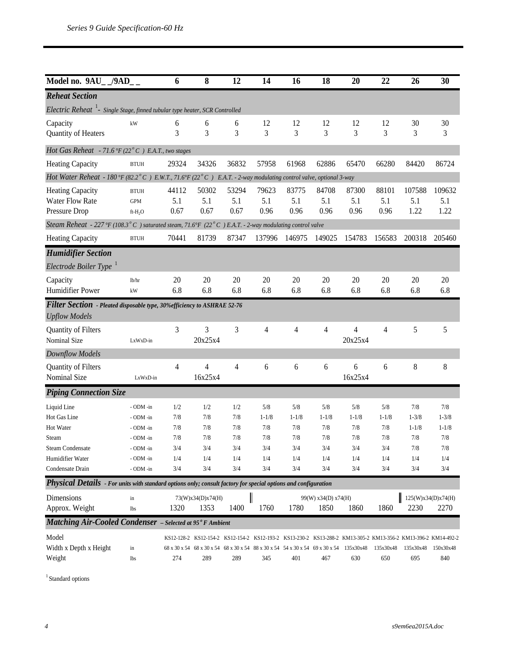| Model no. 9AU__/9AD                                                                                             |                                       | 6                    | 8                                                                                              | 12                   | 14                   | 16                   | 18                          | 20                                                                                                                   | 22                   | 26                    | 30                         |
|-----------------------------------------------------------------------------------------------------------------|---------------------------------------|----------------------|------------------------------------------------------------------------------------------------|----------------------|----------------------|----------------------|-----------------------------|----------------------------------------------------------------------------------------------------------------------|----------------------|-----------------------|----------------------------|
| <b>Reheat Section</b>                                                                                           |                                       |                      |                                                                                                |                      |                      |                      |                             |                                                                                                                      |                      |                       |                            |
| Electric Reheat <sup>1</sup> - Single Stage, finned tubular type heater, SCR Controlled                         |                                       |                      |                                                                                                |                      |                      |                      |                             |                                                                                                                      |                      |                       |                            |
| Capacity<br>Quantity of Heaters                                                                                 | kW                                    | 6<br>3               | 6<br>3                                                                                         | 6<br>3               | 12<br>3              | 12<br>3              | 12<br>3                     | 12<br>3                                                                                                              | 12<br>3              | 30<br>3               | 30<br>3                    |
| Hot Gas Reheat - 71.6 °F (22°C) E.A.T., two stages                                                              |                                       |                      |                                                                                                |                      |                      |                      |                             |                                                                                                                      |                      |                       |                            |
| <b>Heating Capacity</b>                                                                                         | <b>BTUH</b>                           | 29324                | 34326                                                                                          | 36832                | 57958                | 61968                | 62886                       | 65470                                                                                                                | 66280                | 84420                 | 86724                      |
| Hot Water Reheat - 180°F (82.2°C) E.W.T., 71.6°F (22°C) E.A.T. - 2-way modulating control valve, optional 3-way |                                       |                      |                                                                                                |                      |                      |                      |                             |                                                                                                                      |                      |                       |                            |
| <b>Heating Capacity</b><br><b>Water Flow Rate</b><br>Pressure Drop                                              | <b>BTUH</b><br><b>GPM</b><br>$ft-H2O$ | 44112<br>5.1<br>0.67 | 50302<br>5.1<br>0.67                                                                           | 53294<br>5.1<br>0.67 | 79623<br>5.1<br>0.96 | 83775<br>5.1<br>0.96 | 84708<br>5.1<br>0.96        | 87300<br>5.1<br>0.96                                                                                                 | 88101<br>5.1<br>0.96 | 107588<br>5.1<br>1.22 | 109632<br>5.1<br>1.22      |
| Steam Reheat - 227°F (108.3°C) saturated steam, 71.6°F (22°C) E.A.T. - 2-way modulating control valve           |                                       |                      |                                                                                                |                      |                      |                      |                             |                                                                                                                      |                      |                       |                            |
| <b>Heating Capacity</b>                                                                                         | <b>BTUH</b>                           | 70441                | 81739                                                                                          | 87347                | 137996               | 146975               | 149025                      | 154783                                                                                                               | 156583               | 200318                | 205460                     |
| <b>Humidifier Section</b><br>Electrode Boiler Type <sup>1</sup>                                                 |                                       |                      |                                                                                                |                      |                      |                      |                             |                                                                                                                      |                      |                       |                            |
| Capacity<br>Humidifier Power                                                                                    | lb/hr<br>kW                           | 20<br>6.8            | 20<br>6.8                                                                                      | 20<br>6.8            | 20<br>6.8            | 20<br>6.8            | 20<br>6.8                   | 20<br>6.8                                                                                                            | 20<br>6.8            | 20<br>6.8             | 20<br>6.8                  |
| Filter Section - Pleated disposable type, 30% efficiency to ASHRAE 52-76<br><b>Upflow Models</b>                |                                       |                      |                                                                                                |                      |                      |                      |                             |                                                                                                                      |                      |                       |                            |
| Quantity of Filters<br>Nominal Size                                                                             | LxWxD-in                              | 3                    | 3<br>20x25x4                                                                                   | 3                    | 4                    | $\overline{4}$       | 4                           | 4<br>20x25x4                                                                                                         | 4                    | 5                     | 5                          |
| Downflow Models                                                                                                 |                                       |                      |                                                                                                |                      |                      |                      |                             |                                                                                                                      |                      |                       |                            |
| Quantity of Filters<br>Nominal Size                                                                             | LxWxD-in                              | 4                    | $\overline{4}$<br>16x25x4                                                                      | 4                    | 6                    | 6                    | 6                           | 6<br>16x25x4                                                                                                         | 6                    | 8                     | $\,8\,$                    |
| <b>Piping Connection Size</b>                                                                                   |                                       |                      |                                                                                                |                      |                      |                      |                             |                                                                                                                      |                      |                       |                            |
| Liquid Line<br>Hot Gas Line                                                                                     | - ODM -in<br>- ODM -in                | 1/2<br>7/8           | 1/2<br>7/8                                                                                     | 1/2<br>7/8           | 5/8<br>$1 - 1/8$     | 5/8<br>$1 - 1/8$     | 5/8<br>$1 - 1/8$            | 5/8<br>$1 - 1/8$                                                                                                     | 5/8<br>$1 - 1/8$     | 7/8<br>$1 - 3/8$      | 7/8<br>$1 - 3/8$           |
| Hot Water<br>Steam                                                                                              | - ODM -in<br>- ODM -in                | 7/8<br>7/8           | 7/8<br>7/8                                                                                     | 7/8<br>7/8           | 7/8<br>7/8           | 7/8<br>7/8           | 7/8<br>7/8                  | 7/8<br>7/8                                                                                                           | 7/8<br>7/8           | $1 - 1/8$<br>7/8      | $1 - 1/8$<br>7/8           |
| <b>Steam Condensate</b><br>Humidifier Water                                                                     | - ODM -in<br>- ODM -in                | 3/4<br>1/4           | 3/4<br>1/4                                                                                     | 3/4<br>1/4           | 3/4<br>1/4           | 3/4<br>1/4           | 3/4<br>1/4                  | 3/4<br>1/4                                                                                                           | 3/4<br>1/4           | 7/8<br>1/4            | 7/8<br>1/4                 |
| Condensate Drain                                                                                                | - ODM -in                             | 3/4                  | 3/4                                                                                            | 3/4                  | 3/4                  | 3/4                  | 3/4                         | 3/4                                                                                                                  | 3/4                  | 3/4                   | 3/4                        |
| Physical Details - For units with standard options only; consult factory for special options and configuration  |                                       |                      |                                                                                                |                      |                      |                      |                             |                                                                                                                      |                      |                       |                            |
| Dimensions<br>Approx. Weight                                                                                    | in<br>lbs                             | 1320                 | 73(W)x34(D)x74(H)<br>1353                                                                      | 1400                 | 1760                 | 1780                 | 99(W) x34(D) x74(H)<br>1850 | 1860                                                                                                                 | 1860                 | 2230                  | 125(W)x34(D)x74(H)<br>2270 |
| <b>Matching Air-Cooled Condenser</b> - Selected at 95° F Ambient                                                |                                       |                      |                                                                                                |                      |                      |                      |                             |                                                                                                                      |                      |                       |                            |
| Model<br>Width x Depth x Height<br>Weight                                                                       | in<br>lbs                             | 274                  | 68 x 30 x 54 68 x 30 x 54 68 x 30 x 54 88 x 30 x 54 54 x 30 x 54 69 x 30 x 54 135x30x48<br>289 | 289                  | 345                  | 401                  | 467                         | KS12-128-2 KS12-154-2 KS12-154-2 KS12-193-2 KS13-230-2 KS13-288-2 KM13-305-2 KM13-356-2 KM13-396-2 KM14-492-2<br>630 | 135x30x48<br>650     | 135x30x48<br>695      | 150x30x48<br>840           |

 $^{\rm 1}$  Standard options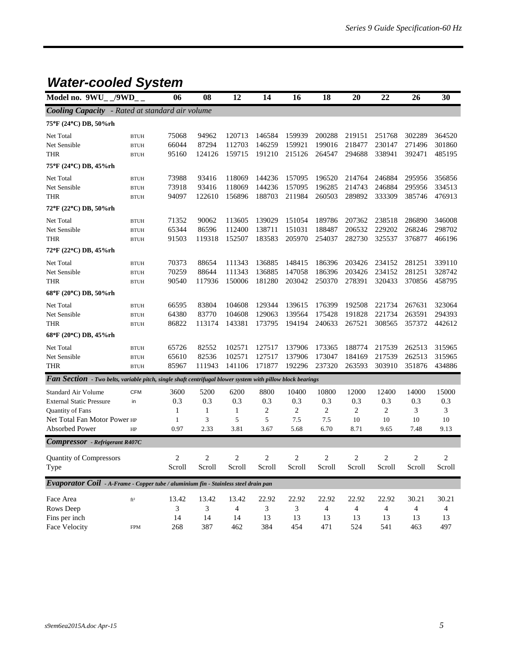### *Water-cooled System*

| Model no. 9WU                                                                                                     | /9WD        | 06             | 08                      | 12                      | 14                      | 16     | 18             | 20                      | 22                      | 26             | 30                      |
|-------------------------------------------------------------------------------------------------------------------|-------------|----------------|-------------------------|-------------------------|-------------------------|--------|----------------|-------------------------|-------------------------|----------------|-------------------------|
| <b>Cooling Capacity</b> - Rated at standard air volume                                                            |             |                |                         |                         |                         |        |                |                         |                         |                |                         |
| 75°F (24°C) DB, 50%rh                                                                                             |             |                |                         |                         |                         |        |                |                         |                         |                |                         |
| Net Total                                                                                                         | <b>BTUH</b> | 75068          | 94962                   | 120713                  | 146584                  | 159939 | 200288         | 219151                  | 251768                  | 302289         | 364520                  |
| Net Sensible                                                                                                      | <b>BTUH</b> | 66044          | 87294                   | 112703                  | 146259                  | 159921 | 199016         | 218477                  | 230147                  | 271496         | 301860                  |
| <b>THR</b>                                                                                                        | <b>BTUH</b> | 95160          | 124126                  | 159715                  | 191210                  | 215126 | 264547         | 294688                  | 338941                  | 392471         | 485195                  |
| 75°F (24°C) DB, 45%rh                                                                                             |             |                |                         |                         |                         |        |                |                         |                         |                |                         |
| Net Total                                                                                                         | <b>BTUH</b> | 73988          | 93416                   | 118069                  | 144236                  | 157095 | 196520         | 214764                  | 246884                  | 295956         | 356856                  |
| Net Sensible                                                                                                      | <b>BTUH</b> | 73918          | 93416                   | 118069                  | 144236                  | 157095 | 196285         | 214743                  | 246884                  | 295956         | 334513                  |
| <b>THR</b>                                                                                                        | <b>BTUH</b> | 94097          | 122610                  | 156896                  | 188703                  | 211984 | 260503         | 289892                  | 333309                  | 385746         | 476913                  |
| 72°F (22°C) DB, 50%rh                                                                                             |             |                |                         |                         |                         |        |                |                         |                         |                |                         |
| Net Total                                                                                                         | <b>BTUH</b> | 71352          | 90062                   | 113605                  | 139029                  | 151054 | 189786         | 207362                  | 238518                  | 286890         | 346008                  |
| Net Sensible                                                                                                      | <b>BTUH</b> | 65344          | 86596                   | 112400                  | 138711                  | 151031 | 188487         | 206532                  | 229202                  | 268246         | 298702                  |
| <b>THR</b>                                                                                                        | <b>BTUH</b> | 91503          | 119318                  | 152507                  | 183583                  | 205970 | 254037         | 282730                  | 325537                  | 376877         | 466196                  |
| 72°F (22°C) DB, 45%rh                                                                                             |             |                |                         |                         |                         |        |                |                         |                         |                |                         |
| Net Total                                                                                                         | <b>BTUH</b> | 70373          | 88654                   | 111343                  | 136885                  | 148415 | 186396         | 203426                  | 234152                  | 281251         | 339110                  |
| Net Sensible                                                                                                      | <b>BTUH</b> | 70259          | 88644                   | 111343                  | 136885                  | 147058 | 186396         | 203426                  | 234152                  | 281251         | 328742                  |
| <b>THR</b>                                                                                                        | <b>BTUH</b> | 90540          | 117936                  | 150006                  | 181280                  | 203042 | 250370         | 278391                  | 320433                  | 370856         | 458795                  |
| 68°F (20°C) DB, 50%rh                                                                                             |             |                |                         |                         |                         |        |                |                         |                         |                |                         |
| Net Total                                                                                                         | <b>BTUH</b> | 66595          | 83804                   | 104608                  | 129344                  | 139615 | 176399         | 192508                  | 221734                  | 267631         | 323064                  |
| Net Sensible                                                                                                      | <b>BTUH</b> | 64380          | 83770                   | 104608                  | 129063                  | 139564 | 175428         | 191828                  | 221734                  | 263591         | 294393                  |
| THR                                                                                                               | <b>BTUH</b> | 86822          | 113174                  | 143381                  | 173795                  | 194194 | 240633         | 267521                  | 308565                  | 357372         | 442612                  |
| 68°F (20°C) DB, 45%rh                                                                                             |             |                |                         |                         |                         |        |                |                         |                         |                |                         |
| Net Total                                                                                                         | <b>BTUH</b> | 65726          | 82552                   | 102571                  | 127517                  | 137906 | 173365         | 188774                  | 217539                  | 262513         | 315965                  |
| Net Sensible                                                                                                      | <b>BTUH</b> | 65610          | 82536                   | 102571                  | 127517                  | 137906 | 173047         | 184169                  | 217539                  | 262513         | 315965                  |
| <b>THR</b>                                                                                                        | <b>BTUH</b> | 85967          | 111943                  | 141106                  | 171877                  | 192296 | 237320         | 263593                  | 303910                  | 351876         | 434886                  |
| <b>Fan Section</b> - Two belts, variable pitch, single shaft centrifugal blower system with pillow block bearings |             |                |                         |                         |                         |        |                |                         |                         |                |                         |
| Standard Air Volume                                                                                               | <b>CFM</b>  | 3600           | 5200                    | 6200                    | 8800                    | 10400  | 10800          | 12000                   | 12400                   | 14000          | 15000                   |
| <b>External Static Pressure</b>                                                                                   | in          | 0.3            | 0.3                     | 0.3                     | 0.3                     | 0.3    | 0.3            | 0.3                     | 0.3                     | 0.3            | 0.3                     |
| Quantity of Fans                                                                                                  |             | 1              | 1                       | 1                       | 2                       | 2      | 2              | 2                       | $\overline{c}$          | 3              | 3                       |
| Net Total Fan Motor Power HP                                                                                      |             | 1              | 3                       | 5                       | 5                       | 7.5    | 7.5            | 10                      | 10                      | 10             | 10                      |
| <b>Absorbed Power</b>                                                                                             | HP          | 0.97           | 2.33                    | 3.81                    | 3.67                    | 5.68   | 6.70           | 8.71                    | 9.65                    | 7.48           | 9.13                    |
| <b>Compressor</b> - Refrigerant R407C                                                                             |             |                |                         |                         |                         |        |                |                         |                         |                |                         |
| <b>Quantity of Compressors</b>                                                                                    |             | $\overline{c}$ | $\overline{\mathbf{c}}$ | $\overline{\mathbf{c}}$ | $\overline{\mathbf{c}}$ | 2      | $\overline{c}$ | $\overline{\mathbf{c}}$ | $\overline{\mathbf{c}}$ | $\overline{c}$ | $\overline{\mathbf{c}}$ |
| Type                                                                                                              |             | Scroll         | Scroll                  | Scroll                  | Scroll                  | Scroll | Scroll         | Scroll                  | Scroll                  | Scroll         | Scroll                  |
| Evaporator Coil - A-Frame - Copper tube / aluminium fin - Stainless steel drain pan                               |             |                |                         |                         |                         |        |                |                         |                         |                |                         |
| Face Area                                                                                                         | $\rm ft^2$  | 13.42          | 13.42                   | 13.42                   | 22.92                   | 22.92  | 22.92          | 22.92                   | 22.92                   | 30.21          | 30.21                   |
| Rows Deep                                                                                                         |             | 3              | 3                       | 4                       | 3                       | 3      | 4              | 4                       | 4                       | 4              | 4                       |
| Fins per inch                                                                                                     |             | 14             | 14                      | 14                      | 13                      | 13     | 13             | 13                      | 13                      | 13             | 13                      |
| Face Velocity                                                                                                     | <b>FPM</b>  | 268            | 387                     | 462                     | 384                     | 454    | 471            | 524                     | 541                     | 463            | 497                     |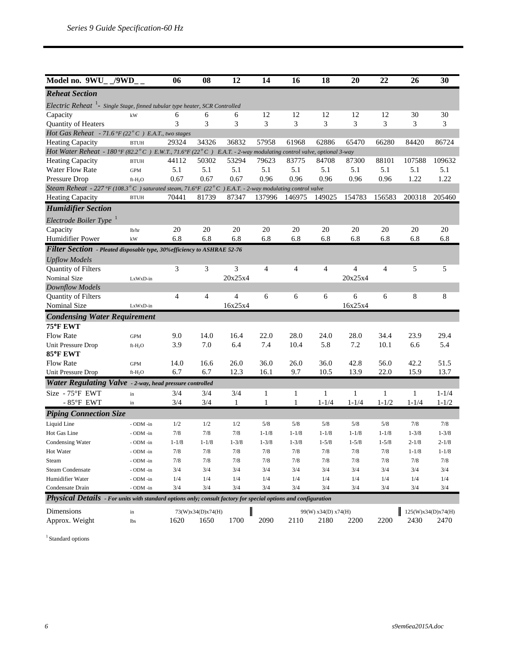| Model no. 9WU /9WD                                                                                                    |                     | 06             | 08                | 12             | 14             | 16           | 18                  | 20        | 22        | 26        | 30                 |
|-----------------------------------------------------------------------------------------------------------------------|---------------------|----------------|-------------------|----------------|----------------|--------------|---------------------|-----------|-----------|-----------|--------------------|
| <b>Reheat Section</b>                                                                                                 |                     |                |                   |                |                |              |                     |           |           |           |                    |
| Electric Reheat <sup>1</sup> - Single Stage, finned tubular type heater, SCR Controlled                               |                     |                |                   |                |                |              |                     |           |           |           |                    |
| Capacity                                                                                                              | kW                  | 6              | 6                 | 6              | 12             | 12           | 12                  | 12        | 12        | 30        | 30                 |
| Quantity of Heaters                                                                                                   |                     | 3              | 3                 | 3              | 3              | 3            | 3                   | 3         | 3         | 3         | 3                  |
| Hot Gas Reheat - 71.6°F (22°C) E.A.T., two stages                                                                     |                     |                |                   |                |                |              |                     |           |           |           |                    |
| <b>Heating Capacity</b>                                                                                               | <b>BTUH</b>         | 29324          | 34326             | 36832          | 57958          | 61968        | 62886               | 65470     | 66280     | 84420     | 86724              |
| Hot Water Reheat - 180 °F (82.2 ° C) E.W.T., 71.6 °F (22 ° C) E.A.T. - 2-way modulating control valve, optional 3-way |                     |                |                   |                |                |              |                     |           |           |           |                    |
| <b>Heating Capacity</b>                                                                                               | <b>BTUH</b>         | 44112          | 50302             | 53294          | 79623          | 83775        | 84708               | 87300     | 88101     | 107588    | 109632             |
| <b>Water Flow Rate</b>                                                                                                | <b>GPM</b>          | 5.1            | 5.1               | 5.1            | 5.1            | 5.1          | 5.1                 | 5.1       | 5.1       | 5.1       | 5.1                |
| Pressure Drop                                                                                                         | $ft-H2O$            | 0.67           | 0.67              | 0.67           | 0.96           | 0.96         | 0.96                | 0.96      | 0.96      | 1.22      | 1.22               |
| Steam Reheat - 227 °F (108.3 ° C) saturated steam, 71.6°F (22 ° C) E.A.T. - 2-way modulating control valve            |                     |                |                   |                |                |              |                     |           |           |           |                    |
| <b>Heating Capacity</b>                                                                                               | <b>BTUH</b>         | 70441          | 81739             | 87347          | 137996         | 146975       | 149025              | 154783    | 156583    | 200318    | 205460             |
| <b>Humidifier Section</b>                                                                                             |                     |                |                   |                |                |              |                     |           |           |           |                    |
| Electrode Boiler Type <sup>1</sup>                                                                                    |                     |                |                   |                |                |              |                     |           |           |           |                    |
| Capacity                                                                                                              | lb/hr               | 20             | 20                | 20             | 20             | 20           | 20                  | 20        | 20        | 20        | 20                 |
| Humidifier Power                                                                                                      | kW                  | 6.8            | 6.8               | 6.8            | 6.8            | 6.8          | 6.8                 | 6.8       | 6.8       | 6.8       | 6.8                |
| Filter Section - Pleated disposable type, 30% efficiency to ASHRAE 52-76                                              |                     |                |                   |                |                |              |                     |           |           |           |                    |
| <b>Upflow Models</b>                                                                                                  |                     |                |                   |                |                |              |                     |           |           |           |                    |
| <b>Quantity of Filters</b>                                                                                            |                     | 3              | 3                 | 3              | $\overline{4}$ | 4            | 4                   | 4         | 4         | 5         | 5                  |
| Nominal Size                                                                                                          | LxWxD-in            |                |                   | 20x25x4        |                |              |                     | 20x25x4   |           |           |                    |
| Downflow Models                                                                                                       |                     |                |                   |                |                |              |                     |           |           |           |                    |
| <b>Quantity of Filters</b>                                                                                            |                     | $\overline{4}$ | $\overline{4}$    | $\overline{4}$ | 6              | 6            | 6                   | 6         | 6         | 8         | 8                  |
| Nominal Size                                                                                                          | LxWxD-in            |                |                   | 16x25x4        |                |              |                     | 16x25x4   |           |           |                    |
| <b>Condensing Water Requirement</b>                                                                                   |                     |                |                   |                |                |              |                     |           |           |           |                    |
| 75°F EWT                                                                                                              |                     |                |                   |                |                |              |                     |           |           |           |                    |
| <b>Flow Rate</b>                                                                                                      | <b>GPM</b>          | 9.0            | 14.0              | 16.4           | 22.0           | 28.0         | 24.0                | 28.0      | 34.4      | 23.9      | 29.4               |
| Unit Pressure Drop<br>85°F EWT                                                                                        | $ft-H2O$            | 3.9            | 7.0               | 6.4            | 7.4            | 10.4         | 5.8                 | 7.2       | 10.1      | 6.6       | 5.4                |
| Flow Rate                                                                                                             | <b>GPM</b>          | 14.0           | 16.6              | 26.0           | 36.0           | 26.0         | 36.0                | 42.8      | 56.0      | 42.2      | 51.5               |
| Unit Pressure Drop                                                                                                    | ft-H <sub>2</sub> O | 6.7            | 6.7               | 12.3           | 16.1           | 9.7          | 10.5                | 13.9      | 22.0      | 15.9      | 13.7               |
| Water Regulating Valve - 2-way, head pressure controlled                                                              |                     |                |                   |                |                |              |                     |           |           |           |                    |
| Size - 75°F EWT                                                                                                       | in                  | 3/4            | 3/4               | 3/4            | 1              | 1            | 1                   | 1         | 1         | 1         | $1 - 1/4$          |
| $-85$ °F EWT                                                                                                          | in                  | 3/4            | 3/4               | $\mathbf{1}$   | $\mathbf{1}$   | $\mathbf{1}$ | $1 - 1/4$           | $1 - 1/4$ | $1 - 1/2$ | $1 - 1/4$ | $1 - 1/2$          |
| <b>Piping Connection Size</b>                                                                                         |                     |                |                   |                |                |              |                     |           |           |           |                    |
| Liquid Line                                                                                                           | - ODM -in           | 1/2            | 1/2               | 1/2            | 5/8            | 5/8          | 5/8                 | 5/8       | 5/8       | 7/8       | 7/8                |
| Hot Gas Line                                                                                                          | - ODM -in           | 7/8            | 7/8               | 7/8            | $1 - 1/8$      | $1 - 1/8$    | $1 - 1/8$           | $1 - 1/8$ | $1 - 1/8$ | $1 - 3/8$ | $1 - 3/8$          |
| Condensing Water                                                                                                      | - ODM -in           | $1 - 1/8$      | $1 - 1/8$         | $1 - 3/8$      | $1 - 3/8$      | $1 - 3/8$    | $1 - 5/8$           | $1 - 5/8$ | $1 - 5/8$ | $2 - 1/8$ | $2 - 1/8$          |
| Hot Water                                                                                                             | - ODM -in           | 7/8            | $7/8$             | 7/8            | 7/8            | 7/8          | 7/8                 | $7/8$     | $7/8$     | $1 - 1/8$ | $1 - 1/8$          |
| Steam                                                                                                                 | - ODM -in           | 7/8            | 7/8               | 7/8            | 7/8            | 7/8          | 7/8                 | 7/8       | $7/8$     | 7/8       | 7/8                |
| <b>Steam Condensate</b>                                                                                               | - ODM -in           | 3/4            | 3/4               | 3/4            | 3/4            | 3/4          | 3/4                 | 3/4       | 3/4       | 3/4       | 3/4                |
| Humidifier Water                                                                                                      | - ODM -in           | 1/4            | 1/4               | 1/4            | 1/4            | 1/4          | 1/4                 | 1/4       | 1/4       | 1/4       | 1/4                |
| Condensate Drain                                                                                                      | - ODM -in           | 3/4            | 3/4               | 3/4            | 3/4            | 3/4          | 3/4                 | 3/4       | 3/4       | 3/4       | 3/4                |
| Physical Details - For units with standard options only; consult factory for special options and configuration        |                     |                |                   |                |                |              |                     |           |           |           |                    |
| Dimensions                                                                                                            | in                  |                | 73(W)x34(D)x74(H) |                |                |              | 99(W) x34(D) x74(H) |           |           |           | 125(W)x34(D)x74(H) |
| Approx. Weight                                                                                                        | lbs                 | 1620           | 1650              | 1700           | 2090           | 2110         | 2180                | 2200      | 2200      | 2430      | 2470               |

 $^{\rm 1}$  Standard options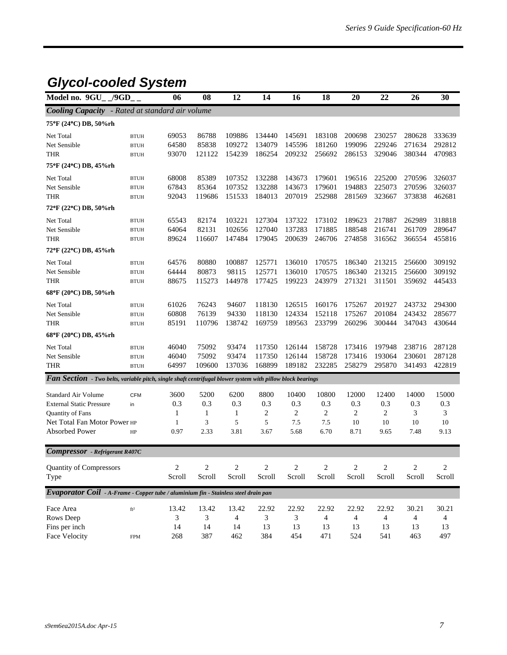### *Glycol-cooled System*

| Model no. 9GU                                                                                              | /9GD        | 06             | 08             | 12             | 14     | 16             | 18     | 20         | 22             | 26             | 30         |
|------------------------------------------------------------------------------------------------------------|-------------|----------------|----------------|----------------|--------|----------------|--------|------------|----------------|----------------|------------|
| <b>Cooling Capacity</b> - Rated at standard air volume                                                     |             |                |                |                |        |                |        |            |                |                |            |
| 75°F (24°C) DB, 50%rh                                                                                      |             |                |                |                |        |                |        |            |                |                |            |
| Net Total                                                                                                  | <b>BTUH</b> | 69053          | 86788          | 109886         | 134440 | 145691         | 183108 | 200698     | 230257         | 280628         | 333639     |
| Net Sensible                                                                                               | <b>BTUH</b> | 64580          | 85838          | 109272         | 134079 | 145596         | 181260 | 199096     | 229246         | 271634         | 292812     |
| <b>THR</b>                                                                                                 | <b>BTUH</b> | 93070          | 121122         | 154239         | 186254 | 209232         | 256692 | 286153     | 329046         | 380344         | 470983     |
| 75°F (24°C) DB, 45%rh                                                                                      |             |                |                |                |        |                |        |            |                |                |            |
| Net Total                                                                                                  | <b>BTUH</b> | 68008          | 85389          | 107352         | 132288 | 143673         | 179601 | 196516     | 225200         | 270596         | 326037     |
| Net Sensible                                                                                               | <b>BTUH</b> | 67843          | 85364          | 107352         | 132288 | 143673         | 179601 | 194883     | 225073         | 270596         | 326037     |
| <b>THR</b>                                                                                                 | <b>BTUH</b> | 92043          | 119686         | 151533         | 184013 | 207019         | 252988 | 281569     | 323667         | 373838         | 462681     |
| 72°F (22°C) DB, 50%rh                                                                                      |             |                |                |                |        |                |        |            |                |                |            |
| Net Total                                                                                                  | <b>BTUH</b> | 65543          | 82174          | 103221         | 127304 | 137322         | 173102 | 189623     | 217887         | 262989         | 318818     |
| Net Sensible                                                                                               | <b>BTUH</b> | 64064          | 82131          | 102656         | 127040 | 137283         | 171885 | 188548     | 216741         | 261709         | 289647     |
| <b>THR</b>                                                                                                 | <b>BTUH</b> | 89624          | 116607         | 147484         | 179045 | 200639         | 246706 | 274858     | 316562         | 366554         | 455816     |
| 72°F (22°C) DB, 45%rh                                                                                      |             |                |                |                |        |                |        |            |                |                |            |
| Net Total                                                                                                  | <b>BTUH</b> | 64576          | 80880          | 100887         | 125771 | 136010         | 170575 | 186340     | 213215         | 256600         | 309192     |
| Net Sensible                                                                                               | <b>BTUH</b> | 64444          | 80873          | 98115          | 125771 | 136010         | 170575 | 186340     | 213215         | 256600         | 309192     |
| <b>THR</b>                                                                                                 | <b>BTUH</b> | 88675          | 115273         | 144978         | 177425 | 199223         | 243979 | 271321     | 311501         | 359692         | 445433     |
| 68°F (20°C) DB, 50%rh                                                                                      |             |                |                |                |        |                |        |            |                |                |            |
| Net Total                                                                                                  | <b>BTUH</b> | 61026          | 76243          | 94607          | 118130 | 126515         | 160176 | 175267     | 201927         | 243732         | 294300     |
| Net Sensible                                                                                               | <b>BTUH</b> | 60808          | 76139          | 94330          | 118130 | 124334         | 152118 | 175267     | 201084         | 243432         | 285677     |
| <b>THR</b>                                                                                                 | <b>BTUH</b> | 85191          | 110796         | 138742         | 169759 | 189563         | 233799 | 260296     | 300444         | 347043         | 430644     |
| 68°F (20°C) DB, 45%rh                                                                                      |             |                |                |                |        |                |        |            |                |                |            |
| Net Total                                                                                                  | <b>BTUH</b> | 46040          | 75092          | 93474          | 117350 | 126144         | 158728 | 173416     | 197948         | 238716         | 287128     |
| Net Sensible                                                                                               | <b>BTUH</b> | 46040          | 75092          | 93474          | 117350 | 126144         | 158728 | 173416     | 193064         | 230601         | 287128     |
| THR                                                                                                        | <b>BTUH</b> | 64997          | 109600         | 137036         | 168899 | 189182         | 232285 | 258279     | 295870         | 341493         | 422819     |
| Fan Section - Two belts, variable pitch, single shaft centrifugal blower system with pillow block bearings |             |                |                |                |        |                |        |            |                |                |            |
| Standard Air Volume                                                                                        | <b>CFM</b>  | 3600           | 5200           | 6200           | 8800   | 10400          | 10800  | 12000      | 12400          | 14000          | 15000      |
| <b>External Static Pressure</b>                                                                            | in          | 0.3            | 0.3            | 0.3            | 0.3    | 0.3            | 0.3    | 0.3        | 0.3            | 0.3            | 0.3        |
| Quantity of Fans                                                                                           |             | 1              | 1              | 1              | 2      | 2              | 2      | 2          | $\overline{c}$ | 3              | 3          |
| Net Total Fan Motor Power HP                                                                               |             | 1              | 3              | 5              | 5      | 7.5            | 7.5    | 10         | 10             | 10             | 10         |
| <b>Absorbed Power</b>                                                                                      | HP          | 0.97           | 2.33           | 3.81           | 3.67   | 5.68           | 6.70   | 8.71       | 9.65           | 7.48           | 9.13       |
| <b>Compressor</b> - Refrigerant R407C                                                                      |             |                |                |                |        |                |        |            |                |                |            |
|                                                                                                            |             |                |                |                |        |                |        |            |                |                |            |
| <b>Quantity of Compressors</b>                                                                             |             | $\overline{c}$ | $\overline{c}$ | $\overline{c}$ | $\,2$  | $\overline{c}$ | $\,2$  | $\sqrt{2}$ | $\overline{c}$ | $\overline{c}$ | $\sqrt{2}$ |
| Type                                                                                                       |             | Scroll         | Scroll         | Scroll         | Scroll | Scroll         | Scroll | Scroll     | Scroll         | Scroll         | Scroll     |
| Evaporator Coil - A-Frame - Copper tube / aluminium fin - Stainless steel drain pan                        |             |                |                |                |        |                |        |            |                |                |            |
| Face Area                                                                                                  | $\rm ft^2$  | 13.42          | 13.42          | 13.42          | 22.92  | 22.92          | 22.92  | 22.92      | 22.92          | 30.21          | 30.21      |
| Rows Deep                                                                                                  |             | 3              | 3              | 4              | 3      | 3              | 4      | 4          | 4              | 4              | 4          |
| Fins per inch                                                                                              |             | 14             | 14             | 14             | 13     | 13             | 13     | 13         | 13             | 13             | 13         |
| Face Velocity                                                                                              | <b>FPM</b>  | 268            | 387            | 462            | 384    | 454            | 471    | 524        | 541            | 463            | 497        |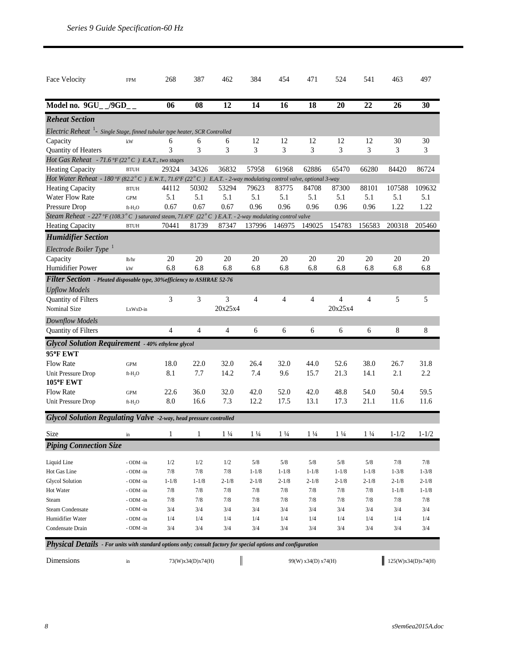| Face Velocity                                                                                                         | <b>FPM</b>          | 268        | 387            | 462            | 384            | 454            | 471            | 524            | 541            | 463       | 497       |
|-----------------------------------------------------------------------------------------------------------------------|---------------------|------------|----------------|----------------|----------------|----------------|----------------|----------------|----------------|-----------|-----------|
| Model no. 9GU_/9GD_                                                                                                   |                     | 06         | 08             | 12             | 14             | 16             | 18             | 20             | 22             | 26        | 30        |
| <b>Reheat Section</b>                                                                                                 |                     |            |                |                |                |                |                |                |                |           |           |
| Electric Reheat $^1$ - Single Stage, finned tubular type heater, SCR Controlled                                       |                     |            |                |                |                |                |                |                |                |           |           |
| Capacity                                                                                                              | kW                  | 6          | 6              | 6              | 12             | 12             | 12             | 12             | 12             | 30        | 30        |
| Quantity of Heaters                                                                                                   |                     | 3          | 3              | 3              | 3              | 3              | 3              | 3              | 3              | 3         | 3         |
| Hot Gas Reheat - 71.6 °F (22° C) E.A.T., two stages                                                                   |                     |            |                |                |                |                |                |                |                |           |           |
| <b>Heating Capacity</b>                                                                                               | <b>BTUH</b>         | 29324      | 34326          | 36832          | 57958          | 61968          | 62886          | 65470          | 66280          | 84420     | 86724     |
| Hot Water Reheat - 180 °F (82.2 ° C) E.W.T., 71.6 °F (22 ° C) E.A.T. - 2-way modulating control valve, optional 3-way |                     |            |                |                |                |                |                |                |                |           |           |
| <b>Heating Capacity</b>                                                                                               | <b>BTUH</b>         | 44112      | 50302          | 53294          | 79623          | 83775          | 84708          | 87300          | 88101          | 107588    | 109632    |
| <b>Water Flow Rate</b>                                                                                                | <b>GPM</b>          | 5.1        | 5.1            | 5.1            | 5.1            | 5.1            | 5.1            | 5.1            | 5.1            | 5.1       | 5.1       |
| Pressure Drop                                                                                                         | ft-H <sub>2</sub> O | 0.67       | 0.67           | 0.67           | 0.96           | 0.96           | 0.96           | 0.96           | 0.96           | 1.22      | 1.22      |
| Steam Reheat - 227°F (108.3°C) saturated steam, 71.6°F (22°C) E.A.T. - 2-way modulating control valve                 |                     |            |                |                |                |                |                |                |                |           |           |
| <b>Heating Capacity</b>                                                                                               | <b>BTUH</b>         | 70441      | 81739          | 87347          | 137996         | 146975         | 149025         | 154783         | 156583         | 200318    | 205460    |
| <b>Humidifier Section</b>                                                                                             |                     |            |                |                |                |                |                |                |                |           |           |
| Electrode Boiler Type <sup>1</sup>                                                                                    |                     |            |                |                |                |                |                |                |                |           |           |
| Capacity                                                                                                              | lb/hr               | 20         | 20             | 20             | 20             | 20             | 20             | 20             | 20             | 20        | 20        |
| Humidifier Power                                                                                                      | kW                  | 6.8        | 6.8            | 6.8            | 6.8            | 6.8            | 6.8            | 6.8            | 6.8            | 6.8       | 6.8       |
| Filter Section - Pleated disposable type, 30% efficiency to ASHRAE 52-76                                              |                     |            |                |                |                |                |                |                |                |           |           |
| <b>Upflow Models</b>                                                                                                  |                     |            |                |                |                |                |                |                |                |           |           |
| Quantity of Filters                                                                                                   |                     | 3          | 3              | 3              | 4              | 4              | 4              | 4              | 4              | 5         | 5         |
| Nominal Size                                                                                                          | LxWxD-in            |            |                | 20x25x4        |                |                |                | 20x25x4        |                |           |           |
| Downflow Models                                                                                                       |                     |            |                |                |                |                |                |                |                |           |           |
| Quantity of Filters                                                                                                   |                     | 4          | $\overline{4}$ | 4              | 6              | 6              | 6              | 6              | 6              | 8         | 8         |
|                                                                                                                       |                     |            |                |                |                |                |                |                |                |           |           |
| <b>Glycol Solution Requirement - 40% ethylene glycol</b>                                                              |                     |            |                |                |                |                |                |                |                |           |           |
| 95°F EWT                                                                                                              |                     |            |                |                |                |                |                |                |                |           |           |
| <b>Flow Rate</b>                                                                                                      | <b>GPM</b>          | 18.0       | 22.0           | 32.0           | 26.4           | 32.0           | 44.0           | 52.6           | 38.0           | 26.7      | 31.8      |
| Unit Pressure Drop<br><b>105°F EWT</b>                                                                                | $ft-H2O$            | 8.1        | 7.7            | 14.2           | 7.4            | 9.6            | 15.7           | 21.3           | 14.1           | 2.1       | 2.2       |
| <b>Flow Rate</b>                                                                                                      | <b>GPM</b>          | 22.6       | 36.0           | 32.0           | 42.0           | 52.0           | 42.0           | 48.8           | 54.0           | 50.4      | 59.5      |
| Unit Pressure Drop                                                                                                    | $ft-H2O$            | $\ \, 8.0$ | 16.6           | 7.3            | 12.2           | 17.5           | 13.1           | 17.3           | 21.1           | 11.6      | 11.6      |
| Glycol Solution Regulating Valve -2-way, head pressure controlled                                                     |                     |            |                |                |                |                |                |                |                |           |           |
| Size                                                                                                                  | in                  | 1          | 1              | $1\frac{1}{4}$ | $1\frac{1}{4}$ | $1\frac{1}{4}$ | $1\frac{1}{4}$ | $1\frac{1}{4}$ | $1\frac{1}{4}$ | $1 - 1/2$ | $1 - 1/2$ |
| <b>Piping Connection Size</b>                                                                                         |                     |            |                |                |                |                |                |                |                |           |           |
|                                                                                                                       |                     |            |                |                |                |                |                |                |                |           |           |
| Liquid Line                                                                                                           | - ODM -in           | 1/2        | 1/2            | 1/2            | $5/8$          | $5/8$          | $5/8$          | 5/8            | $5/8$          | $7/8$     | 7/8       |
| Hot Gas Line                                                                                                          | - ODM -in           | 7/8        | $7/8$          | 7/8            | $1 - 1/8$      | $1 - 1/8$      | $1 - 1/8$      | $1 - 1/8$      | $1 - 1/8$      | $1 - 3/8$ | $1 - 3/8$ |
| <b>Glycol Solution</b>                                                                                                | - ODM -in           | $1 - 1/8$  | $1 - 1/8$      | $2 - 1/8$      | $2 - 1/8$      | $2 - 1/8$      | $2 - 1/8$      | $2 - 1/8$      | $2 - 1/8$      | $2 - 1/8$ | $2 - 1/8$ |
| Hot Water                                                                                                             | - ODM -in           | $7/8$      | $7/8$          | 7/8            | $7/8$          | $7/8$          | 7/8            | 7/8            | $7/8$          | $1 - 1/8$ | $1 - 1/8$ |
| Steam                                                                                                                 | - ODM -in           | 7/8        | 7/8            | 7/8            | 7/8            | 7/8            | 7/8            | 7/8            | 7/8            | 7/8       | 7/8       |
| Steam Condensate                                                                                                      | - ODM -in           | 3/4        | 3/4            | 3/4            | 3/4            | 3/4            | 3/4            | 3/4            | 3/4            | 3/4       | 3/4       |
| Humidifier Water                                                                                                      | - ODM -in           | 1/4        | 1/4            | 1/4            | 1/4            | 1/4            | 1/4            | 1/4            | 1/4            | 1/4       | 1/4       |
| Condensate Drain                                                                                                      | - ODM -in           | 3/4        | 3/4            | 3/4            | 3/4            | 3/4            | 3/4            | 3/4            | 3/4            | 3/4       | 3/4       |
| <b>Physical Details</b> For with standard ortions only consult factors for enough ortions and configuration           |                     |            |                |                |                |                |                |                |                |           |           |

*Physical Details - For units with standard options only; consult factory for special options and configuration*

Dimensions in  $73(W)x34(D)x74(H)$  99(W) x34(D) x74(H) 125(W)x34(D)x74(H)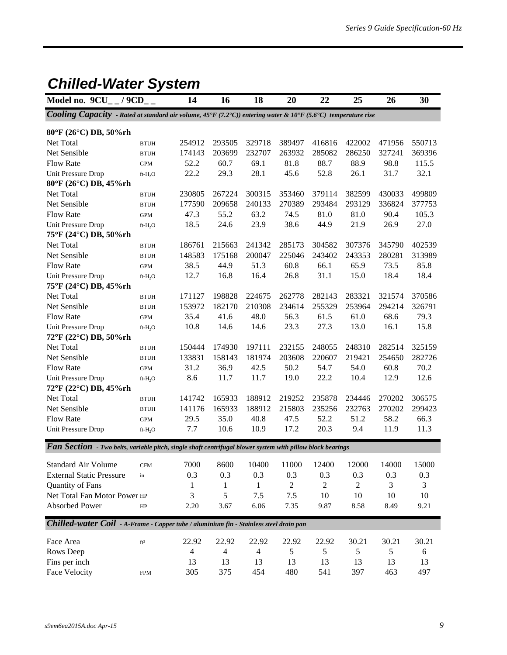### *Chilled-Water System*

| Cooling Capacity - Rated at standard air volume, 45°F (7.2°C)) entering water & 10°F (5.6°C) temperature rise<br>80°F (26°C) DB, 50%rh<br>Net Total<br>254912<br>293505<br>329718<br>389497<br>416816<br>422002<br>471956<br>550713<br><b>BTUH</b><br>Net Sensible<br>232707<br>263932<br>285082<br>327241<br>369396<br>174143<br>203699<br>286250<br><b>BTUH</b><br><b>Flow Rate</b><br>52.2<br>60.7<br>69.1<br>81.8<br>88.7<br>88.9<br>98.8<br>115.5<br>$\mbox{GPM}$<br>32.1<br>22.2<br>29.3<br>28.1<br>45.6<br>52.8<br>26.1<br>31.7<br>Unit Pressure Drop<br>$ft-H_2O$<br>80°F (26°C) DB, 45%rh<br>300315<br>353460<br>499809<br>Net Total<br>230805<br>267224<br>379114<br>382599<br>430033<br><b>BTUH</b><br>Net Sensible<br>177590<br>209658<br>240133<br>270389<br>293484<br>293129<br>336824<br>377753<br><b>BTUH</b><br><b>Flow Rate</b><br>55.2<br>63.2<br>74.5<br>81.0<br>90.4<br>105.3<br>47.3<br>81.0<br>$\mbox{GPM}$<br>18.5<br>24.6<br>23.9<br>38.6<br>44.9<br>21.9<br>27.0<br>Unit Pressure Drop<br>26.9<br>$ft-H2O$<br>75°F (24°C) DB, 50%rh<br>Net Total<br>241342<br>285173<br>402539<br>186761<br>215663<br>304582<br>307376<br>345790<br><b>BTUH</b><br>175168<br>200047<br>225046<br>243402<br>280281<br>313989<br>Net Sensible<br>148583<br>243353<br><b>BTUH</b><br><b>Flow Rate</b><br>38.5<br>44.9<br>51.3<br>60.8<br>66.1<br>65.9<br>73.5<br>85.8<br><b>GPM</b><br>12.7<br>16.8<br>16.4<br>26.8<br>31.1<br>15.0<br>18.4<br>18.4<br>Unit Pressure Drop<br>$ft-H2O$<br>75°F (24°C) DB, 45%rh<br>Net Total<br>171127<br>198828<br>224675<br>262778<br>282143<br>283321<br>321574<br>370586<br><b>BTUH</b><br>Net Sensible<br>182170<br>210308<br>255329<br>253964<br>326791<br>153972<br>234614<br>294214<br>$\operatorname{BTUH}$<br>35.4<br>48.0<br>68.6<br>79.3<br><b>Flow Rate</b><br>41.6<br>56.3<br>61.5<br>61.0<br>$\mbox{GPM}$ | Model no. $9CU_{-}$ / $9CD_{-}$ | 14 | 16 | 18 | 20 | 22 | 25 | 26 | 30     |
|----------------------------------------------------------------------------------------------------------------------------------------------------------------------------------------------------------------------------------------------------------------------------------------------------------------------------------------------------------------------------------------------------------------------------------------------------------------------------------------------------------------------------------------------------------------------------------------------------------------------------------------------------------------------------------------------------------------------------------------------------------------------------------------------------------------------------------------------------------------------------------------------------------------------------------------------------------------------------------------------------------------------------------------------------------------------------------------------------------------------------------------------------------------------------------------------------------------------------------------------------------------------------------------------------------------------------------------------------------------------------------------------------------------------------------------------------------------------------------------------------------------------------------------------------------------------------------------------------------------------------------------------------------------------------------------------------------------------------------------------------------------------------------------------------------------------------------------------------------------|---------------------------------|----|----|----|----|----|----|----|--------|
|                                                                                                                                                                                                                                                                                                                                                                                                                                                                                                                                                                                                                                                                                                                                                                                                                                                                                                                                                                                                                                                                                                                                                                                                                                                                                                                                                                                                                                                                                                                                                                                                                                                                                                                                                                                                                                                                |                                 |    |    |    |    |    |    |    |        |
|                                                                                                                                                                                                                                                                                                                                                                                                                                                                                                                                                                                                                                                                                                                                                                                                                                                                                                                                                                                                                                                                                                                                                                                                                                                                                                                                                                                                                                                                                                                                                                                                                                                                                                                                                                                                                                                                |                                 |    |    |    |    |    |    |    |        |
|                                                                                                                                                                                                                                                                                                                                                                                                                                                                                                                                                                                                                                                                                                                                                                                                                                                                                                                                                                                                                                                                                                                                                                                                                                                                                                                                                                                                                                                                                                                                                                                                                                                                                                                                                                                                                                                                |                                 |    |    |    |    |    |    |    |        |
|                                                                                                                                                                                                                                                                                                                                                                                                                                                                                                                                                                                                                                                                                                                                                                                                                                                                                                                                                                                                                                                                                                                                                                                                                                                                                                                                                                                                                                                                                                                                                                                                                                                                                                                                                                                                                                                                |                                 |    |    |    |    |    |    |    |        |
|                                                                                                                                                                                                                                                                                                                                                                                                                                                                                                                                                                                                                                                                                                                                                                                                                                                                                                                                                                                                                                                                                                                                                                                                                                                                                                                                                                                                                                                                                                                                                                                                                                                                                                                                                                                                                                                                |                                 |    |    |    |    |    |    |    |        |
|                                                                                                                                                                                                                                                                                                                                                                                                                                                                                                                                                                                                                                                                                                                                                                                                                                                                                                                                                                                                                                                                                                                                                                                                                                                                                                                                                                                                                                                                                                                                                                                                                                                                                                                                                                                                                                                                |                                 |    |    |    |    |    |    |    |        |
|                                                                                                                                                                                                                                                                                                                                                                                                                                                                                                                                                                                                                                                                                                                                                                                                                                                                                                                                                                                                                                                                                                                                                                                                                                                                                                                                                                                                                                                                                                                                                                                                                                                                                                                                                                                                                                                                |                                 |    |    |    |    |    |    |    |        |
|                                                                                                                                                                                                                                                                                                                                                                                                                                                                                                                                                                                                                                                                                                                                                                                                                                                                                                                                                                                                                                                                                                                                                                                                                                                                                                                                                                                                                                                                                                                                                                                                                                                                                                                                                                                                                                                                |                                 |    |    |    |    |    |    |    |        |
|                                                                                                                                                                                                                                                                                                                                                                                                                                                                                                                                                                                                                                                                                                                                                                                                                                                                                                                                                                                                                                                                                                                                                                                                                                                                                                                                                                                                                                                                                                                                                                                                                                                                                                                                                                                                                                                                |                                 |    |    |    |    |    |    |    |        |
|                                                                                                                                                                                                                                                                                                                                                                                                                                                                                                                                                                                                                                                                                                                                                                                                                                                                                                                                                                                                                                                                                                                                                                                                                                                                                                                                                                                                                                                                                                                                                                                                                                                                                                                                                                                                                                                                |                                 |    |    |    |    |    |    |    |        |
|                                                                                                                                                                                                                                                                                                                                                                                                                                                                                                                                                                                                                                                                                                                                                                                                                                                                                                                                                                                                                                                                                                                                                                                                                                                                                                                                                                                                                                                                                                                                                                                                                                                                                                                                                                                                                                                                |                                 |    |    |    |    |    |    |    |        |
|                                                                                                                                                                                                                                                                                                                                                                                                                                                                                                                                                                                                                                                                                                                                                                                                                                                                                                                                                                                                                                                                                                                                                                                                                                                                                                                                                                                                                                                                                                                                                                                                                                                                                                                                                                                                                                                                |                                 |    |    |    |    |    |    |    |        |
|                                                                                                                                                                                                                                                                                                                                                                                                                                                                                                                                                                                                                                                                                                                                                                                                                                                                                                                                                                                                                                                                                                                                                                                                                                                                                                                                                                                                                                                                                                                                                                                                                                                                                                                                                                                                                                                                |                                 |    |    |    |    |    |    |    |        |
|                                                                                                                                                                                                                                                                                                                                                                                                                                                                                                                                                                                                                                                                                                                                                                                                                                                                                                                                                                                                                                                                                                                                                                                                                                                                                                                                                                                                                                                                                                                                                                                                                                                                                                                                                                                                                                                                |                                 |    |    |    |    |    |    |    |        |
|                                                                                                                                                                                                                                                                                                                                                                                                                                                                                                                                                                                                                                                                                                                                                                                                                                                                                                                                                                                                                                                                                                                                                                                                                                                                                                                                                                                                                                                                                                                                                                                                                                                                                                                                                                                                                                                                |                                 |    |    |    |    |    |    |    |        |
|                                                                                                                                                                                                                                                                                                                                                                                                                                                                                                                                                                                                                                                                                                                                                                                                                                                                                                                                                                                                                                                                                                                                                                                                                                                                                                                                                                                                                                                                                                                                                                                                                                                                                                                                                                                                                                                                |                                 |    |    |    |    |    |    |    |        |
|                                                                                                                                                                                                                                                                                                                                                                                                                                                                                                                                                                                                                                                                                                                                                                                                                                                                                                                                                                                                                                                                                                                                                                                                                                                                                                                                                                                                                                                                                                                                                                                                                                                                                                                                                                                                                                                                |                                 |    |    |    |    |    |    |    |        |
|                                                                                                                                                                                                                                                                                                                                                                                                                                                                                                                                                                                                                                                                                                                                                                                                                                                                                                                                                                                                                                                                                                                                                                                                                                                                                                                                                                                                                                                                                                                                                                                                                                                                                                                                                                                                                                                                |                                 |    |    |    |    |    |    |    |        |
|                                                                                                                                                                                                                                                                                                                                                                                                                                                                                                                                                                                                                                                                                                                                                                                                                                                                                                                                                                                                                                                                                                                                                                                                                                                                                                                                                                                                                                                                                                                                                                                                                                                                                                                                                                                                                                                                |                                 |    |    |    |    |    |    |    |        |
|                                                                                                                                                                                                                                                                                                                                                                                                                                                                                                                                                                                                                                                                                                                                                                                                                                                                                                                                                                                                                                                                                                                                                                                                                                                                                                                                                                                                                                                                                                                                                                                                                                                                                                                                                                                                                                                                |                                 |    |    |    |    |    |    |    |        |
| 10.8<br>14.6<br>14.6<br>23.3<br>27.3<br>13.0<br>16.1<br>15.8<br>Unit Pressure Drop<br>$ft-H_2O$                                                                                                                                                                                                                                                                                                                                                                                                                                                                                                                                                                                                                                                                                                                                                                                                                                                                                                                                                                                                                                                                                                                                                                                                                                                                                                                                                                                                                                                                                                                                                                                                                                                                                                                                                                |                                 |    |    |    |    |    |    |    |        |
| 72°F (22°C) DB, 50%rh                                                                                                                                                                                                                                                                                                                                                                                                                                                                                                                                                                                                                                                                                                                                                                                                                                                                                                                                                                                                                                                                                                                                                                                                                                                                                                                                                                                                                                                                                                                                                                                                                                                                                                                                                                                                                                          |                                 |    |    |    |    |    |    |    |        |
| 232155<br>Net Total<br>150444<br>174930<br>197111<br>248055<br>248310<br>282514<br><b>BTUH</b>                                                                                                                                                                                                                                                                                                                                                                                                                                                                                                                                                                                                                                                                                                                                                                                                                                                                                                                                                                                                                                                                                                                                                                                                                                                                                                                                                                                                                                                                                                                                                                                                                                                                                                                                                                 |                                 |    |    |    |    |    |    |    | 325159 |
| Net Sensible<br>158143<br>181974<br>203608<br>219421<br>133831<br>220607<br>254650<br><b>BTUH</b>                                                                                                                                                                                                                                                                                                                                                                                                                                                                                                                                                                                                                                                                                                                                                                                                                                                                                                                                                                                                                                                                                                                                                                                                                                                                                                                                                                                                                                                                                                                                                                                                                                                                                                                                                              |                                 |    |    |    |    |    |    |    | 282726 |
| <b>Flow Rate</b><br>31.2<br>42.5<br>50.2<br>60.8<br>70.2<br>36.9<br>54.7<br>54.0<br>GPM                                                                                                                                                                                                                                                                                                                                                                                                                                                                                                                                                                                                                                                                                                                                                                                                                                                                                                                                                                                                                                                                                                                                                                                                                                                                                                                                                                                                                                                                                                                                                                                                                                                                                                                                                                        |                                 |    |    |    |    |    |    |    |        |
| 8.6<br>11.7<br>11.7<br>19.0<br>22.2<br>10.4<br>12.9<br>12.6<br>Unit Pressure Drop<br>ft-H <sub>2</sub> O                                                                                                                                                                                                                                                                                                                                                                                                                                                                                                                                                                                                                                                                                                                                                                                                                                                                                                                                                                                                                                                                                                                                                                                                                                                                                                                                                                                                                                                                                                                                                                                                                                                                                                                                                       |                                 |    |    |    |    |    |    |    |        |
| 72°F (22°C) DB, 45%rh                                                                                                                                                                                                                                                                                                                                                                                                                                                                                                                                                                                                                                                                                                                                                                                                                                                                                                                                                                                                                                                                                                                                                                                                                                                                                                                                                                                                                                                                                                                                                                                                                                                                                                                                                                                                                                          |                                 |    |    |    |    |    |    |    |        |
| 165933<br>Net Total<br>141742<br>188912<br>219252<br>235878<br>234446<br>270202<br><b>BTUH</b>                                                                                                                                                                                                                                                                                                                                                                                                                                                                                                                                                                                                                                                                                                                                                                                                                                                                                                                                                                                                                                                                                                                                                                                                                                                                                                                                                                                                                                                                                                                                                                                                                                                                                                                                                                 |                                 |    |    |    |    |    |    |    | 306575 |
| Net Sensible<br>188912<br>215803<br>141176<br>165933<br>235256<br>232763<br>270202<br><b>BTUH</b>                                                                                                                                                                                                                                                                                                                                                                                                                                                                                                                                                                                                                                                                                                                                                                                                                                                                                                                                                                                                                                                                                                                                                                                                                                                                                                                                                                                                                                                                                                                                                                                                                                                                                                                                                              |                                 |    |    |    |    |    |    |    | 299423 |
| 29.5<br>35.0<br>40.8<br>52.2<br>51.2<br>58.2<br>66.3<br><b>Flow Rate</b><br>47.5<br>GPM                                                                                                                                                                                                                                                                                                                                                                                                                                                                                                                                                                                                                                                                                                                                                                                                                                                                                                                                                                                                                                                                                                                                                                                                                                                                                                                                                                                                                                                                                                                                                                                                                                                                                                                                                                        |                                 |    |    |    |    |    |    |    |        |
| 7.7<br>17.2<br>20.3<br>11.3<br>10.6<br>10.9<br>9.4<br>11.9<br>Unit Pressure Drop<br>$ft-H2O$                                                                                                                                                                                                                                                                                                                                                                                                                                                                                                                                                                                                                                                                                                                                                                                                                                                                                                                                                                                                                                                                                                                                                                                                                                                                                                                                                                                                                                                                                                                                                                                                                                                                                                                                                                   |                                 |    |    |    |    |    |    |    |        |
|                                                                                                                                                                                                                                                                                                                                                                                                                                                                                                                                                                                                                                                                                                                                                                                                                                                                                                                                                                                                                                                                                                                                                                                                                                                                                                                                                                                                                                                                                                                                                                                                                                                                                                                                                                                                                                                                |                                 |    |    |    |    |    |    |    |        |
| Fan Section - Two belts, variable pitch, single shaft centrifugal blower system with pillow block bearings                                                                                                                                                                                                                                                                                                                                                                                                                                                                                                                                                                                                                                                                                                                                                                                                                                                                                                                                                                                                                                                                                                                                                                                                                                                                                                                                                                                                                                                                                                                                                                                                                                                                                                                                                     |                                 |    |    |    |    |    |    |    |        |
| 7000 8600 10400 11000 12400 12000<br>Standard Air Volume<br>14000<br><b>CFM</b>                                                                                                                                                                                                                                                                                                                                                                                                                                                                                                                                                                                                                                                                                                                                                                                                                                                                                                                                                                                                                                                                                                                                                                                                                                                                                                                                                                                                                                                                                                                                                                                                                                                                                                                                                                                |                                 |    |    |    |    |    |    |    | 15000  |
| <b>External Static Pressure</b><br>0.3<br>0.3<br>0.3<br>0.3<br>0.3<br>0.3<br>0.3<br>0.3<br>in                                                                                                                                                                                                                                                                                                                                                                                                                                                                                                                                                                                                                                                                                                                                                                                                                                                                                                                                                                                                                                                                                                                                                                                                                                                                                                                                                                                                                                                                                                                                                                                                                                                                                                                                                                  |                                 |    |    |    |    |    |    |    |        |
| Quantity of Fans<br>$\overline{c}$<br>2<br>3<br>1<br>2<br>3<br>1<br>1                                                                                                                                                                                                                                                                                                                                                                                                                                                                                                                                                                                                                                                                                                                                                                                                                                                                                                                                                                                                                                                                                                                                                                                                                                                                                                                                                                                                                                                                                                                                                                                                                                                                                                                                                                                          |                                 |    |    |    |    |    |    |    |        |
| Net Total Fan Motor Power HP<br>3<br>5<br>7.5<br>7.5<br>10<br>10<br>10<br>10                                                                                                                                                                                                                                                                                                                                                                                                                                                                                                                                                                                                                                                                                                                                                                                                                                                                                                                                                                                                                                                                                                                                                                                                                                                                                                                                                                                                                                                                                                                                                                                                                                                                                                                                                                                   |                                 |    |    |    |    |    |    |    |        |
| Absorbed Power<br>6.06<br>2.20<br>3.67<br>7.35<br>9.87<br>8.58<br>8.49<br>9.21<br>HP                                                                                                                                                                                                                                                                                                                                                                                                                                                                                                                                                                                                                                                                                                                                                                                                                                                                                                                                                                                                                                                                                                                                                                                                                                                                                                                                                                                                                                                                                                                                                                                                                                                                                                                                                                           |                                 |    |    |    |    |    |    |    |        |
| Chilled-water Coil - A-Frame - Copper tube / aluminium fin - Stainless steel drain pan                                                                                                                                                                                                                                                                                                                                                                                                                                                                                                                                                                                                                                                                                                                                                                                                                                                                                                                                                                                                                                                                                                                                                                                                                                                                                                                                                                                                                                                                                                                                                                                                                                                                                                                                                                         |                                 |    |    |    |    |    |    |    |        |
| 30.21<br>Face Area<br>22.92<br>22.92<br>22.92<br>30.21<br>30.21<br>22.92<br>22.92<br>$\mathrm{ft}^2$                                                                                                                                                                                                                                                                                                                                                                                                                                                                                                                                                                                                                                                                                                                                                                                                                                                                                                                                                                                                                                                                                                                                                                                                                                                                                                                                                                                                                                                                                                                                                                                                                                                                                                                                                           |                                 |    |    |    |    |    |    |    |        |
| Rows Deep<br>5<br>5<br>4<br>$\overline{4}$<br>4<br>5<br>5<br>6                                                                                                                                                                                                                                                                                                                                                                                                                                                                                                                                                                                                                                                                                                                                                                                                                                                                                                                                                                                                                                                                                                                                                                                                                                                                                                                                                                                                                                                                                                                                                                                                                                                                                                                                                                                                 |                                 |    |    |    |    |    |    |    |        |
| Fins per inch<br>13<br>13<br>13<br>13<br>13<br>13<br>13<br>13                                                                                                                                                                                                                                                                                                                                                                                                                                                                                                                                                                                                                                                                                                                                                                                                                                                                                                                                                                                                                                                                                                                                                                                                                                                                                                                                                                                                                                                                                                                                                                                                                                                                                                                                                                                                  |                                 |    |    |    |    |    |    |    |        |

Face Velocity FPM 305 375 454 480 541 397 463 497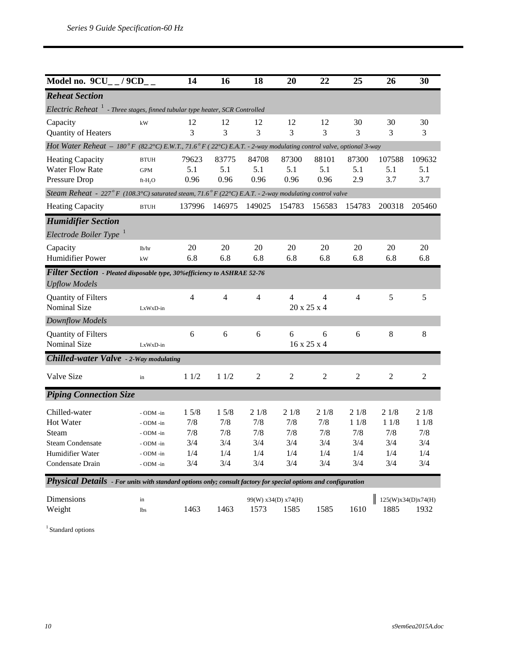| Model no. 9CU_ / 9CD_                                                                                             |                        | 14     | 16             | 18             | 20                  | 22             | 25             | 26                 | 30     |
|-------------------------------------------------------------------------------------------------------------------|------------------------|--------|----------------|----------------|---------------------|----------------|----------------|--------------------|--------|
| <b>Reheat Section</b>                                                                                             |                        |        |                |                |                     |                |                |                    |        |
| Electric Reheat <sup>1</sup> - Three stages, finned tubular type heater, SCR Controlled                           |                        |        |                |                |                     |                |                |                    |        |
| Capacity                                                                                                          | kW                     | 12     | 12             | 12             | 12                  | 12             | 30             | 30                 | 30     |
| Quantity of Heaters                                                                                               |                        | 3      | 3              | 3              | 3                   | 3              | 3              | 3                  | 3      |
| Hot Water Reheat - 180° F (82.2°C) E.W.T., 71.6° F (22°C) E.A.T. - 2-way modulating control valve, optional 3-way |                        |        |                |                |                     |                |                |                    |        |
| <b>Heating Capacity</b>                                                                                           | <b>BTUH</b>            | 79623  | 83775          | 84708          | 87300               | 88101          | 87300          | 107588             | 109632 |
| <b>Water Flow Rate</b>                                                                                            | <b>GPM</b>             | 5.1    | 5.1            | 5.1            | 5.1                 | 5.1            | 5.1            | 5.1                | 5.1    |
| Pressure Drop                                                                                                     | ft-H <sub>2</sub> O    | 0.96   | 0.96           | 0.96           | 0.96                | 0.96           | 2.9            | 3.7                | 3.7    |
| Steam Reheat - 227° F (108.3°C) saturated steam, 71.6° F (22°C) E.A.T. - 2-way modulating control valve           |                        |        |                |                |                     |                |                |                    |        |
| <b>Heating Capacity</b>                                                                                           | <b>BTUH</b>            | 137996 | 146975         | 149025         | 154783              | 156583         | 154783         | 200318             | 205460 |
| <b>Humidifier Section</b>                                                                                         |                        |        |                |                |                     |                |                |                    |        |
| Electrode Boiler Type                                                                                             |                        |        |                |                |                     |                |                |                    |        |
| Capacity                                                                                                          | lb/hr                  | 20     | 20             | 20             | 20                  | 20             | 20             | 20                 | 20     |
| <b>Humidifier Power</b>                                                                                           | $\mathbf{k}\mathbf{W}$ | 6.8    | 6.8            | 6.8            | 6.8                 | 6.8            | 6.8            | 6.8                | 6.8    |
| Filter Section - Pleated disposable type, 30% efficiency to ASHRAE 52-76                                          |                        |        |                |                |                     |                |                |                    |        |
| <b>Upflow Models</b>                                                                                              |                        |        |                |                |                     |                |                |                    |        |
| Quantity of Filters                                                                                               |                        | 4      | $\overline{4}$ | $\overline{4}$ | 4                   | 4              | $\overline{4}$ | 5                  | 5      |
| Nominal Size                                                                                                      | LxWxD-in               |        |                |                |                     | 20 x 25 x 4    |                |                    |        |
| Downflow Models                                                                                                   |                        |        |                |                |                     |                |                |                    |        |
| Quantity of Filters                                                                                               |                        | 6      | 6              | 6              | 6                   | 6              | 6              | 8                  | 8      |
| Nominal Size                                                                                                      | LxWxD-in               |        |                |                |                     | 16 x 25 x 4    |                |                    |        |
| <b>Chilled-water Valve</b> - 2-Way modulating                                                                     |                        |        |                |                |                     |                |                |                    |        |
| Valve Size                                                                                                        | in                     | 11/2   | 11/2           | $\overline{c}$ | $\overline{c}$      | $\mathfrak{2}$ | $\overline{c}$ | $\mathfrak{2}$     | 2      |
| <b>Piping Connection Size</b>                                                                                     |                        |        |                |                |                     |                |                |                    |        |
| Chilled-water                                                                                                     | - ODM -in              | 15/8   | 15/8           | 21/8           | 21/8                | 21/8           | 21/8           | 21/8               | 21/8   |
| Hot Water                                                                                                         | - ODM -in              | 7/8    | 7/8            | 7/8            | 7/8                 | 7/8            | 11/8           | 11/8               | 11/8   |
| Steam                                                                                                             | - ODM -in              | 7/8    | 7/8            | 7/8            | 7/8                 | 7/8            | 7/8            | 7/8                | 7/8    |
| <b>Steam Condensate</b>                                                                                           | - ODM -in              | 3/4    | 3/4            | 3/4            | 3/4                 | 3/4            | 3/4            | 3/4                | 3/4    |
| Humidifier Water                                                                                                  | - ODM -in              | 1/4    | 1/4            | 1/4            | 1/4                 | 1/4            | 1/4            | 1/4                | 1/4    |
| Condensate Drain                                                                                                  | - ODM -in              | 3/4    | 3/4            | 3/4            | 3/4                 | 3/4            | 3/4            | 3/4                | 3/4    |
| Physical Details - For units with standard options only; consult factory for special options and configuration    |                        |        |                |                |                     |                |                |                    |        |
| Dimensions                                                                                                        | in                     |        |                |                | 99(W) x34(D) x74(H) |                |                | 125(W)x34(D)x74(H) |        |
| Weight                                                                                                            | <b>lbs</b>             | 1463   | 1463           | 1573           | 1585                | 1585           | 1610           | 1885               | 1932   |

 $^{\rm 1}$  Standard options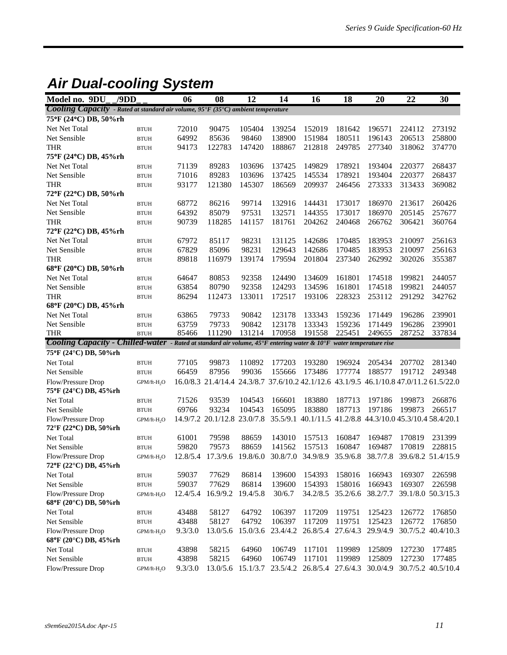### *Air Dual-cooling System*

| Model no. 9DU                                                                                                                               | /9DD                    | 06             | 08                                                                                     | 12               | 14               | 16                                                        | 18               | 20               | 22               | 30                 |
|---------------------------------------------------------------------------------------------------------------------------------------------|-------------------------|----------------|----------------------------------------------------------------------------------------|------------------|------------------|-----------------------------------------------------------|------------------|------------------|------------------|--------------------|
| Cooling Capacity - Rated at standard air volume, 95°F (35°C) ambient temperature                                                            |                         |                |                                                                                        |                  |                  |                                                           |                  |                  |                  |                    |
| 75°F (24°C) DB, 50%rh                                                                                                                       |                         |                |                                                                                        |                  |                  |                                                           |                  |                  |                  |                    |
| Net Net Total                                                                                                                               | <b>BTUH</b>             | 72010          | 90475                                                                                  | 105404           | 139254           | 152019                                                    | 181642           | 196571           | 224112           | 273192             |
| Net Sensible                                                                                                                                | <b>BTUH</b>             | 64992          | 85636                                                                                  | 98460            | 138900           | 151984                                                    | 180511           | 196143           | 206513           | 258800             |
| <b>THR</b>                                                                                                                                  | <b>BTUH</b>             | 94173          | 122783                                                                                 | 147420           | 188867           | 212818                                                    | 249785           | 277340           | 318062           | 374770             |
| 75°F (24°C) DB, 45%rh                                                                                                                       |                         |                |                                                                                        |                  |                  |                                                           |                  |                  |                  |                    |
| Net Net Total                                                                                                                               | <b>BTUH</b>             | 71139          | 89283                                                                                  | 103696           | 137425           | 149829                                                    | 178921           | 193404           | 220377           | 268437             |
| Net Sensible                                                                                                                                | <b>BTUH</b>             | 71016          | 89283                                                                                  | 103696           | 137425           | 145534                                                    | 178921           | 193404           | 220377           | 268437             |
| <b>THR</b>                                                                                                                                  | <b>BTUH</b>             | 93177          | 121380                                                                                 | 145307           | 186569           | 209937                                                    | 246456           | 273333           | 313433           | 369082             |
| 72°F (22°C) DB, 50%rh                                                                                                                       |                         |                |                                                                                        |                  |                  |                                                           |                  |                  |                  |                    |
| Net Net Total                                                                                                                               | <b>BTUH</b>             | 68772          | 86216                                                                                  | 99714            | 132916           | 144431                                                    | 173017           | 186970           | 213617           | 260426             |
| Net Sensible                                                                                                                                | <b>BTUH</b>             | 64392          | 85079                                                                                  | 97531            | 132571           | 144355                                                    | 173017           | 186970           | 205145           | 257677             |
| <b>THR</b>                                                                                                                                  | <b>BTUH</b>             | 90739          | 118285                                                                                 | 141157           | 181761           | 204262                                                    | 240468           | 266762           | 306421           | 360764             |
| 72°F (22°C) DB, 45%rh                                                                                                                       |                         |                |                                                                                        |                  |                  |                                                           |                  |                  |                  |                    |
| Net Net Total                                                                                                                               | <b>BTUH</b>             | 67972          | 85117                                                                                  | 98231            | 131125           | 142686                                                    | 170485           | 183953           | 210097           | 256163             |
| Net Sensible                                                                                                                                | <b>BTUH</b>             | 67829          | 85096                                                                                  | 98231            | 129643           | 142686                                                    | 170485           | 183953           | 210097           | 256163             |
| <b>THR</b>                                                                                                                                  | <b>BTUH</b>             | 89818          | 116979                                                                                 | 139174           | 179594           | 201804                                                    | 237340           | 262992           | 302026           | 355387             |
| 68°F (20°C) DB, 50%rh                                                                                                                       |                         |                |                                                                                        |                  |                  |                                                           |                  |                  |                  |                    |
| Net Net Total                                                                                                                               | <b>BTUH</b>             | 64647          | 80853                                                                                  | 92358            | 124490           | 134609                                                    | 161801           | 174518           | 199821           | 244057             |
| Net Sensible                                                                                                                                | <b>BTUH</b>             | 63854          | 80790                                                                                  | 92358            | 124293           | 134596                                                    | 161801           | 174518           | 199821           | 244057             |
| <b>THR</b>                                                                                                                                  | <b>BTUH</b>             | 86294          | 112473                                                                                 | 133011           | 172517           | 193106                                                    | 228323           | 253112           | 291292           | 342762             |
| 68°F (20°C) DB, 45%rh                                                                                                                       |                         |                |                                                                                        |                  |                  |                                                           |                  |                  |                  |                    |
| Net Net Total                                                                                                                               | <b>BTUH</b>             | 63865          | 79733                                                                                  | 90842            | 123178           | 133343                                                    | 159236           | 171449           | 196286           | 239901             |
| Net Sensible                                                                                                                                | <b>BTUH</b>             | 63759          | 79733                                                                                  | 90842            | 123178           | 133343                                                    | 159236           | 171449           | 196286           | 239901             |
| <b>THR</b>                                                                                                                                  | <b>BTUH</b>             | 85466          | 111290                                                                                 | 131214           | 170958           | 191558                                                    | 225451           | 249655           | 287252           | 337834             |
| Cooling Capacity - Chilled-water - Rated at standard air volume, 45°F entering water & 10°F water temperature rise<br>75°F (24°C) DB, 50%rh |                         |                |                                                                                        |                  |                  |                                                           |                  |                  |                  |                    |
|                                                                                                                                             |                         |                |                                                                                        |                  | 177203           | 193280                                                    | 196924           |                  |                  |                    |
| Net Total<br>Net Sensible                                                                                                                   | <b>BTUH</b>             | 77105<br>66459 | 99873<br>87956                                                                         | 110892<br>99036  | 155666           | 173486                                                    | 177774           | 205434<br>188577 | 207702<br>191712 | 281340<br>249348   |
|                                                                                                                                             | <b>BTUH</b>             |                |                                                                                        |                  |                  |                                                           |                  |                  |                  |                    |
| Flow/Pressure Drop                                                                                                                          | GPM/ft-H <sub>2</sub> O |                | 16.0/8.3 21.4/14.4 24.3/8.7 37.6/10.2 42.1/12.6 43.1/9.5 46.1/10.8 47.0/11.2 61.5/22.0 |                  |                  |                                                           |                  |                  |                  |                    |
| 75°F (24°C) DB, 45%rh                                                                                                                       |                         |                |                                                                                        |                  |                  |                                                           |                  |                  |                  |                    |
| Net Total<br>Net Sensible                                                                                                                   | <b>BTUH</b>             | 71526<br>69766 | 93539<br>93234                                                                         | 104543<br>104543 | 166601<br>165095 | 183880<br>183880                                          | 187713<br>187713 | 197186<br>197186 | 199873<br>199873 | 266876<br>266517   |
|                                                                                                                                             | <b>BTUH</b>             |                |                                                                                        |                  |                  |                                                           |                  |                  |                  |                    |
| Flow/Pressure Drop<br>72°F (22°C) DB, 50%rh                                                                                                 | GPM/ft-H <sub>2</sub> O |                | 14.9/7.2 20.1/12.8 23.0/7.8                                                            |                  |                  | 35.5/9.1 40.1/11.5 41.2/8.8 44.3/10.0 45.3/10.4 58.4/20.1 |                  |                  |                  |                    |
| Net Total                                                                                                                                   | <b>BTUH</b>             | 61001          | 79598                                                                                  | 88659            | 143010           | 157513                                                    | 160847           | 169487           | 170819           | 231399             |
| Net Sensible                                                                                                                                | <b>BTUH</b>             | 59820          | 79573                                                                                  | 88659            | 141562           | 157513                                                    | 160847           | 169487           | 170819           | 228815             |
| Flow/Pressure Drop<br>72°F (22°C) DB, 45%rh                                                                                                 | GPM/ft-H <sub>2</sub> O | 12.8/5.4       | 17.3/9.6                                                                               | 19.8/6.0         |                  | 30.8/7.0 34.9/8.9                                         | 35.9/6.8         | 38.7/7.8         |                  | 39.6/8.2 51.4/15.9 |
| Net Total                                                                                                                                   | $\operatorname{BTUH}$   | 59037          | 77629                                                                                  | 86814            | 139600           | 154393                                                    | 158016           | 166943           | 169307           | 226598             |
| Net Sensible                                                                                                                                | <b>BTUH</b>             | 59037          | 77629                                                                                  | 86814            | 139600           | 154393                                                    | 158016           | 166943           | 169307           | 226598             |
| Flow/Pressure Drop                                                                                                                          | GPM/ft-H <sub>2</sub> O | 12.4/5.4       | 16.9/9.2                                                                               | 19.4/5.8         | 30/6.7           | 34.2/8.5                                                  | 35.2/6.6         | 38.2/7.7         |                  | 39.1/8.0 50.3/15.3 |
| 68°F (20°C) DB, 50%rh                                                                                                                       |                         |                |                                                                                        |                  |                  |                                                           |                  |                  |                  |                    |
| Net Total                                                                                                                                   | <b>BTUH</b>             | 43488          | 58127                                                                                  | 64792            | 106397           | 117209                                                    | 119751           | 125423           | 126772           | 176850             |
| Net Sensible                                                                                                                                | $\operatorname{BTUH}$   | 43488          | 58127                                                                                  | 64792            | 106397           | 117209                                                    | 119751           | 125423           | 126772           | 176850             |
| Flow/Pressure Drop                                                                                                                          | GPM/ft-H <sub>2</sub> O | 9.3/3.0        | 13.0/5.6                                                                               | 15.0/3.6         | 23.4/4.2         | 26.8/5.4 27.6/4.3                                         |                  | 29.9/4.9         |                  | 30.7/5.2 40.4/10.3 |
| 68°F (20°C) DB, 45%rh                                                                                                                       |                         |                |                                                                                        |                  |                  |                                                           |                  |                  |                  |                    |
| Net Total                                                                                                                                   | <b>BTUH</b>             | 43898          | 58215                                                                                  | 64960            | 106749           | 117101                                                    | 119989           | 125809           | 127230           | 177485             |
| Net Sensible                                                                                                                                | <b>BTUH</b>             | 43898          | 58215                                                                                  | 64960            | 106749           | 117101                                                    | 119989           | 125809           | 127230           | 177485             |
| Flow/Pressure Drop                                                                                                                          | GPM/ft-H <sub>2</sub> O | 9.3/3.0        | 13.0/5.6                                                                               | 15.1/3.7         | 23.5/4.2         | 26.8/5.4 27.6/4.3                                         |                  | 30.0/4.9         |                  | 30.7/5.2 40.5/10.4 |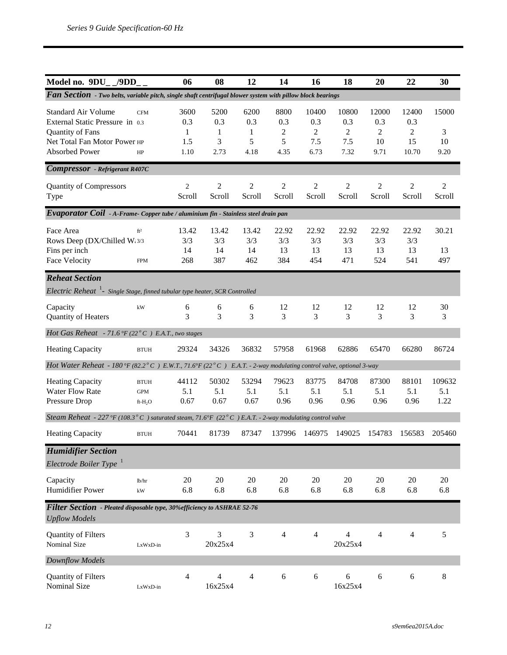| Model no. 9DU_/9DD                                                                                                                  |                                                  | 06                              | 08                            | 12                                       | 14                                         | 16                                            | 18                                            | 20                              | 22                               | 30                       |
|-------------------------------------------------------------------------------------------------------------------------------------|--------------------------------------------------|---------------------------------|-------------------------------|------------------------------------------|--------------------------------------------|-----------------------------------------------|-----------------------------------------------|---------------------------------|----------------------------------|--------------------------|
| Fan Section - Two belts, variable pitch, single shaft centrifugal blower system with pillow block bearings                          |                                                  |                                 |                               |                                          |                                            |                                               |                                               |                                 |                                  |                          |
| <b>Standard Air Volume</b><br>External Static Pressure in 0.3<br>Quantity of Fans<br>Net Total Fan Motor Power HP<br>Absorbed Power | <b>CFM</b><br>HP                                 | 3600<br>0.3<br>1<br>1.5<br>1.10 | 5200<br>0.3<br>1<br>3<br>2.73 | 6200<br>0.3<br>$\mathbf{1}$<br>5<br>4.18 | 8800<br>0.3<br>$\overline{2}$<br>5<br>4.35 | 10400<br>0.3<br>$\overline{2}$<br>7.5<br>6.73 | 10800<br>0.3<br>$\overline{c}$<br>7.5<br>7.32 | 12000<br>0.3<br>2<br>10<br>9.71 | 12400<br>0.3<br>2<br>15<br>10.70 | 15000<br>3<br>10<br>9.20 |
| <b>Compressor</b> - Refrigerant R407C                                                                                               |                                                  |                                 |                               |                                          |                                            |                                               |                                               |                                 |                                  |                          |
| <b>Quantity of Compressors</b><br>Type                                                                                              |                                                  | $\overline{2}$<br>Scroll        | $\overline{c}$<br>Scroll      | $\overline{2}$<br>Scroll                 | $\mathfrak{2}$<br>Scroll                   | $\overline{2}$<br>Scroll                      | $\overline{2}$<br>Scroll                      | $\overline{c}$<br>Scroll        | $\overline{c}$<br>Scroll         | $\overline{c}$<br>Scroll |
| Evaporator Coil - A-Frame- Copper tube / aluminium fin - Stainless steel drain pan                                                  |                                                  |                                 |                               |                                          |                                            |                                               |                                               |                                 |                                  |                          |
| Face Area<br>Rows Deep (DX/Chilled W:3/3<br>Fins per inch<br><b>Face Velocity</b>                                                   | ft <sup>2</sup><br><b>FPM</b>                    | 13.42<br>3/3<br>14<br>268       | 13.42<br>3/3<br>14<br>387     | 13.42<br>3/3<br>14<br>462                | 22.92<br>3/3<br>13<br>384                  | 22.92<br>3/3<br>13<br>454                     | 22.92<br>3/3<br>13<br>471                     | 22.92<br>3/3<br>13<br>524       | 22.92<br>3/3<br>13<br>541        | 30.21<br>13<br>497       |
| <b>Reheat Section</b>                                                                                                               |                                                  |                                 |                               |                                          |                                            |                                               |                                               |                                 |                                  |                          |
| Electric Reheat <sup>1</sup> - Single Stage, finned tubular type heater, SCR Controlled                                             |                                                  |                                 |                               |                                          |                                            |                                               |                                               |                                 |                                  |                          |
| Capacity<br>Quantity of Heaters                                                                                                     | kW                                               | 6<br>3                          | 6<br>3                        | 6<br>3                                   | 12<br>3                                    | 12<br>3                                       | 12<br>3                                       | 12<br>3                         | 12<br>3                          | 30<br>3                  |
| Hot Gas Reheat - 71.6 °F (22 $^{\circ}$ C) E.A.T., two stages                                                                       |                                                  |                                 |                               |                                          |                                            |                                               |                                               |                                 |                                  |                          |
| <b>Heating Capacity</b>                                                                                                             | <b>BTUH</b>                                      | 29324                           | 34326                         | 36832                                    | 57958                                      | 61968                                         | 62886                                         | 65470                           | 66280                            | 86724                    |
| Hot Water Reheat - 180°F (82.2°C) E.W.T., 71.6°F (22°C) E.A.T. - 2-way modulating control valve, optional 3-way                     |                                                  |                                 |                               |                                          |                                            |                                               |                                               |                                 |                                  |                          |
| <b>Heating Capacity</b><br>Water Flow Rate<br>Pressure Drop                                                                         | <b>BTUH</b><br><b>GPM</b><br>ft-H <sub>2</sub> O | 44112<br>5.1<br>0.67            | 50302<br>5.1<br>0.67          | 53294<br>5.1<br>0.67                     | 79623<br>5.1<br>0.96                       | 83775<br>5.1<br>0.96                          | 84708<br>5.1<br>0.96                          | 87300<br>5.1<br>0.96            | 88101<br>5.1<br>0.96             | 109632<br>5.1<br>1.22    |
| Steam Reheat - 227 °F (108.3 ° C) saturated steam, 71.6°F (22 ° C) E.A.T. - 2-way modulating control valve                          |                                                  |                                 |                               |                                          |                                            |                                               |                                               |                                 |                                  |                          |
| <b>Heating Capacity</b>                                                                                                             | <b>BTUH</b>                                      | 70441                           | 81739                         | 87347                                    | 137996                                     | 146975                                        | 149025                                        | 154783                          | 156583                           | 205460                   |
| <b>Humidifier Section</b><br>Electrode Boiler Type <sup>1</sup>                                                                     |                                                  |                                 |                               |                                          |                                            |                                               |                                               |                                 |                                  |                          |
| Capacity<br>Humidifier Power                                                                                                        | lb/hr<br>kW                                      | 20<br>6.8                       | 20<br>6.8                     | 20<br>6.8                                | 20<br>6.8                                  | 20<br>6.8                                     | 20<br>6.8                                     | 20<br>6.8                       | 20<br>6.8                        | 20<br>6.8                |
| Filter Section - Pleated disposable type, 30% efficiency to ASHRAE 52-76<br><b>Upflow Models</b>                                    |                                                  |                                 |                               |                                          |                                            |                                               |                                               |                                 |                                  |                          |
| Quantity of Filters<br>Nominal Size                                                                                                 | LxWxD-in                                         | 3                               | 3<br>20x25x4                  | 3                                        | $\overline{4}$                             | $\overline{4}$                                | $\overline{4}$<br>20x25x4                     | 4                               | $\overline{4}$                   | 5                        |
| Downflow Models                                                                                                                     |                                                  |                                 |                               |                                          |                                            |                                               |                                               |                                 |                                  |                          |
| Quantity of Filters<br>Nominal Size                                                                                                 | LxWxD-in                                         | 4                               | $\overline{4}$<br>16x25x4     | $\overline{4}$                           | 6                                          | 6                                             | 6<br>16x25x4                                  | 6                               | 6                                | $8\,$                    |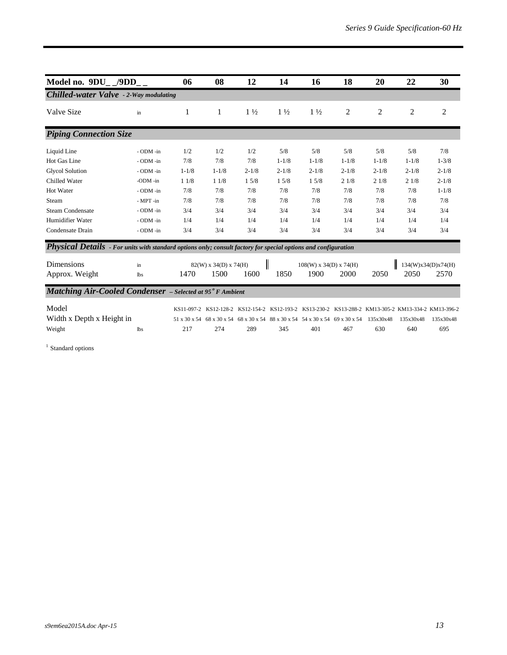| Model no. 9DU_/9DD                                                                                             |                | 06        | 08                      | 12             | 14             | 16                                                                                                 | 18        | 20        | 22        | 30                 |
|----------------------------------------------------------------------------------------------------------------|----------------|-----------|-------------------------|----------------|----------------|----------------------------------------------------------------------------------------------------|-----------|-----------|-----------|--------------------|
| <b>Chilled-water Valve</b> - 2-Way modulating                                                                  |                |           |                         |                |                |                                                                                                    |           |           |           |                    |
| Valve Size                                                                                                     | in             | 1         | 1                       | $1\frac{1}{2}$ | $1\frac{1}{2}$ | $1\frac{1}{2}$                                                                                     | 2         | 2         | 2         | 2                  |
| <b>Piping Connection Size</b>                                                                                  |                |           |                         |                |                |                                                                                                    |           |           |           |                    |
| Liquid Line                                                                                                    | - ODM -in      | 1/2       | 1/2                     | 1/2            | 5/8            | 5/8                                                                                                | 5/8       | 5/8       | 5/8       | 7/8                |
| Hot Gas Line                                                                                                   | - ODM -in      | 7/8       | 7/8                     | 7/8            | $1 - 1/8$      | $1 - 1/8$                                                                                          | $1 - 1/8$ | $1 - 1/8$ | $1 - 1/8$ | $1 - 3/8$          |
| <b>Glycol Solution</b>                                                                                         | - ODM -in      | $1 - 1/8$ | $1 - 1/8$               | $2 - 1/8$      | $2 - 1/8$      | $2 - 1/8$                                                                                          | $2 - 1/8$ | $2 - 1/8$ | $2 - 1/8$ | $2 - 1/8$          |
| Chilled Water                                                                                                  | -ODM -in       | 11/8      | 11/8                    | 15/8           | 15/8           | 15/8                                                                                               | 21/8      | 21/8      | 21/8      | $2 - 1/8$          |
| Hot Water                                                                                                      | - ODM -in      | 7/8       | 7/8                     | 7/8            | 7/8            | 7/8                                                                                                | 7/8       | 7/8       | 7/8       | $1 - 1/8$          |
| Steam                                                                                                          | $-MPT$ -in     | 7/8       | 7/8                     | 7/8            | 7/8            | 7/8                                                                                                | 7/8       | 7/8       | 7/8       | 7/8                |
| <b>Steam Condensate</b>                                                                                        | - ODM -in      | 3/4       | 3/4                     | 3/4            | 3/4            | 3/4                                                                                                | 3/4       | 3/4       | 3/4       | 3/4                |
| Humidifier Water                                                                                               | $-$ ODM $-$ in | 1/4       | 1/4                     | 1/4            | 1/4            | 1/4                                                                                                | 1/4       | 1/4       | 1/4       | 1/4                |
| Condensate Drain                                                                                               | - ODM -in      | 3/4       | 3/4                     | 3/4            | 3/4            | 3/4                                                                                                | 3/4       | 3/4       | 3/4       | 3/4                |
| Physical Details - For units with standard options only; consult factory for special options and configuration |                |           |                         |                |                |                                                                                                    |           |           |           |                    |
| Dimensions                                                                                                     | in             |           | $82(W)$ x 34(D) x 74(H) |                | I              | $108(W)$ x 34(D) x 74(H)                                                                           |           |           |           | 134(W)x34(D)x74(H) |
| Approx. Weight                                                                                                 | lbs            | 1470      | 1500                    | 1600           | 1850           | 1900                                                                                               | 2000      | 2050      | 2050      | 2570               |
| <b>Matching Air-Cooled Condenser</b> - Selected at 95° F Ambient                                               |                |           |                         |                |                |                                                                                                    |           |           |           |                    |
| Model                                                                                                          |                |           |                         |                |                | KS11-097-2 KS12-128-2 KS12-154-2 KS12-193-2 KS13-230-2 KS13-288-2 KM13-305-2 KM13-334-2 KM13-396-2 |           |           |           |                    |
| Width x Depth x Height in                                                                                      |                |           |                         |                |                | 51 x 30 x 54 68 x 30 x 54 68 x 30 x 54 88 x 30 x 54 54 x 30 x 54 69 x 30 x 54                      |           | 135x30x48 | 135x30x48 | 135x30x48          |
| Weight                                                                                                         | lbs            | 217       | 274                     | 289            | 345            | 401                                                                                                | 467       | 630       | 640       | 695                |

 $^{\rm 1}$  Standard options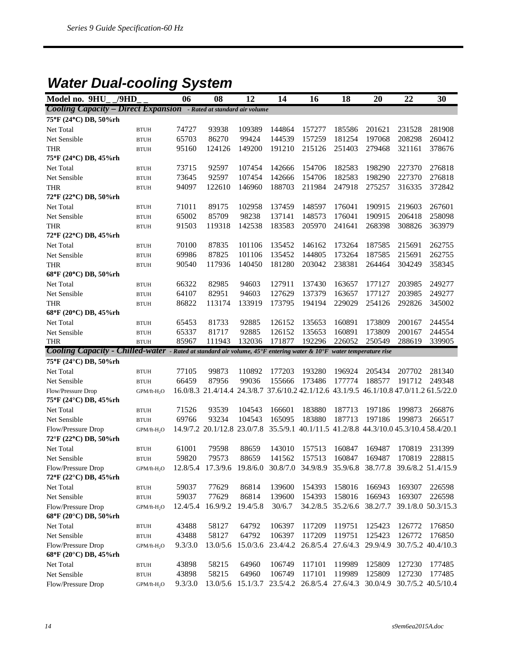### *Water Dual-cooling System*

| Model no. 9HU                                                                                                      | /9HD                    | 06             | 08                                                                                     | 12               | 14               | 16                                                        | 18               | 20               | 22     | 30                 |
|--------------------------------------------------------------------------------------------------------------------|-------------------------|----------------|----------------------------------------------------------------------------------------|------------------|------------------|-----------------------------------------------------------|------------------|------------------|--------|--------------------|
| <b>Cooling Capacity - Direct Expansion</b> - Rated at standard air volume                                          |                         |                |                                                                                        |                  |                  |                                                           |                  |                  |        |                    |
| 75°F (24°C) DB, 50%rh                                                                                              |                         |                |                                                                                        |                  |                  |                                                           |                  |                  |        |                    |
| Net Total                                                                                                          | <b>BTUH</b>             | 74727          | 93938                                                                                  | 109389           | 144864           | 157277                                                    | 185586           | 201621           | 231528 | 281908             |
| Net Sensible                                                                                                       | <b>BTUH</b>             | 65703          | 86270                                                                                  | 99424            | 144539           | 157259                                                    | 181254           | 197068           | 208298 | 260412             |
| <b>THR</b>                                                                                                         | <b>BTUH</b>             | 95160          | 124126                                                                                 | 149200           | 191210           | 215126                                                    | 251403           | 279468           | 321161 | 378676             |
| 75°F (24°C) DB, 45%rh                                                                                              |                         |                |                                                                                        |                  |                  |                                                           |                  |                  |        |                    |
| Net Total                                                                                                          | <b>BTUH</b>             | 73715          | 92597                                                                                  | 107454           | 142666           | 154706                                                    | 182583           | 198290           | 227370 | 276818             |
| Net Sensible                                                                                                       | <b>BTUH</b>             | 73645          | 92597                                                                                  | 107454           | 142666           | 154706                                                    | 182583           | 198290           | 227370 | 276818             |
| <b>THR</b>                                                                                                         | <b>BTUH</b>             | 94097          | 122610                                                                                 | 146960           | 188703           | 211984                                                    | 247918           | 275257           | 316335 | 372842             |
| 72°F (22°C) DB, 50%rh                                                                                              |                         |                |                                                                                        |                  |                  |                                                           |                  |                  |        |                    |
| Net Total                                                                                                          | <b>BTUH</b>             | 71011          | 89175                                                                                  | 102958           | 137459           | 148597                                                    | 176041           | 190915           | 219603 | 267601             |
| Net Sensible                                                                                                       | <b>BTUH</b>             | 65002          | 85709                                                                                  | 98238            | 137141           | 148573                                                    | 176041           | 190915           | 206418 | 258098             |
| <b>THR</b>                                                                                                         | <b>BTUH</b>             | 91503          | 119318                                                                                 | 142538           | 183583           | 205970                                                    | 241641           | 268398           | 308826 | 363979             |
| 72°F (22°C) DB, 45%rh                                                                                              |                         |                |                                                                                        |                  |                  |                                                           |                  |                  |        |                    |
| Net Total                                                                                                          | <b>BTUH</b>             | 70100          | 87835                                                                                  | 101106           | 135452           | 146162                                                    | 173264           | 187585           | 215691 | 262755             |
| Net Sensible                                                                                                       | <b>BTUH</b>             | 69986          | 87825                                                                                  | 101106           | 135452           | 144805                                                    | 173264           | 187585           | 215691 | 262755             |
| <b>THR</b>                                                                                                         | <b>BTUH</b>             | 90540          | 117936                                                                                 | 140450           | 181280           | 203042                                                    | 238381           | 264464           | 304249 | 358345             |
| 68°F (20°C) DB, 50%rh                                                                                              |                         |                |                                                                                        |                  |                  |                                                           |                  |                  |        |                    |
| Net Total                                                                                                          | <b>BTUH</b>             | 66322          | 82985                                                                                  | 94603            | 127911           | 137430                                                    | 163657           | 177127           | 203985 | 249277             |
| Net Sensible                                                                                                       | <b>BTUH</b>             | 64107          | 82951                                                                                  | 94603            | 127629           | 137379                                                    | 163657           | 177127           | 203985 | 249277             |
| <b>THR</b>                                                                                                         | <b>BTUH</b>             | 86822          | 113174                                                                                 | 133919           | 173795           | 194194                                                    | 229029           | 254126           | 292826 | 345002             |
| 68°F (20°C) DB, 45%rh                                                                                              |                         |                |                                                                                        |                  |                  |                                                           |                  |                  |        |                    |
| Net Total                                                                                                          | <b>BTUH</b>             | 65453          | 81733                                                                                  | 92885            | 126152           | 135653                                                    | 160891           | 173809           | 200167 | 244554             |
| Net Sensible                                                                                                       | <b>BTUH</b>             | 65337          | 81717                                                                                  | 92885            | 126152           | 135653                                                    | 160891           | 173809           | 200167 | 244554             |
| <b>THR</b>                                                                                                         | <b>BTUH</b>             | 85967          | 111943                                                                                 | 132036           | 171877           | 192296                                                    | 226052           | 250549           | 288619 | 339905             |
| Cooling Capacity - Chilled-water - Rated at standard air volume, 45°F entering water & 10°F water temperature rise |                         |                |                                                                                        |                  |                  |                                                           |                  |                  |        |                    |
| 75°F (24°C) DB, 50%rh                                                                                              |                         |                |                                                                                        |                  |                  |                                                           |                  |                  |        |                    |
| Net Total                                                                                                          | <b>BTUH</b>             | 77105          | 99873                                                                                  | 110892           | 177203           | 193280                                                    | 196924           | 205434           | 207702 | 281340             |
| Net Sensible                                                                                                       | <b>BTUH</b>             | 66459          | 87956                                                                                  | 99036            | 155666           | 173486                                                    | 177774           | 188577           | 191712 | 249348             |
| Flow/Pressure Drop                                                                                                 | GPM/ft-H <sub>2</sub> O |                | 16.0/8.3 21.4/14.4 24.3/8.7 37.6/10.2 42.1/12.6 43.1/9.5 46.1/10.8 47.0/11.2 61.5/22.0 |                  |                  |                                                           |                  |                  |        |                    |
| 75°F (24°C) DB, 45%rh                                                                                              |                         |                |                                                                                        |                  |                  |                                                           |                  |                  | 199873 |                    |
| Net Total<br>Net Sensible                                                                                          | <b>BTUH</b>             | 71526<br>69766 | 93539<br>93234                                                                         | 104543<br>104543 | 166601<br>165095 | 183880<br>183880                                          | 187713<br>187713 | 197186<br>197186 | 199873 | 266876<br>266517   |
| Flow/Pressure Drop                                                                                                 | <b>BTUH</b>             |                | 14.9/7.2 20.1/12.8 23.0/7.8                                                            |                  |                  | 35.5/9.1 40.1/11.5 41.2/8.8 44.3/10.0 45.3/10.4 58.4/20.1 |                  |                  |        |                    |
| 72°F (22°C) DB, 50%rh                                                                                              | GPM/ft-H <sub>2</sub> O |                |                                                                                        |                  |                  |                                                           |                  |                  |        |                    |
| Net Total                                                                                                          | <b>BTUH</b>             | 61001          | 79598                                                                                  | 88659            | 143010           | 157513                                                    | 160847           | 169487           | 170819 | 231399             |
| Net Sensible                                                                                                       | <b>BTUH</b>             | 59820          | 79573                                                                                  | 88659            | 141562           | 157513                                                    | 160847           | 169487           | 170819 | 228815             |
| Flow/Pressure Drop                                                                                                 | GPM/ft-H <sub>2</sub> O |                | 12.8/5.4 17.3/9.6 19.8/6.0 30.8/7.0 34.9/8.9 35.9/6.8 38.7/7.8 39.6/8.2 51.4/15.9      |                  |                  |                                                           |                  |                  |        |                    |
| 72°F (22°C) DB, 45%rh                                                                                              |                         |                |                                                                                        |                  |                  |                                                           |                  |                  |        |                    |
| Net Total                                                                                                          | $\operatorname{BTUH}$   | 59037          | 77629                                                                                  | 86814            | 139600           | 154393                                                    | 158016           | 166943           | 169307 | 226598             |
| Net Sensible                                                                                                       | <b>BTUH</b>             | 59037          | 77629                                                                                  | 86814            | 139600           | 154393                                                    | 158016           | 166943           | 169307 | 226598             |
| Flow/Pressure Drop                                                                                                 | $GPM/ft-H2O$            | 12.4/5.4       | 16.9/9.2                                                                               | 19.4/5.8         | 30/6.7           | 34.2/8.5                                                  | 35.2/6.6         | 38.2/7.7         |        | 39.1/8.0 50.3/15.3 |
| 68°F (20°C) DB, 50%rh                                                                                              |                         |                |                                                                                        |                  |                  |                                                           |                  |                  |        |                    |
| Net Total                                                                                                          | $\operatorname{BTUH}$   | 43488          | 58127                                                                                  | 64792            | 106397           | 117209                                                    | 119751           | 125423           | 126772 | 176850             |
| Net Sensible                                                                                                       | <b>BTUH</b>             | 43488          | 58127                                                                                  | 64792            | 106397           | 117209                                                    | 119751           | 125423           | 126772 | 176850             |
| Flow/Pressure Drop                                                                                                 | GPM/ft-H <sub>2</sub> O | 9.3/3.0        | 13.0/5.6                                                                               | 15.0/3.6         | 23.4/4.2         | 26.8/5.4 27.6/4.3                                         |                  | 29.9/4.9         |        | 30.7/5.2 40.4/10.3 |
| 68°F (20°C) DB, 45%rh                                                                                              |                         |                |                                                                                        |                  |                  |                                                           |                  |                  |        |                    |
| Net Total                                                                                                          | $\operatorname{BTUH}$   | 43898          | 58215                                                                                  | 64960            | 106749           | 117101                                                    | 119989           | 125809           | 127230 | 177485             |
| Net Sensible                                                                                                       | <b>BTUH</b>             | 43898          | 58215                                                                                  | 64960            | 106749           | 117101                                                    | 119989           | 125809           | 127230 | 177485             |
| Flow/Pressure Drop                                                                                                 | GPM/ft-H <sub>2</sub> O | 9.3/3.0        | 13.0/5.6                                                                               | 15.1/3.7         | 23.5/4.2         | 26.8/5.4 27.6/4.3                                         |                  | 30.0/4.9         |        | 30.7/5.2 40.5/10.4 |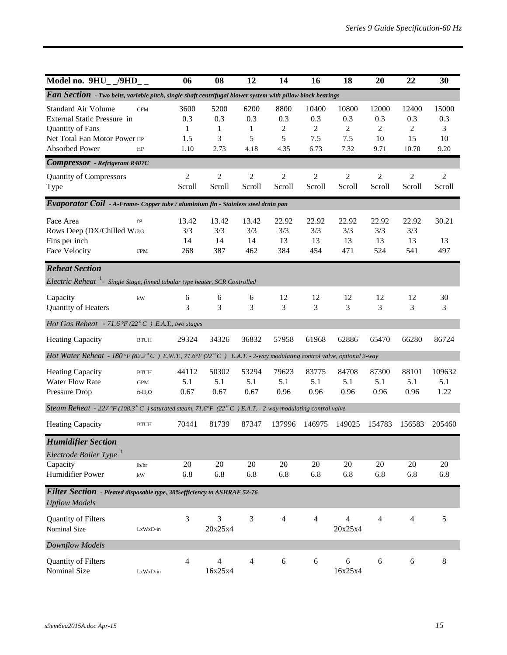| Model no. $9HU_{-}/9HD_{-}$                                                                                                     |                                       | 06                              | 08                                  | 12                                       | 14                            | 16                               | 18                                            | 20                              | 22                               | 30                              |
|---------------------------------------------------------------------------------------------------------------------------------|---------------------------------------|---------------------------------|-------------------------------------|------------------------------------------|-------------------------------|----------------------------------|-----------------------------------------------|---------------------------------|----------------------------------|---------------------------------|
| Fan Section - Two belts, variable pitch, single shaft centrifugal blower system with pillow block bearings                      |                                       |                                 |                                     |                                          |                               |                                  |                                               |                                 |                                  |                                 |
| <b>Standard Air Volume</b><br>External Static Pressure in<br>Quantity of Fans<br>Net Total Fan Motor Power HP<br>Absorbed Power | <b>CFM</b><br>HP                      | 3600<br>0.3<br>1<br>1.5<br>1.10 | 5200<br>0.3<br>1<br>3<br>2.73       | 6200<br>0.3<br>$\mathbf{1}$<br>5<br>4.18 | 8800<br>0.3<br>2<br>5<br>4.35 | 10400<br>0.3<br>2<br>7.5<br>6.73 | 10800<br>0.3<br>$\overline{c}$<br>7.5<br>7.32 | 12000<br>0.3<br>2<br>10<br>9.71 | 12400<br>0.3<br>2<br>15<br>10.70 | 15000<br>0.3<br>3<br>10<br>9.20 |
| <b>Compressor</b> - Refrigerant R407C                                                                                           |                                       |                                 |                                     |                                          |                               |                                  |                                               |                                 |                                  |                                 |
| <b>Quantity of Compressors</b><br>Type                                                                                          |                                       | $\overline{2}$<br>Scroll        | $\overline{2}$<br>Scroll            | $\overline{2}$<br>Scroll                 | $\overline{2}$<br>Scroll      | $\overline{2}$<br>Scroll         | $\overline{c}$<br>Scroll                      | $\overline{c}$<br>Scroll        | $\overline{2}$<br>Scroll         | $\overline{c}$<br>Scroll        |
| Evaporator Coil - A-Frame-Copper tube / aluminium fin - Stainless steel drain pan                                               |                                       |                                 |                                     |                                          |                               |                                  |                                               |                                 |                                  |                                 |
| Face Area<br>Rows Deep (DX/Chilled W:3/3<br>Fins per inch<br>Face Velocity                                                      | ft <sup>2</sup><br><b>FPM</b>         | 13.42<br>3/3<br>14<br>268       | 13.42<br>3/3<br>14<br>387           | 13.42<br>3/3<br>14<br>462                | 22.92<br>3/3<br>13<br>384     | 22.92<br>3/3<br>13<br>454        | 22.92<br>3/3<br>13<br>471                     | 22.92<br>3/3<br>13<br>524       | 22.92<br>3/3<br>13<br>541        | 30.21<br>13<br>497              |
| <b>Reheat Section</b><br>Electric Reheat <sup>1</sup> - Single Stage, finned tubular type heater, SCR Controlled                |                                       |                                 |                                     |                                          |                               |                                  |                                               |                                 |                                  |                                 |
| Capacity<br>Quantity of Heaters                                                                                                 | kW                                    | 6<br>3                          | 6<br>3                              | 6<br>3                                   | 12<br>3                       | 12<br>3                          | 12<br>3                                       | 12<br>3                         | 12<br>3                          | 30<br>3                         |
| Hot Gas Reheat - 71.6 °F (22 $^{\circ}$ C) E.A.T., two stages                                                                   |                                       |                                 |                                     |                                          |                               |                                  |                                               |                                 |                                  |                                 |
| <b>Heating Capacity</b>                                                                                                         | <b>BTUH</b>                           | 29324                           | 34326                               | 36832                                    | 57958                         | 61968                            | 62886                                         | 65470                           | 66280                            | 86724                           |
| Hot Water Reheat - 180 °F (82.2 ° C) E.W.T., 71.6 °F (22 ° C) E.A.T. - 2-way modulating control valve, optional 3-way           |                                       |                                 |                                     |                                          |                               |                                  |                                               |                                 |                                  |                                 |
| <b>Heating Capacity</b><br><b>Water Flow Rate</b><br>Pressure Drop                                                              | <b>BTUH</b><br><b>GPM</b><br>$ft-H2O$ | 44112<br>5.1<br>0.67            | 50302<br>5.1<br>0.67                | 53294<br>5.1<br>0.67                     | 79623<br>5.1<br>0.96          | 83775<br>5.1<br>0.96             | 84708<br>5.1<br>0.96                          | 87300<br>5.1<br>0.96            | 88101<br>5.1<br>0.96             | 109632<br>5.1<br>1.22           |
| Steam Reheat - 227 °F (108.3° C) saturated steam, 71.6°F (22° C) E.A.T. - 2-way modulating control valve                        |                                       |                                 |                                     |                                          |                               |                                  |                                               |                                 |                                  |                                 |
| <b>Heating Capacity</b>                                                                                                         | <b>BTUH</b>                           | 70441                           | 81739                               | 87347                                    | 137996                        | 146975                           | 149025                                        | 154783                          | 156583                           | 205460                          |
| <b>Humidifier Section</b><br>Electrode Boiler Type <sup>1</sup><br>Capacity                                                     | lb/hr                                 | 20                              | 20                                  | 20                                       | 20                            | $20\,$                           | 20                                            | 20                              | 20                               | 20                              |
| Humidifier Power                                                                                                                | kW                                    | 6.8                             | 6.8                                 | 6.8                                      | 6.8                           | 6.8                              | 6.8                                           | 6.8                             | 6.8                              | 6.8                             |
| Filter Section - Pleated disposable type, 30% efficiency to ASHRAE 52-76<br><b>Upflow Models</b>                                |                                       |                                 |                                     |                                          |                               |                                  |                                               |                                 |                                  |                                 |
| Quantity of Filters<br>Nominal Size                                                                                             | LxWxD-in                              | $\mathfrak{Z}$                  | 3<br>20x25x4                        | $\mathfrak{Z}$                           | $\overline{4}$                | $\overline{4}$                   | $\overline{4}$<br>20x25x4                     | $\overline{4}$                  | $\overline{4}$                   | 5                               |
| Downflow Models                                                                                                                 |                                       |                                 |                                     |                                          |                               |                                  |                                               |                                 |                                  |                                 |
| Quantity of Filters<br>Nominal Size                                                                                             | LxWxD-in                              | $\overline{4}$                  | $\overline{\mathcal{L}}$<br>16x25x4 | $\overline{4}$                           | $\sqrt{6}$                    | 6                                | $\sqrt{6}$<br>16x25x4                         | 6                               | $\boldsymbol{6}$                 | $8\,$                           |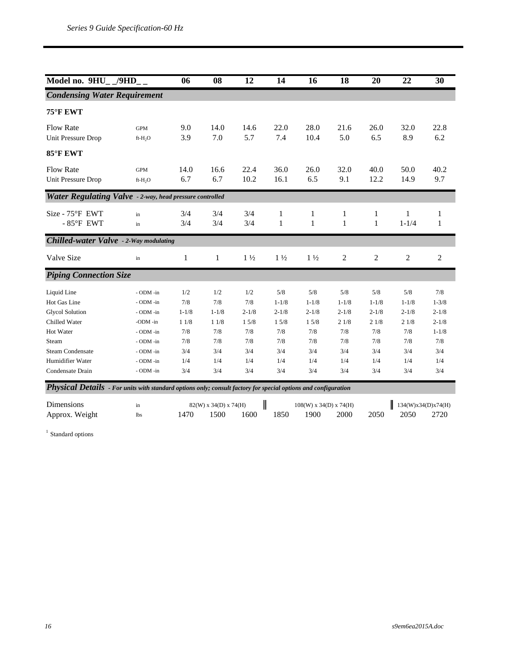| Model no. 9HU_ _/9HD_ _                                                                                        |                     | 06           | 08                    | 12             | 14             | 16                       | 18           | 20               | 22                 | 30             |
|----------------------------------------------------------------------------------------------------------------|---------------------|--------------|-----------------------|----------------|----------------|--------------------------|--------------|------------------|--------------------|----------------|
| <b>Condensing Water Requirement</b>                                                                            |                     |              |                       |                |                |                          |              |                  |                    |                |
| 75°F EWT                                                                                                       |                     |              |                       |                |                |                          |              |                  |                    |                |
| <b>Flow Rate</b>                                                                                               | <b>GPM</b>          | 9.0          | 14.0                  | 14.6           | 22.0           | 28.0                     | 21.6         | 26.0             | 32.0               | 22.8           |
| Unit Pressure Drop                                                                                             | ft-H <sub>2</sub> O | 3.9          | 7.0                   | 5.7            | 7.4            | 10.4                     | 5.0          | 6.5              | 8.9                | 6.2            |
| 85°F EWT                                                                                                       |                     |              |                       |                |                |                          |              |                  |                    |                |
| <b>Flow Rate</b>                                                                                               | <b>GPM</b>          | 14.0         | 16.6                  | 22.4           | 36.0           | 26.0                     | 32.0         | 40.0             | 50.0               | 40.2           |
| <b>Unit Pressure Drop</b>                                                                                      | ft-H <sub>2</sub> O | 6.7          | 6.7                   | 10.2           | 16.1           | 6.5                      | 9.1          | 12.2             | 14.9               | 9.7            |
| Water Regulating Valve - 2-way, head pressure controlled                                                       |                     |              |                       |                |                |                          |              |                  |                    |                |
| Size - 75°F EWT                                                                                                | in                  | 3/4          | 3/4                   | 3/4            | 1              | 1                        | 1            | 1                | 1                  | 1              |
| $-85^{\circ}$ F EWT                                                                                            | in                  | 3/4          | 3/4                   | 3/4            | 1              | 1                        | $\mathbf{1}$ | 1                | $1 - 1/4$          | 1              |
| <b>Chilled-water Valve</b> - 2-Way modulating                                                                  |                     |              |                       |                |                |                          |              |                  |                    |                |
| Valve Size                                                                                                     | in                  | $\mathbf{1}$ | $\mathbf{1}$          | $1\frac{1}{2}$ | $1\frac{1}{2}$ | $1\frac{1}{2}$           | $\sqrt{2}$   | $\boldsymbol{2}$ | $\overline{2}$     | $\overline{c}$ |
| <b>Piping Connection Size</b>                                                                                  |                     |              |                       |                |                |                          |              |                  |                    |                |
| Liquid Line                                                                                                    | - ODM -in           | 1/2          | 1/2                   | 1/2            | 5/8            | 5/8                      | 5/8          | 5/8              | 5/8                | 7/8            |
| Hot Gas Line                                                                                                   | - ODM -in           | 7/8          | 7/8                   | 7/8            | $1 - 1/8$      | $1 - 1/8$                | $1 - 1/8$    | $1 - 1/8$        | $1 - 1/8$          | $1 - 3/8$      |
| <b>Glycol Solution</b>                                                                                         | - ODM -in           | $1 - 1/8$    | $1 - 1/8$             | $2 - 1/8$      | $2 - 1/8$      | $2 - 1/8$                | $2 - 1/8$    | $2 - 1/8$        | $2 - 1/8$          | $2 - 1/8$      |
| Chilled Water                                                                                                  | -ODM -in            | 11/8         | 11/8                  | 15/8           | 15/8           | 15/8                     | 21/8         | 21/8             | 21/8               | $2 - 1/8$      |
| Hot Water                                                                                                      | - ODM -in           | 7/8          | 7/8                   | 7/8            | 7/8            | 7/8                      | 7/8          | 7/8              | 7/8                | $1 - 1/8$      |
| Steam                                                                                                          | - ODM -in           | 7/8          | 7/8                   | 7/8            | 7/8            | 7/8                      | 7/8          | 7/8              | 7/8                | 7/8            |
| <b>Steam Condensate</b>                                                                                        | - ODM -in           | 3/4          | 3/4                   | 3/4            | 3/4            | 3/4                      | 3/4          | 3/4              | 3/4                | 3/4            |
| Humidifier Water                                                                                               | - ODM -in           | 1/4          | 1/4                   | 1/4            | 1/4            | 1/4                      | 1/4          | 1/4              | 1/4                | 1/4            |
| Condensate Drain                                                                                               | - ODM -in           | 3/4          | 3/4                   | 3/4            | 3/4            | 3/4                      | 3/4          | 3/4              | 3/4                | 3/4            |
| Physical Details - For units with standard options only; consult factory for special options and configuration |                     |              |                       |                |                |                          |              |                  |                    |                |
| Dimensions                                                                                                     | in                  |              | 82(W) x 34(D) x 74(H) |                |                | $108(W)$ x 34(D) x 74(H) |              |                  | 134(W)x34(D)x74(H) |                |
| Approx. Weight                                                                                                 | lbs                 | 1470         | 1500                  | 1600           | 1850           | 1900                     | 2000         | 2050             | 2050               | 2720           |

<sup>1</sup> Standard options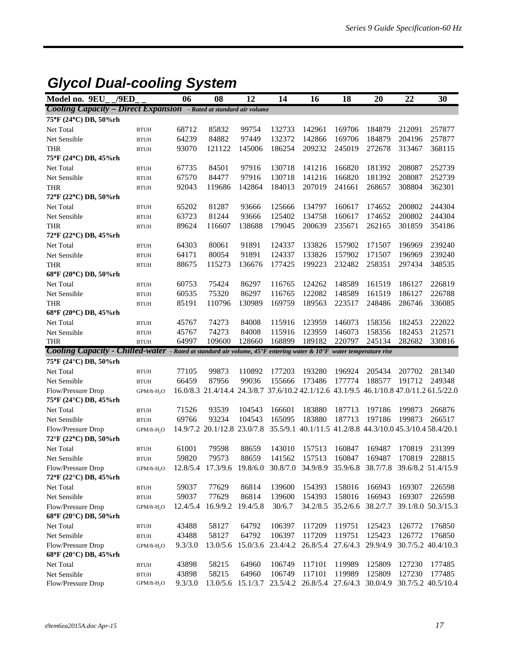### *Glycol Dual-cooling System*

| Model no. 9EU                                                             | /9ED                    | 06             | 08                                                                                     | 12              | 14               | 16                                                        | 18               | 20               | 22               | 30                 |
|---------------------------------------------------------------------------|-------------------------|----------------|----------------------------------------------------------------------------------------|-----------------|------------------|-----------------------------------------------------------|------------------|------------------|------------------|--------------------|
| <b>Cooling Capacity - Direct Expansion</b> - Rated at standard air volume |                         |                |                                                                                        |                 |                  |                                                           |                  |                  |                  |                    |
| 75°F (24°C) DB, 50%rh                                                     |                         |                |                                                                                        |                 |                  |                                                           |                  |                  |                  |                    |
| Net Total                                                                 | <b>BTUH</b>             | 68712          | 85832                                                                                  | 99754           | 132733           | 142961                                                    | 169706           | 184879           | 212091           | 257877             |
| Net Sensible                                                              | <b>BTUH</b>             | 64239          | 84882                                                                                  | 97449           | 132372           | 142866                                                    | 169706           | 184879           | 204196           | 257877             |
| THR                                                                       | <b>BTUH</b>             | 93070          | 121122                                                                                 | 145006          | 186254           | 209232                                                    | 245019           | 272678           | 313467           | 368115             |
| 75°F (24°C) DB, 45%rh                                                     |                         |                |                                                                                        |                 |                  |                                                           |                  |                  |                  |                    |
| Net Total                                                                 | <b>BTUH</b>             | 67735          | 84501                                                                                  | 97916           | 130718           | 141216                                                    | 166820           | 181392           | 208087           | 252739             |
| Net Sensible                                                              | <b>BTUH</b>             | 67570          | 84477                                                                                  | 97916           | 130718           | 141216                                                    | 166820           | 181392           | 208087           | 252739             |
| THR                                                                       | <b>BTUH</b>             | 92043          | 119686                                                                                 | 142864          | 184013           | 207019                                                    | 241661           | 268657           | 308804           | 362301             |
| 72°F (22°C) DB, 50%rh                                                     |                         |                |                                                                                        |                 |                  |                                                           |                  |                  |                  |                    |
| Net Total                                                                 | <b>BTUH</b>             | 65202          | 81287                                                                                  | 93666           | 125666           | 134797                                                    | 160617           | 174652           | 200802           | 244304             |
| Net Sensible                                                              | <b>BTUH</b>             | 63723          | 81244                                                                                  | 93666           | 125402           | 134758                                                    | 160617           | 174652           | 200802           | 244304             |
| <b>THR</b>                                                                | <b>BTUH</b>             | 89624          | 116607                                                                                 | 138688          | 179045           | 200639                                                    | 235671           | 262165           | 301859           | 354186             |
| 72°F (22°C) DB, 45%rh                                                     |                         |                |                                                                                        |                 |                  |                                                           |                  |                  |                  |                    |
| Net Total                                                                 | <b>BTUH</b>             | 64303          | 80061                                                                                  | 91891           | 124337           | 133826                                                    | 157902           | 171507           | 196969           | 239240             |
| Net Sensible                                                              | <b>BTUH</b>             | 64171          | 80054                                                                                  | 91891           | 124337           | 133826                                                    | 157902           | 171507           | 196969           | 239240             |
| <b>THR</b>                                                                | <b>BTUH</b>             | 88675          | 115273                                                                                 | 136676          | 177425           | 199223                                                    | 232482           | 258351           | 297434           | 348535             |
| 68°F (20°C) DB, 50%rh                                                     |                         |                |                                                                                        |                 |                  |                                                           |                  |                  |                  |                    |
| Net Total                                                                 | <b>BTUH</b>             | 60753          | 75424                                                                                  | 86297           | 116765           | 124262                                                    | 148589           | 161519           | 186127           | 226819             |
| Net Sensible                                                              | <b>BTUH</b>             | 60535          | 75320                                                                                  | 86297           | 116765           | 122082                                                    | 148589           | 161519           | 186127           | 226788             |
| <b>THR</b>                                                                | <b>BTUH</b>             | 85191          | 110796                                                                                 | 130989          | 169759           | 189563                                                    | 223517           | 248486           | 286746           | 336085             |
| 68°F (20°C) DB, 45%rh                                                     |                         |                |                                                                                        |                 |                  |                                                           |                  |                  |                  |                    |
| Net Total                                                                 | <b>BTUH</b>             | 45767          | 74273                                                                                  | 84008           | 115916           | 123959                                                    | 146073           | 158356           | 182453           | 222022             |
| Net Sensible                                                              | <b>BTUH</b>             | 45767<br>64997 | 74273<br>109600                                                                        | 84008<br>128660 | 115916<br>168899 | 123959<br>189182                                          | 146073<br>220797 | 158356<br>245134 | 182453<br>282682 | 212571<br>330816   |
| <b>THR</b><br><b>Cooling Capacity - Chilled-water</b>                     | <b>BTUH</b>             |                | - Rated at standard air volume, 45°F entering water & 10°F water temperature rise      |                 |                  |                                                           |                  |                  |                  |                    |
| 75°F (24°C) DB, 50%rh                                                     |                         |                |                                                                                        |                 |                  |                                                           |                  |                  |                  |                    |
| Net Total                                                                 | <b>BTUH</b>             | 77105          | 99873                                                                                  | 110892          | 177203           | 193280                                                    | 196924           | 205434           | 207702           | 281340             |
| Net Sensible                                                              | <b>BTUH</b>             | 66459          | 87956                                                                                  | 99036           | 155666           | 173486                                                    | 177774           | 188577           | 191712           | 249348             |
| Flow/Pressure Drop                                                        | GPM/ft-H <sub>2</sub> O |                | 16.0/8.3 21.4/14.4 24.3/8.7 37.6/10.2 42.1/12.6 43.1/9.5 46.1/10.8 47.0/11.2 61.5/22.0 |                 |                  |                                                           |                  |                  |                  |                    |
| 75°F (24°C) DB, 45%rh                                                     |                         |                |                                                                                        |                 |                  |                                                           |                  |                  |                  |                    |
| Net Total                                                                 | <b>BTUH</b>             | 71526          | 93539                                                                                  | 104543          | 166601           | 183880                                                    | 187713           | 197186           | 199873           | 266876             |
| Net Sensible                                                              | <b>BTUH</b>             | 69766          | 93234                                                                                  | 104543          | 165095           | 183880                                                    | 187713           | 197186           | 199873           | 266517             |
| Flow/Pressure Drop                                                        | GPM/ft-H <sub>2</sub> O |                | 14.9/7.2 20.1/12.8 23.0/7.8                                                            |                 |                  | 35.5/9.1 40.1/11.5 41.2/8.8 44.3/10.0 45.3/10.4 58.4/20.1 |                  |                  |                  |                    |
| 72°F (22°C) DB, 50%rh                                                     |                         |                |                                                                                        |                 |                  |                                                           |                  |                  |                  |                    |
| Net Total                                                                 | <b>BTUH</b>             | 61001          | 79598                                                                                  | 88659           | 143010           | 157513                                                    | 160847           | 169487           | 170819           | 231399             |
| Net Sensible                                                              | <b>BTUH</b>             | 59820          | 79573                                                                                  | 88659           | 141562           | 157513                                                    | 160847           | 169487           | 170819           | 228815             |
| Flow/Pressure Drop                                                        | GPM/ft-H <sub>2</sub> O |                | 12.8/5.4 17.3/9.6 19.8/6.0 30.8/7.0 34.9/8.9 35.9/6.8 38.7/7.8 39.6/8.2 51.4/15.9      |                 |                  |                                                           |                  |                  |                  |                    |
| 72°F (22°C) DB, 45%rh                                                     |                         |                |                                                                                        |                 |                  |                                                           |                  |                  |                  |                    |
| Net Total                                                                 | <b>BTUH</b>             | 59037          | 77629                                                                                  | 86814           | 139600           | 154393                                                    | 158016           | 166943           | 169307           | 226598             |
| Net Sensible                                                              | <b>BTUH</b>             | 59037          | 77629                                                                                  | 86814           | 139600           | 154393                                                    | 158016           | 166943           | 169307           | 226598             |
| Flow/Pressure Drop                                                        | $GPM/ft-H2O$            | 12.4/5.4       | 16.9/9.2                                                                               | 19.4/5.8        | 30/6.7           | 34.2/8.5                                                  | 35.2/6.6         | 38.2/7.7         |                  | 39.1/8.0 50.3/15.3 |
| 68°F (20°C) DB, 50%rh                                                     |                         |                |                                                                                        |                 |                  |                                                           |                  |                  |                  |                    |
| Net Total                                                                 | $\operatorname{BTUH}$   | 43488          | 58127                                                                                  | 64792           | 106397           | 117209                                                    | 119751           | 125423           | 126772           | 176850             |
| Net Sensible                                                              | <b>BTUH</b>             | 43488          | 58127                                                                                  | 64792           | 106397           | 117209                                                    | 119751           | 125423           | 126772           | 176850             |
| Flow/Pressure Drop                                                        | $GPM/ft-H2O$            | 9.3/3.0        | 13.0/5.6                                                                               | 15.0/3.6        | 23.4/4.2         | 26.8/5.4 27.6/4.3                                         |                  | 29.9/4.9         |                  | 30.7/5.2 40.4/10.3 |
| 68°F (20°C) DB, 45%rh                                                     |                         |                |                                                                                        |                 |                  |                                                           |                  |                  |                  |                    |
| Net Total                                                                 | $\operatorname{BTUH}$   | 43898          | 58215                                                                                  | 64960           | 106749           | 117101                                                    | 119989           | 125809           | 127230           | 177485             |
| Net Sensible                                                              | <b>BTUH</b>             | 43898          | 58215                                                                                  | 64960           | 106749           | 117101                                                    | 119989           | 125809           | 127230           | 177485             |
| Flow/Pressure Drop                                                        | $GPM/ft-H2O$            | 9.3/3.0        | 13.0/5.6                                                                               | 15.1/3.7        |                  | 23.5/4.2 26.8/5.4 27.6/4.3                                |                  | 30.0/4.9         |                  | 30.7/5.2 40.5/10.4 |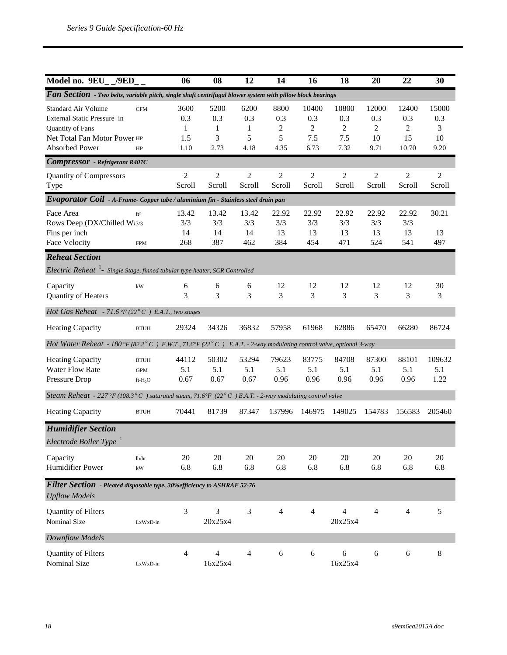| Model no. 9EU_/9ED_                                                                                                      |                                                  | 06                              | 08                            | 12                            | 14                            | 16                               | 18                               | 20                              | 22                               | 30                              |
|--------------------------------------------------------------------------------------------------------------------------|--------------------------------------------------|---------------------------------|-------------------------------|-------------------------------|-------------------------------|----------------------------------|----------------------------------|---------------------------------|----------------------------------|---------------------------------|
| Fan Section - Two belts, variable pitch, single shaft centrifugal blower system with pillow block bearings               |                                                  |                                 |                               |                               |                               |                                  |                                  |                                 |                                  |                                 |
| Standard Air Volume<br>External Static Pressure in<br>Quantity of Fans<br>Net Total Fan Motor Power HP<br>Absorbed Power | <b>CFM</b><br>HP                                 | 3600<br>0.3<br>1<br>1.5<br>1.10 | 5200<br>0.3<br>1<br>3<br>2.73 | 6200<br>0.3<br>1<br>5<br>4.18 | 8800<br>0.3<br>2<br>5<br>4.35 | 10400<br>0.3<br>2<br>7.5<br>6.73 | 10800<br>0.3<br>2<br>7.5<br>7.32 | 12000<br>0.3<br>2<br>10<br>9.71 | 12400<br>0.3<br>2<br>15<br>10.70 | 15000<br>0.3<br>3<br>10<br>9.20 |
| <b>Compressor</b> - Refrigerant R407C                                                                                    |                                                  |                                 |                               |                               |                               |                                  |                                  |                                 |                                  |                                 |
| <b>Quantity of Compressors</b><br>Type                                                                                   |                                                  | $\overline{c}$<br>Scroll        | $\overline{c}$<br>Scroll      | $\overline{c}$<br>Scroll      | $\overline{c}$<br>Scroll      | $\overline{c}$<br>Scroll         | $\overline{c}$<br>Scroll         | $\overline{c}$<br>Scroll        | $\overline{2}$<br>Scroll         | 2<br>Scroll                     |
| Evaporator Coil - A-Frame-Copper tube / aluminium fin - Stainless steel drain pan                                        |                                                  |                                 |                               |                               |                               |                                  |                                  |                                 |                                  |                                 |
| Face Area<br>Rows Deep (DX/Chilled W:3/3<br>Fins per inch<br>Face Velocity                                               | ft <sup>2</sup><br><b>FPM</b>                    | 13.42<br>3/3<br>14<br>268       | 13.42<br>3/3<br>14<br>387     | 13.42<br>3/3<br>14<br>462     | 22.92<br>3/3<br>13<br>384     | 22.92<br>3/3<br>13<br>454        | 22.92<br>3/3<br>13<br>471        | 22.92<br>3/3<br>13<br>524       | 22.92<br>3/3<br>13<br>541        | 30.21<br>13<br>497              |
| <b>Reheat Section</b>                                                                                                    |                                                  |                                 |                               |                               |                               |                                  |                                  |                                 |                                  |                                 |
| Electric Reheat <sup>1</sup> - Single Stage, finned tubular type heater, SCR Controlled                                  |                                                  |                                 |                               |                               |                               |                                  |                                  |                                 |                                  |                                 |
| Capacity<br>Quantity of Heaters                                                                                          | kW                                               | 6<br>3                          | 6<br>3                        | 6<br>3                        | 12<br>3                       | 12<br>3                          | 12<br>3                          | 12<br>3                         | 12<br>3                          | 30<br>3                         |
| Hot Gas Reheat - 71.6 °F (22 $^o$ C) E.A.T., two stages                                                                  |                                                  |                                 |                               |                               |                               |                                  |                                  |                                 |                                  |                                 |
| <b>Heating Capacity</b>                                                                                                  | <b>BTUH</b>                                      | 29324                           | 34326                         | 36832                         | 57958                         | 61968                            | 62886                            | 65470                           | 66280                            | 86724                           |
| Hot Water Reheat - 180 °F (82.2 ° C) E.W.T., 71.6 °F (22 ° C) E.A.T. - 2-way modulating control valve, optional 3-way    |                                                  |                                 |                               |                               |                               |                                  |                                  |                                 |                                  |                                 |
| <b>Heating Capacity</b><br><b>Water Flow Rate</b><br>Pressure Drop                                                       | <b>BTUH</b><br><b>GPM</b><br>ft-H <sub>2</sub> O | 44112<br>5.1<br>0.67            | 50302<br>5.1<br>0.67          | 53294<br>5.1<br>0.67          | 79623<br>5.1<br>0.96          | 83775<br>5.1<br>0.96             | 84708<br>5.1<br>0.96             | 87300<br>5.1<br>0.96            | 88101<br>5.1<br>0.96             | 109632<br>5.1<br>1.22           |
| Steam Reheat - 227 °F (108.3° C) saturated steam, 71.6°F (22° C) E.A.T. - 2-way modulating control valve                 |                                                  |                                 |                               |                               |                               |                                  |                                  |                                 |                                  |                                 |
| <b>Heating Capacity</b>                                                                                                  | <b>BTUH</b>                                      | 70441                           | 81739                         | 87347                         | 137996                        | 146975                           | 149025                           | 154783                          | 156583                           | 205460                          |
| <b>Humidifier Section</b><br>Electrode Boiler Type <sup>1</sup>                                                          |                                                  |                                 |                               |                               |                               |                                  |                                  |                                 |                                  |                                 |
| Capacity<br><b>Humidifier Power</b>                                                                                      | lb/hr<br>kW                                      | 20<br>6.8                       | $20\,$<br>6.8                 | $20\,$<br>6.8                 | $20\,$<br>6.8                 | 20<br>6.8                        | $20\,$<br>6.8                    | 20<br>6.8                       | 20<br>6.8                        | 20<br>6.8                       |
| Filter Section - Pleated disposable type, 30% efficiency to ASHRAE 52-76<br><b>Upflow Models</b>                         |                                                  |                                 |                               |                               |                               |                                  |                                  |                                 |                                  |                                 |
| Quantity of Filters<br>Nominal Size                                                                                      | LxWxD-in                                         | 3                               | 3<br>20x25x4                  | 3                             | 4                             | 4                                | $\overline{4}$<br>20x25x4        | 4                               | $\overline{4}$                   | 5                               |
| Downflow Models                                                                                                          |                                                  |                                 |                               |                               |                               |                                  |                                  |                                 |                                  |                                 |
| Quantity of Filters<br>Nominal Size                                                                                      | LxWxD-in                                         | 4                               | 4<br>16x25x4                  | 4                             | $\sqrt{6}$                    | 6                                | 6<br>16x25x4                     | $\sqrt{6}$                      | 6                                | $8\,$                           |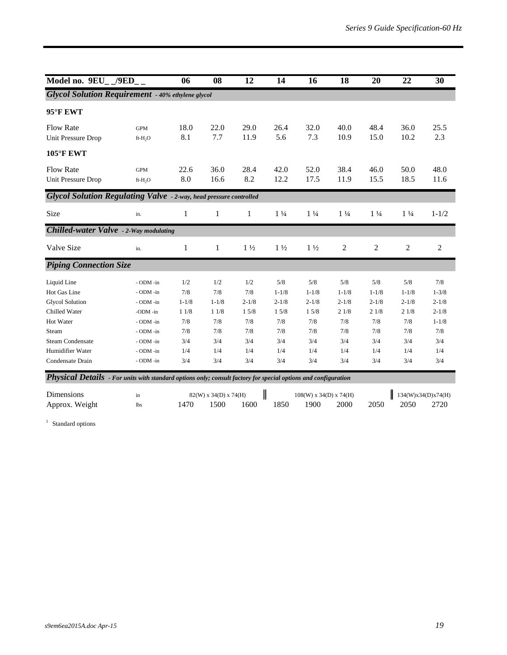| Model no. $9EU_-$ /9ED_                                                                                        |                                                   | 06                              | 08                              | 12                              | 14                                    | 16                                    | 18                                    | 20                                    | 22                                    | 30                                         |
|----------------------------------------------------------------------------------------------------------------|---------------------------------------------------|---------------------------------|---------------------------------|---------------------------------|---------------------------------------|---------------------------------------|---------------------------------------|---------------------------------------|---------------------------------------|--------------------------------------------|
| <b>Glycol Solution Requirement - 40% ethylene glycol</b>                                                       |                                                   |                                 |                                 |                                 |                                       |                                       |                                       |                                       |                                       |                                            |
| 95°F EWT                                                                                                       |                                                   |                                 |                                 |                                 |                                       |                                       |                                       |                                       |                                       |                                            |
| <b>Flow Rate</b><br><b>Unit Pressure Drop</b>                                                                  | <b>GPM</b><br>ft-H <sub>2</sub> O                 | 18.0<br>8.1                     | 22.0<br>7.7                     | 29.0<br>11.9                    | 26.4<br>5.6                           | 32.0<br>7.3                           | 40.0<br>10.9                          | 48.4<br>15.0                          | 36.0<br>10.2                          | 25.5<br>2.3                                |
| <b>105°F EWT</b>                                                                                               |                                                   |                                 |                                 |                                 |                                       |                                       |                                       |                                       |                                       |                                            |
| <b>Flow Rate</b><br>Unit Pressure Drop                                                                         | <b>GPM</b><br>ft-H <sub>2</sub> O                 | 22.6<br>8.0                     | 36.0<br>16.6                    | 28.4<br>8.2                     | 42.0<br>12.2                          | 52.0<br>17.5                          | 38.4<br>11.9                          | 46.0<br>15.5                          | 50.0<br>18.5                          | 48.0<br>11.6                               |
| <b>Glycol Solution Regulating Valve</b> - 2-way, head pressure controlled                                      |                                                   |                                 |                                 |                                 |                                       |                                       |                                       |                                       |                                       |                                            |
| Size                                                                                                           | in.                                               | $\mathbf{1}$                    | 1                               | 1                               | $1\frac{1}{4}$                        | $1\frac{1}{4}$                        | $1\frac{1}{4}$                        | $1\frac{1}{4}$                        | $1\frac{1}{4}$                        | $1 - 1/2$                                  |
| <b>Chilled-water Valve</b> - 2-Way modulating                                                                  |                                                   |                                 |                                 |                                 |                                       |                                       |                                       |                                       |                                       |                                            |
| Valve Size                                                                                                     | in.                                               | $\mathbf{1}$                    | $\mathbf{1}$                    | $1\frac{1}{2}$                  | $1\frac{1}{2}$                        | $1\frac{1}{2}$                        | $\sqrt{2}$                            | $\overline{c}$                        | $\overline{2}$                        | $\overline{c}$                             |
| <b>Piping Connection Size</b>                                                                                  |                                                   |                                 |                                 |                                 |                                       |                                       |                                       |                                       |                                       |                                            |
| Liquid Line<br>Hot Gas Line<br><b>Glycol Solution</b><br>Chilled Water                                         | - ODM -in<br>- ODM -in<br>- ODM -in<br>$-ODM$ -in | 1/2<br>7/8<br>$1 - 1/8$<br>11/8 | 1/2<br>7/8<br>$1 - 1/8$<br>11/8 | 1/2<br>7/8<br>$2 - 1/8$<br>15/8 | 5/8<br>$1 - 1/8$<br>$2 - 1/8$<br>15/8 | 5/8<br>$1 - 1/8$<br>$2 - 1/8$<br>15/8 | 5/8<br>$1 - 1/8$<br>$2 - 1/8$<br>21/8 | 5/8<br>$1 - 1/8$<br>$2 - 1/8$<br>21/8 | 5/8<br>$1 - 1/8$<br>$2 - 1/8$<br>21/8 | 7/8<br>$1 - 3/8$<br>$2 - 1/8$<br>$2 - 1/8$ |
| Hot Water                                                                                                      | - ODM -in                                         | 7/8                             | 7/8                             | 7/8                             | 7/8                                   | 7/8                                   | 7/8                                   | 7/8                                   | 7/8                                   | $1 - 1/8$                                  |
| Steam                                                                                                          | - ODM -in                                         | 7/8                             | 7/8                             | 7/8                             | 7/8                                   | 7/8                                   | 7/8                                   | 7/8                                   | 7/8                                   | 7/8                                        |
| <b>Steam Condensate</b>                                                                                        | - ODM -in                                         | 3/4                             | 3/4                             | 3/4                             | 3/4                                   | 3/4                                   | 3/4                                   | 3/4                                   | 3/4                                   | 3/4                                        |
| Humidifier Water<br>Condensate Drain                                                                           | - ODM -in<br>- ODM -in                            | 1/4<br>3/4                      | 1/4<br>3/4                      | 1/4<br>3/4                      | 1/4<br>3/4                            | 1/4<br>3/4                            | 1/4<br>3/4                            | 1/4<br>3/4                            | 1/4<br>3/4                            | 1/4<br>3/4                                 |
| Physical Details - For units with standard options only; consult factory for special options and configuration |                                                   |                                 |                                 |                                 |                                       |                                       |                                       |                                       |                                       |                                            |

| Dimensions     | m   |       | 82(W) x 34(D) x 74(H) |      |      | $108(W)$ x 34(D) x 74(H) |      |      | 134(W)x34(D)x74(H) |      |
|----------------|-----|-------|-----------------------|------|------|--------------------------|------|------|--------------------|------|
| Approx. Weight | lbs | 1470. | 1500                  | 1600 | 1850 | 1900                     | 2000 | 2050 | 2050               | 2720 |

<sup>1</sup> Standard options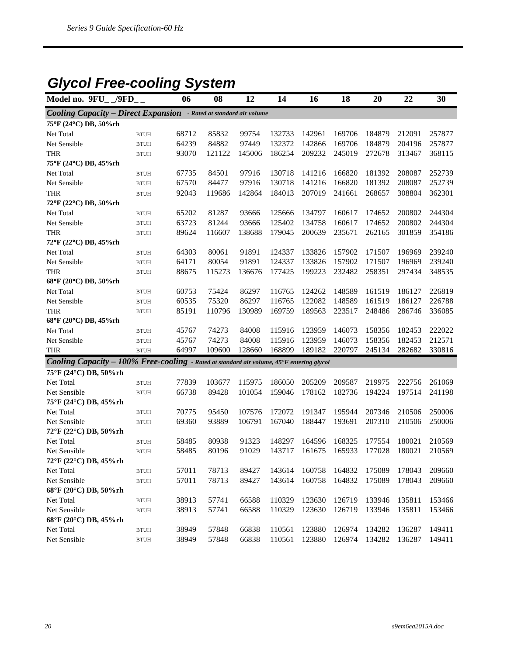# *Glycol Free-cooling System*

| Model no. 9FU_/9FD_                                                                       |                       | 06    | 08     | 12     | 14     | 16     | 18     | 20     | 22     | 30     |
|-------------------------------------------------------------------------------------------|-----------------------|-------|--------|--------|--------|--------|--------|--------|--------|--------|
| <b>Cooling Capacity - Direct Expansion</b> - Rated at standard air volume                 |                       |       |        |        |        |        |        |        |        |        |
| 75°F (24°C) DB, 50%rh                                                                     |                       |       |        |        |        |        |        |        |        |        |
| Net Total                                                                                 | <b>BTUH</b>           | 68712 | 85832  | 99754  | 132733 | 142961 | 169706 | 184879 | 212091 | 257877 |
| Net Sensible                                                                              | <b>BTUH</b>           | 64239 | 84882  | 97449  | 132372 | 142866 | 169706 | 184879 | 204196 | 257877 |
| <b>THR</b>                                                                                | <b>BTUH</b>           | 93070 | 121122 | 145006 | 186254 | 209232 | 245019 | 272678 | 313467 | 368115 |
| 75°F (24°C) DB, 45%rh                                                                     |                       |       |        |        |        |        |        |        |        |        |
| Net Total                                                                                 | <b>BTUH</b>           | 67735 | 84501  | 97916  | 130718 | 141216 | 166820 | 181392 | 208087 | 252739 |
| Net Sensible                                                                              | <b>BTUH</b>           | 67570 | 84477  | 97916  | 130718 | 141216 | 166820 | 181392 | 208087 | 252739 |
| <b>THR</b>                                                                                | <b>BTUH</b>           | 92043 | 119686 | 142864 | 184013 | 207019 | 241661 | 268657 | 308804 | 362301 |
| 72°F (22°C) DB, 50%rh                                                                     |                       |       |        |        |        |        |        |        |        |        |
| Net Total                                                                                 | <b>BTUH</b>           | 65202 | 81287  | 93666  | 125666 | 134797 | 160617 | 174652 | 200802 | 244304 |
| Net Sensible                                                                              | <b>BTUH</b>           | 63723 | 81244  | 93666  | 125402 | 134758 | 160617 | 174652 | 200802 | 244304 |
| <b>THR</b>                                                                                | <b>BTUH</b>           | 89624 | 116607 | 138688 | 179045 | 200639 | 235671 | 262165 | 301859 | 354186 |
| 72°F (22°C) DB, 45%rh                                                                     |                       |       |        |        |        |        |        |        |        |        |
| Net Total                                                                                 | <b>BTUH</b>           | 64303 | 80061  | 91891  | 124337 | 133826 | 157902 | 171507 | 196969 | 239240 |
| Net Sensible                                                                              | <b>BTUH</b>           | 64171 | 80054  | 91891  | 124337 | 133826 | 157902 | 171507 | 196969 | 239240 |
| <b>THR</b>                                                                                | <b>BTUH</b>           | 88675 | 115273 | 136676 | 177425 | 199223 | 232482 | 258351 | 297434 | 348535 |
| 68°F (20°C) DB, 50%rh                                                                     |                       |       |        |        |        |        |        |        |        |        |
| Net Total                                                                                 | <b>BTUH</b>           | 60753 | 75424  | 86297  | 116765 | 124262 | 148589 | 161519 | 186127 | 226819 |
| Net Sensible                                                                              | <b>BTUH</b>           | 60535 | 75320  | 86297  | 116765 | 122082 | 148589 | 161519 | 186127 | 226788 |
| <b>THR</b>                                                                                | <b>BTUH</b>           | 85191 | 110796 | 130989 | 169759 | 189563 | 223517 | 248486 | 286746 | 336085 |
| 68°F (20°C) DB, 45%rh                                                                     |                       |       |        |        |        |        |        |        |        |        |
| Net Total                                                                                 | <b>BTUH</b>           | 45767 | 74273  | 84008  | 115916 | 123959 | 146073 | 158356 | 182453 | 222022 |
| Net Sensible                                                                              | <b>BTUH</b>           | 45767 | 74273  | 84008  | 115916 | 123959 | 146073 | 158356 | 182453 | 212571 |
| <b>THR</b>                                                                                | <b>BTUH</b>           | 64997 | 109600 | 128660 | 168899 | 189182 | 220797 | 245134 | 282682 | 330816 |
| Cooling Capacity - 100% Free-cooling - Rated at standard air volume, 45°F entering glycol |                       |       |        |        |        |        |        |        |        |        |
| 75°F (24°C) DB, 50%rh                                                                     |                       |       |        |        |        |        |        |        |        |        |
| Net Total                                                                                 | <b>BTUH</b>           | 77839 | 103677 | 115975 | 186050 | 205209 | 209587 | 219975 | 222756 | 261069 |
| Net Sensible                                                                              | <b>BTUH</b>           | 66738 | 89428  | 101054 | 159046 | 178162 | 182736 | 194224 | 197514 | 241198 |
| 75°F (24°C) DB, 45%rh                                                                     |                       |       |        |        |        |        |        |        |        |        |
| Net Total                                                                                 | <b>BTUH</b>           | 70775 | 95450  | 107576 | 172072 | 191347 | 195944 | 207346 | 210506 | 250006 |
| Net Sensible                                                                              | <b>BTUH</b>           | 69360 | 93889  | 106791 | 167040 | 188447 | 193691 | 207310 | 210506 | 250006 |
| 72°F (22°C) DB, 50%rh                                                                     |                       |       |        |        |        |        |        |        |        |        |
| Net Total                                                                                 | <b>BTUH</b>           | 58485 | 80938  | 91323  | 148297 | 164596 | 168325 | 177554 | 180021 | 210569 |
| Net Sensible                                                                              | <b>BTUH</b>           | 58485 | 80196  | 91029  | 143717 | 161675 | 165933 | 177028 | 180021 | 210569 |
| 72°F (22°C) DB, 45%rh                                                                     |                       |       |        |        |        |        |        |        |        |        |
| Net Total                                                                                 | <b>BTUH</b>           | 57011 | 78713  | 89427  | 143614 | 160758 | 164832 | 175089 | 178043 | 209660 |
| Net Sensible                                                                              | <b>BTUH</b>           | 57011 | 78713  | 89427  | 143614 | 160758 | 164832 | 175089 | 178043 | 209660 |
| 68°F (20°C) DB, 50%rh                                                                     |                       |       |        |        |        |        |        |        |        |        |
| Net Total                                                                                 | <b>BTUH</b>           | 38913 | 57741  | 66588  | 110329 | 123630 | 126719 | 133946 | 135811 | 153466 |
| Net Sensible                                                                              | <b>BTUH</b>           | 38913 | 57741  | 66588  | 110329 | 123630 | 126719 | 133946 | 135811 | 153466 |
| 68°F (20°C) DB, 45%rh                                                                     |                       |       |        |        |        |        |        |        |        |        |
| Net Total                                                                                 | $\operatorname{BTUH}$ | 38949 | 57848  | 66838  | 110561 | 123880 | 126974 | 134282 | 136287 | 149411 |
| Net Sensible                                                                              | $\operatorname{BTUH}$ | 38949 | 57848  | 66838  | 110561 | 123880 | 126974 | 134282 | 136287 | 149411 |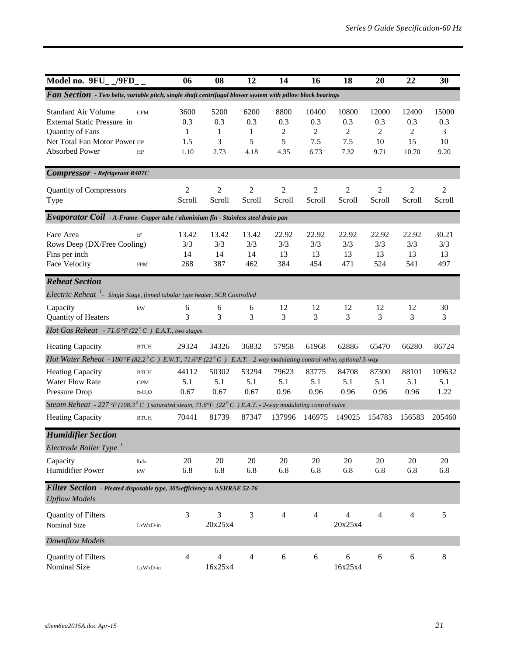| Model no. $9FU_{-}/9FD_{-}$                                                                                                     |                                       | 06                              | 08                                       | 12                            | 14                            | 16                               | 18                                 | 20                              | 22                               | 30                              |
|---------------------------------------------------------------------------------------------------------------------------------|---------------------------------------|---------------------------------|------------------------------------------|-------------------------------|-------------------------------|----------------------------------|------------------------------------|---------------------------------|----------------------------------|---------------------------------|
| Fan Section - Two belts, variable pitch, single shaft centrifugal blower system with pillow block bearings                      |                                       |                                 |                                          |                               |                               |                                  |                                    |                                 |                                  |                                 |
| <b>Standard Air Volume</b><br>External Static Pressure in<br>Quantity of Fans<br>Net Total Fan Motor Power HP<br>Absorbed Power | <b>CFM</b><br>HP                      | 3600<br>0.3<br>1<br>1.5<br>1.10 | 5200<br>0.3<br>$\mathbf{1}$<br>3<br>2.73 | 6200<br>0.3<br>1<br>5<br>4.18 | 8800<br>0.3<br>2<br>5<br>4.35 | 10400<br>0.3<br>2<br>7.5<br>6.73 | 10800<br>0.3<br>2<br>7.5<br>7.32   | 12000<br>0.3<br>2<br>10<br>9.71 | 12400<br>0.3<br>2<br>15<br>10.70 | 15000<br>0.3<br>3<br>10<br>9.20 |
| <b>Compressor</b> - Refrigerant R407C                                                                                           |                                       |                                 |                                          |                               |                               |                                  |                                    |                                 |                                  |                                 |
| <b>Quantity of Compressors</b><br>Type                                                                                          |                                       | $\overline{c}$<br>Scroll        | $\overline{c}$<br>Scroll                 | $\overline{c}$<br>Scroll      | $\overline{2}$<br>Scroll      | $\overline{c}$<br>Scroll         | $\overline{c}$<br>Scroll           | $\overline{c}$<br>Scroll        | $\overline{c}$<br>Scroll         | $\overline{c}$<br>Scroll        |
| Evaporator Coil - A-Frame-Copper tube / aluminium fin - Stainless steel drain pan                                               |                                       |                                 |                                          |                               |                               |                                  |                                    |                                 |                                  |                                 |
| Face Area<br>Rows Deep (DX/Free Cooling)<br>Fins per inch<br>Face Velocity                                                      | ft <sup>2</sup><br><b>FPM</b>         | 13.42<br>3/3<br>14<br>268       | 13.42<br>3/3<br>14<br>387                | 13.42<br>3/3<br>14<br>462     | 22.92<br>3/3<br>13<br>384     | 22.92<br>3/3<br>13<br>454        | 22.92<br>3/3<br>13<br>471          | 22.92<br>3/3<br>13<br>524       | 22.92<br>3/3<br>13<br>541        | 30.21<br>3/3<br>13<br>497       |
| <b>Reheat Section</b>                                                                                                           |                                       |                                 |                                          |                               |                               |                                  |                                    |                                 |                                  |                                 |
| Electric Reheat <sup>1</sup> - Single Stage, finned tubular type heater, SCR Controlled                                         |                                       |                                 |                                          |                               |                               |                                  |                                    |                                 |                                  |                                 |
| Capacity<br>Quantity of Heaters                                                                                                 | kW                                    | 6<br>3                          | 6<br>3                                   | 6<br>3                        | 12<br>3                       | 12<br>3                          | 12<br>3                            | 12<br>3                         | 12<br>3                          | 30<br>3                         |
| Hot Gas Reheat - 71.6°F (22°C) E.A.T., two stages                                                                               |                                       |                                 |                                          |                               |                               |                                  |                                    |                                 |                                  |                                 |
| <b>Heating Capacity</b>                                                                                                         | <b>BTUH</b>                           | 29324                           | 34326                                    | 36832                         | 57958                         | 61968                            | 62886                              | 65470                           | 66280                            | 86724                           |
| Hot Water Reheat - 180°F (82.2°C) E.W.T., 71.6°F (22°C) E.A.T. - 2-way modulating control valve, optional 3-way                 |                                       |                                 |                                          |                               |                               |                                  |                                    |                                 |                                  |                                 |
| <b>Heating Capacity</b><br><b>Water Flow Rate</b><br>Pressure Drop                                                              | <b>BTUH</b><br><b>GPM</b><br>$ft-H2O$ | 44112<br>5.1<br>0.67            | 50302<br>5.1<br>0.67                     | 53294<br>5.1<br>0.67          | 79623<br>5.1<br>0.96          | 83775<br>5.1<br>0.96             | 84708<br>5.1<br>0.96               | 87300<br>5.1<br>0.96            | 88101<br>5.1<br>0.96             | 109632<br>5.1<br>1.22           |
| Steam Reheat - 227 °F (108.3 °C) saturated steam, 71.6°F (22 °C) E.A.T. - 2-way modulating control valve                        |                                       |                                 |                                          |                               |                               |                                  |                                    |                                 |                                  |                                 |
| <b>Heating Capacity</b>                                                                                                         | <b>BTUH</b>                           | 70441                           | 81739                                    | 87347                         | 137996                        | 146975                           | 149025                             | 154783                          | 156583                           | 205460                          |
| <b>Humidifier Section</b><br>Electrode Boiler Type                                                                              |                                       |                                 |                                          |                               |                               |                                  |                                    |                                 |                                  |                                 |
| Capacity<br><b>Humidifier Power</b>                                                                                             | lb/hr<br>$\mathbf{k}\mathbf{W}$       | 20<br>6.8                       | 20<br>6.8                                | $20\,$<br>6.8                 | 20<br>6.8                     | 20<br>6.8                        | 20<br>6.8                          | 20<br>6.8                       | 20<br>6.8                        | 20<br>6.8                       |
| Filter Section - Pleated disposable type, 30% efficiency to ASHRAE 52-76<br><b>Upflow Models</b>                                |                                       |                                 |                                          |                               |                               |                                  |                                    |                                 |                                  |                                 |
| Quantity of Filters<br>Nominal Size                                                                                             | LxWxD-in                              | $\overline{3}$                  | 3<br>20x25x4                             | $\mathfrak{Z}$                | $\overline{4}$                | 4                                | $\overline{\mathbf{4}}$<br>20x25x4 | $\overline{\mathcal{L}}$        | $\overline{4}$                   | 5                               |
| Downflow Models                                                                                                                 |                                       |                                 |                                          |                               |                               |                                  |                                    |                                 |                                  |                                 |
| Quantity of Filters<br>Nominal Size                                                                                             | LxWxD-in                              | $\overline{4}$                  | $\overline{\mathcal{L}}$<br>16x25x4      | $\overline{4}$                | $\sqrt{6}$                    | 6                                | $\sqrt{6}$<br>16x25x4              | 6                               | $\sqrt{6}$                       | $8\,$                           |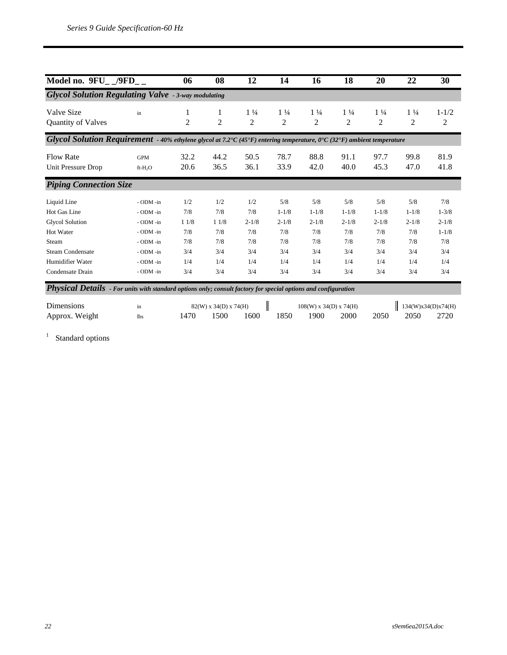| Model no. $9FU_{-}/9FD_{-}$                                                                                                                                                                                                                                      |                                                                                                      | 06                                                    | 08                                                    | 12                                                         | 14                                                               | 16                                                               | 18                                                               | 20                                                               | 22                                                               | 30                                                                     |
|------------------------------------------------------------------------------------------------------------------------------------------------------------------------------------------------------------------------------------------------------------------|------------------------------------------------------------------------------------------------------|-------------------------------------------------------|-------------------------------------------------------|------------------------------------------------------------|------------------------------------------------------------------|------------------------------------------------------------------|------------------------------------------------------------------|------------------------------------------------------------------|------------------------------------------------------------------|------------------------------------------------------------------------|
| <b>Glycol Solution Regulating Valve</b> - 3-way modulating                                                                                                                                                                                                       |                                                                                                      |                                                       |                                                       |                                                            |                                                                  |                                                                  |                                                                  |                                                                  |                                                                  |                                                                        |
| Valve Size<br><b>Quantity of Valves</b>                                                                                                                                                                                                                          | $\operatorname{in}$                                                                                  | 1<br>$\overline{2}$                                   | 1<br>$\overline{2}$                                   | $1\frac{1}{4}$<br>$\overline{2}$                           | $1\frac{1}{4}$<br>$\overline{2}$                                 | $1\frac{1}{4}$<br>$\overline{2}$                                 | $1\frac{1}{4}$<br>$\mathbf{2}$                                   | $1\frac{1}{4}$<br>$\overline{c}$                                 | $1\frac{1}{4}$<br>$\overline{c}$                                 | $1 - 1/2$<br>2                                                         |
| Glycol Solution Requirement - 40% ethylene glycol at 7.2 °C (45 °F) entering temperature, 0 °C (32 °F) ambient temperature                                                                                                                                       |                                                                                                      |                                                       |                                                       |                                                            |                                                                  |                                                                  |                                                                  |                                                                  |                                                                  |                                                                        |
| <b>Flow Rate</b><br>Unit Pressure Drop                                                                                                                                                                                                                           | <b>GPM</b><br>ft-H <sub>2</sub> O                                                                    | 32.2<br>20.6                                          | 44.2<br>36.5                                          | 50.5<br>36.1                                               | 78.7<br>33.9                                                     | 88.8<br>42.0                                                     | 91.1<br>40.0                                                     | 97.7<br>45.3                                                     | 99.8<br>47.0                                                     | 81.9<br>41.8                                                           |
| <b>Piping Connection Size</b>                                                                                                                                                                                                                                    |                                                                                                      |                                                       |                                                       |                                                            |                                                                  |                                                                  |                                                                  |                                                                  |                                                                  |                                                                        |
| Liquid Line<br>Hot Gas Line<br><b>Glycol Solution</b><br>Hot Water<br>Steam<br><b>Steam Condensate</b><br>Humidifier Water<br>Condensate Drain<br>Physical Details - For units with standard options only; consult factory for special options and configuration | - ODM -in<br>- ODM -in<br>- ODM -in<br>- ODM -in<br>- ODM -in<br>- ODM -in<br>- ODM -in<br>- ODM -in | 1/2<br>7/8<br>11/8<br>7/8<br>7/8<br>3/4<br>1/4<br>3/4 | 1/2<br>7/8<br>11/8<br>7/8<br>7/8<br>3/4<br>1/4<br>3/4 | 1/2<br>7/8<br>$2 - 1/8$<br>7/8<br>7/8<br>3/4<br>1/4<br>3/4 | 5/8<br>$1 - 1/8$<br>$2 - 1/8$<br>7/8<br>7/8<br>3/4<br>1/4<br>3/4 | 5/8<br>$1 - 1/8$<br>$2 - 1/8$<br>7/8<br>7/8<br>3/4<br>1/4<br>3/4 | 5/8<br>$1 - 1/8$<br>$2 - 1/8$<br>7/8<br>7/8<br>3/4<br>1/4<br>3/4 | 5/8<br>$1 - 1/8$<br>$2 - 1/8$<br>7/8<br>7/8<br>3/4<br>1/4<br>3/4 | 5/8<br>$1 - 1/8$<br>$2 - 1/8$<br>7/8<br>7/8<br>3/4<br>1/4<br>3/4 | 7/8<br>$1 - 3/8$<br>$2 - 1/8$<br>$1 - 1/8$<br>7/8<br>3/4<br>1/4<br>3/4 |
| Dimensions                                                                                                                                                                                                                                                       | $\operatorname{in}$                                                                                  |                                                       | $82(W)$ x 34(D) x 74(H)                               | Π                                                          |                                                                  | $108(W)$ x 34(D) x 74(H)                                         |                                                                  |                                                                  | 134(W)x34(D)x74(H)                                               |                                                                        |
| Approx. Weight                                                                                                                                                                                                                                                   | <b>lbs</b>                                                                                           | 1470                                                  | 1500                                                  | 1600                                                       | 1850                                                             | 1900                                                             | 2000                                                             | 2050                                                             | 2050                                                             | 2720                                                                   |

<sup>1</sup> Standard options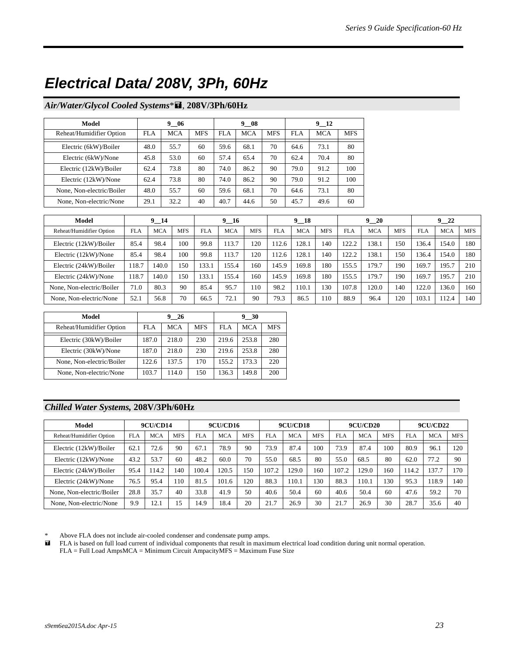# *Electrical Data/ 208V, 3Ph, 60Hz*

#### *Air/Water/Glycol Cooled Systems*\* , **208V/3Ph/60Hz**

| Model                     |      | 9 06       |            |      | 9 08       |            |      | 9 12 |            |
|---------------------------|------|------------|------------|------|------------|------------|------|------|------------|
| Reheat/Humidifier Option  | FLA  | <b>MCA</b> | <b>MFS</b> | FLA  | <b>MCA</b> | <b>MFS</b> | FLA  | MCA  | <b>MFS</b> |
| Electric (6kW)/Boiler     | 48.0 | 55.7       | 60         | 59.6 | 68.1       | 70         | 64.6 | 73.1 | 80         |
| Electric (6kW)/None       | 45.8 | 53.0       | 60         | 57.4 | 65.4       | 70         | 62.4 | 70.4 | 80         |
| Electric (12kW)/Boiler    | 62.4 | 73.8       | 80         | 74.0 | 86.2       | 90         | 79.0 | 91.2 | 100        |
| Electric (12kW)/None      | 62.4 | 73.8       | 80         | 74.0 | 86.2       | 90         | 79.0 | 91.2 | 100        |
| None, Non-electric/Boiler | 48.0 | 55.7       | 60         | 59.6 | 68.1       | 70         | 64.6 | 73.1 | 80         |
| None, Non-electric/None   | 29.1 | 32.2       | 40         | 40.7 | 44.6       | 50         | 45.7 | 49.6 | 60         |

| Model                     |            | $9 - 14$   |            |            | $9 - 16$   |            |            | $9 - 18$   |            |            | 920        |            |            | 922        |            |
|---------------------------|------------|------------|------------|------------|------------|------------|------------|------------|------------|------------|------------|------------|------------|------------|------------|
| Reheat/Humidifier Option  | <b>FLA</b> | <b>MCA</b> | <b>MFS</b> | <b>FLA</b> | <b>MCA</b> | <b>MFS</b> | <b>FLA</b> | <b>MCA</b> | <b>MFS</b> | <b>FLA</b> | <b>MCA</b> | <b>MFS</b> | <b>FLA</b> | <b>MCA</b> | <b>MFS</b> |
| Electric (12kW)/Boiler    | 85.4       | 98.4       | 100        | 99.8       | 13.7       | 120        | 12.6       | 128.1      | 140        | 122.2      | 138.1      | 150        | 136.4      | 154.0      | 180        |
| Electric (12kW)/None      | 85.4       | 98.4       | 100        | 99.8       | 13.7       | 120        | 12.6       | 128.1      | 140        | 122.2      | 138.1      | 150        | 136.4      | 154.0      | 180        |
| Electric (24kW)/Boiler    | 118.7      | 140.0      | 150        | 133.1      | 155.4      | 160        | 145.9      | 169.8      | 180        | 155.5      | 179.7      | 190        | 169.7      | 195.7      | 210        |
| Electric (24kW)/None      | 118.7      | 140.0      | 150        | 133.1      | 155.4      | 160        | 145.9      | 169.8      | 180        | 155.5      | 179.7      | 190        | 169.7      | 195.7      | 210        |
| None, Non-electric/Boiler | 71.0       | 80.3       | 90         | 85.4       | 95.7       | 110        | 98.2       | 110.1      | 130        | 107.8      | 120.0      | 140        | 122.0      | 136.0      | 160        |
| None, Non-electric/None   | 52.1       | 56.8       | 70         | 66.5       | 72.1       | 90         | 79.3       | 86.5       | 110        | 88.9       | 96.4       | 120        | 103.1      | 112.4      | 140        |

| Model                     |       | 9 26       |            |       | 9 30       |            |
|---------------------------|-------|------------|------------|-------|------------|------------|
| Reheat/Humidifier Option  | FLA   | <b>MCA</b> | <b>MFS</b> | FLA   | <b>MCA</b> | <b>MFS</b> |
| Electric (30kW)/Boiler    | 187.0 | 218.0      | 230        | 219.6 | 253.8      | 280        |
| Electric (30kW)/None      | 187.0 | 218.0      | 230        | 219.6 | 253.8      | 280        |
| None, Non-electric/Boiler | 122.6 | 137.5      | 170        | 155.2 | 173.3      | 220        |
| None, Non-electric/None   | 103.7 | 114.0      | 150        | 136.3 | 149.8      | 200        |

#### *Chilled Water Systems,* **208V/3Ph/60Hz**

| Model                     |            | <b>9CU/CD14</b> |            |            | <b>9CU/CD16</b> |            |            | <b>9CU/CD18</b> |            |            | <b>9CU/CD20</b> |            | <b>9CU/CD22</b> |            |            |
|---------------------------|------------|-----------------|------------|------------|-----------------|------------|------------|-----------------|------------|------------|-----------------|------------|-----------------|------------|------------|
| Reheat/Humidifier Option  | <b>FLA</b> | <b>MCA</b>      | <b>MFS</b> | <b>FLA</b> | <b>MCA</b>      | <b>MFS</b> | <b>FLA</b> | <b>MCA</b>      | <b>MFS</b> | <b>FLA</b> | <b>MCA</b>      | <b>MFS</b> | <b>FLA</b>      | <b>MCA</b> | <b>MFS</b> |
| Electric (12kW)/Boiler    | 62.1       | 72.6            | 90         | 67.1       | 78.9            | 90         | 73.9       | 87.4            | 100        | 73.9       | 87.4            | 100        | 80.9            | 96.1       | 120        |
| Electric (12kW)/None      | 43.2       | 53.7            | 60         | 48.2       | 60.0            | 70         | 55.0       | 68.5            | 80         | 55.0       | 68.5            | 80         | 62.0            | 77.2       | 90         |
| Electric (24kW)/Boiler    | 95.4       | 114.2           | 140        | 100.4      | 120.5           | 150        | 107.2      | 129.0           | 160        | 107.2      | 129.0           | 160        | 114.2           | 137.7      | 170        |
| Electric (24kW)/None      | 76.5       | 95.4            | 110        | 81.5       | 101.6           | 20         | 88.3       | 110.1           | 130        | 88.3       | 110.1           | 130        | 95.3            | 118.9      | 140        |
| None, Non-electric/Boiler | 28.8       | 35.7            | 40         | 33.8       | 41.9            | 50         | 40.6       | 50.4            | 60         | 40.6       | 50.4            | 60         | 47.6            | 59.2       | 70         |
| None, Non-electric/None   | 9.9        | 12.1            | 15         | 14.9       | 18.4            | 20         | 21.7       | 26.9            | 30         | 21.7       | 26.9            | 30         | 28.7            | 35.6       | 40         |

\* Above FLA does not include air-cooled condenser and condensate pump amps.<br> **E** FLA is based on full load current of individual components that result in maxim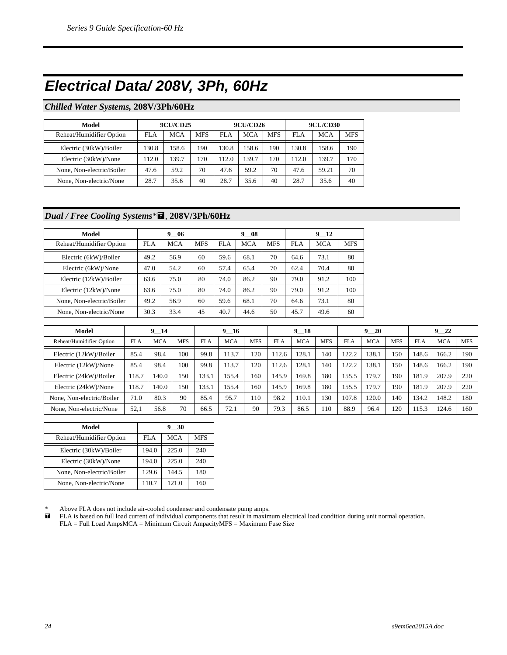### *Electrical Data/ 208V, 3Ph, 60Hz*

#### *Chilled Water Systems,* **208V/3Ph/60Hz**

| Model                     |       | <b>9CU/CD25</b> |     |       | <b>9CU/CD26</b> |            | <b>9CU/CD30</b> |            |            |  |
|---------------------------|-------|-----------------|-----|-------|-----------------|------------|-----------------|------------|------------|--|
| Reheat/Humidifier Option  | FLA   | <b>MCA</b>      | MFS | FLA   | <b>MCA</b>      | <b>MFS</b> | FLA             | <b>MCA</b> | <b>MFS</b> |  |
| Electric (30kW)/Boiler    | 130.8 | 158.6           | 190 | 130.8 | 158.6           | 190        | 130.8           | 158.6      | 190        |  |
| Electric (30kW)/None      | 112.0 | 139.7           | 170 | 112.0 | 139.7           | 170        | 112.0           | 139.7      | 170        |  |
| None, Non-electric/Boiler | 47.6  | 59.2            | 70  | 47.6  | 59.2            | 70         | 47.6            | 59.21      | 70         |  |
| None, Non-electric/None   | 28.7  | 35.6            | 40  | 28.7  | 35.6            | 40         | 28.7            | 35.6       | 40         |  |

#### *Dual / Free Cooling Systems*\* , **208V/3Ph/60Hz**

| Model                     |      | 9 06       |            |      | 9 08       |            | 9 12 |            |            |  |
|---------------------------|------|------------|------------|------|------------|------------|------|------------|------------|--|
| Reheat/Humidifier Option  | FLA  | <b>MCA</b> | <b>MFS</b> | FLA  | <b>MCA</b> | <b>MFS</b> | FLA  | <b>MCA</b> | <b>MFS</b> |  |
| Electric (6kW)/Boiler     | 49.2 | 56.9       | 60         | 59.6 | 68.1       | 70         | 64.6 | 73.1       | 80         |  |
| Electric (6kW)/None       | 47.0 | 54.2       | 60         | 57.4 | 65.4       | 70         | 62.4 | 70.4       | 80         |  |
| Electric (12kW)/Boiler    | 63.6 | 75.0       | 80         | 74.0 | 86.2       | 90         | 79.0 | 91.2       | 100        |  |
| Electric (12kW)/None      | 63.6 | 75.0       | 80         | 74.0 | 86.2       | 90         | 79.0 | 91.2       | 100        |  |
| None, Non-electric/Boiler | 49.2 | 56.9       | 60         | 59.6 | 68.1       | 70         | 64.6 | 73.1       | 80         |  |
| None, Non-electric/None   | 30.3 | 33.4       | 45         | 40.7 | 44.6       | 50         | 45.7 | 49.6       | 60         |  |

| Model                     |            | $9 - 14$   |            |            | $9 - 16$   |            |            | $9 - 18$   |            |            | $9 - 20$   |            |            | $\overline{\phantom{1}}^{22}$<br>9. |            |
|---------------------------|------------|------------|------------|------------|------------|------------|------------|------------|------------|------------|------------|------------|------------|-------------------------------------|------------|
| Reheat/Humidifier Option  | <b>FLA</b> | <b>MCA</b> | <b>MFS</b> | <b>FLA</b> | <b>MCA</b> | <b>MFS</b> | <b>FLA</b> | <b>MCA</b> | <b>MFS</b> | <b>FLA</b> | <b>MCA</b> | <b>MFS</b> | <b>FLA</b> | <b>MCA</b>                          | <b>MFS</b> |
| Electric (12kW)/Boiler    | 85.4       | 98.4       | 100        | 99.8       | 113.7      | 120        | 12.6       | 128.1      | 140        | 122.2      | 138.1      | 150        | 148.6      | 166.2                               | 190        |
| Electric (12kW)/None      | 85.4       | 98.4       | 100        | 99.8       | 113.7      | 120        | 12.6       | 128.       | 140        | 122.2      | 138.1      | 150        | 148.6      | 166.2                               | 190        |
| Electric (24kW)/Boiler    | 118.7      | 140.0      | .50        | 133.1      | 155.4      | 160        | 145.9      | 169.8      | 180        | 155.5      | 179.7      | 190        | 181.9      | 207.9                               | 220        |
| Electric (24kW)/None      | 118.7      | 140.0      | .50        | 133.       | 155.4      | 160        | 145.9      | 169.8      | 180        | 155.5      | 179.7      | 190        | 181.9      | 207.9                               | 220        |
| None, Non-electric/Boiler | 71.0       | 80.3       | 90         | 85.4       | 95.7       | 110        | 98.2       | 110.1      | 130        | 107.8      | 120.0      | 140        | 134.2      | 148.2                               | 180        |
| None, Non-electric/None   | 52,1       | 56.8       | 70         | 66.5       | 72.1       | 90         | 79.3       | 86.5       | 110        | 88.9       | 96.4       | 120        | 115.3      | 124.6                               | 160        |

| Model                     |       | 9 30       |            |
|---------------------------|-------|------------|------------|
| Reheat/Humidifier Option  | FLA   | <b>MCA</b> | <b>MFS</b> |
| Electric (30kW)/Boiler    | 194.0 | 225.0      | 240        |
| Electric (30kW)/None      | 194.0 | 225.0      | 240        |
| None, Non-electric/Boiler | 129.6 | 144.5      | 180        |
| None, Non-electric/None   | 110.7 | 121.0      | 160        |

\* Above FLA does not include air-cooled condenser and condensate pump amps.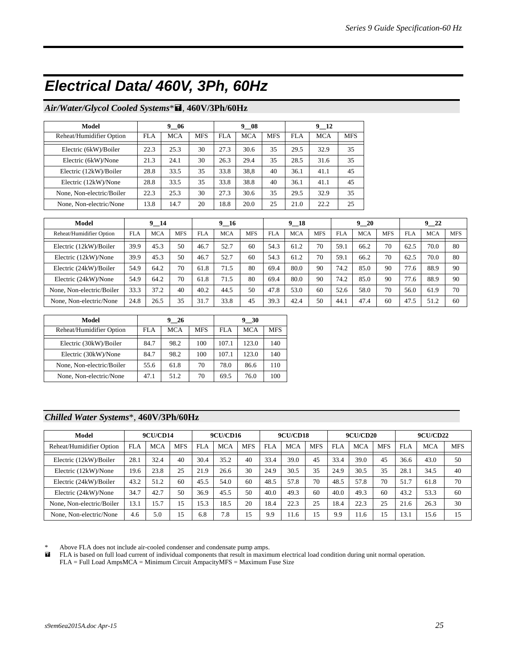### *Electrical Data/ 460V, 3Ph, 60Hz*

#### *Air/Water/Glycol Cooled Systems*\* , **460V/3Ph/60Hz**

| Model                     |      | 9 06       |            |      | 9 08       |            | 9 12 |            |            |  |
|---------------------------|------|------------|------------|------|------------|------------|------|------------|------------|--|
| Reheat/Humidifier Option  | FLA  | <b>MCA</b> | <b>MFS</b> | FLA  | <b>MCA</b> | <b>MFS</b> | FLA  | <b>MCA</b> | <b>MFS</b> |  |
| Electric (6kW)/Boiler     | 22.3 | 25.3       | 30         | 27.3 | 30.6       | 35         | 29.5 | 32.9       | 35         |  |
| Electric (6kW)/None       | 21.3 | 24.1       | 30         | 26.3 | 29.4       | 35         | 28.5 | 31.6       | 35         |  |
| Electric (12kW)/Boiler    | 28.8 | 33.5       | 35         | 33.8 | 38,8       | 40         | 36.1 | 41.1       | 45         |  |
| Electric (12kW)/None      | 28.8 | 33.5       | 35         | 33.8 | 38.8       | 40         | 36.1 | 41.1       | 45         |  |
| None, Non-electric/Boiler | 22.3 | 25.3       | 30         | 27.3 | 30.6       | 35         | 29.5 | 32.9       | 35         |  |
| None, Non-electric/None   | 13.8 | 14.7       | 20         | 18.8 | 20.0       | 25         | 21.0 | 22.2       | 25         |  |

| Model                     |            | $9 - 14$   |            |            | $9 - 16$   |            |            | 9 18       |            |            | 920        |            | $9 - 22$   |            |            |
|---------------------------|------------|------------|------------|------------|------------|------------|------------|------------|------------|------------|------------|------------|------------|------------|------------|
| Reheat/Humidifier Option  | <b>FLA</b> | <b>MCA</b> | <b>MFS</b> | <b>FLA</b> | <b>MCA</b> | <b>MFS</b> | <b>FLA</b> | <b>MCA</b> | <b>MFS</b> | <b>FLA</b> | <b>MCA</b> | <b>MFS</b> | <b>FLA</b> | <b>MCA</b> | <b>MFS</b> |
| Electric (12kW)/Boiler    | 39.9       | 45.3       | 50         | 46.7       | 52.7       | 60         | 54.3       | 61.2       | 70         | 59.1       | 66.2       | 70         | 62.5       | 70.0       | 80         |
| Electric (12kW)/None      | 39.9       | 45.3       | 50         | 46.7       | 52.7       | 60         | 54.3       | 61.2       | 70         | 59.1       | 66.2       | 70         | 62.5       | 70.0       | 80         |
| Electric (24kW)/Boiler    | 54.9       | 64.2       | 70         | 61.8       | 71.5       | 80         | 69.4       | 80.0       | 90         | 74.2       | 85.0       | 90         | 77.6       | 88.9       | 90         |
| Electric (24kW)/None      | 54.9       | 64.2       | 70         | 61.8       | 71.5       | 80         | 69.4       | 80.0       | 90         | 74.2       | 85.0       | 90         | 77.6       | 88.9       | 90         |
| None, Non-electric/Boiler | 33.3       | 37.2       | 40         | 40.2       | 44.5       | 50         | 47.8       | 53.0       | 60         | 52.6       | 58.0       | 70         | 56.0       | 61.9       | 70         |
| None, Non-electric/None   | 24.8       | 26.5       | 35         | 31.7       | 33.8       | 45         | 39.3       | 42.4       | 50         | 44.1       | 47.4       | 60         | 47.5       | 51.2       | 60         |

| Model                     |      | 9 26       |            |       | 9 30       |            |
|---------------------------|------|------------|------------|-------|------------|------------|
| Reheat/Humidifier Option  | FLA  | <b>MCA</b> | <b>MFS</b> | FLA   | <b>MCA</b> | <b>MFS</b> |
| Electric (30kW)/Boiler    | 84.7 | 98.2       | 100        | 107.1 | 123.0      | 140        |
| Electric (30kW)/None      | 84.7 | 98.2       | 100        | 107.1 | 123.0      | 140        |
| None, Non-electric/Boiler | 55.6 | 61.8       | 70         | 78.0  | 86.6       | 110        |
| None, Non-electric/None   | 47.1 | 51.2       | 70         | 69.5  | 76.0       | 100        |

#### *Chilled Water Systems*\*, **460V/3Ph/60Hz**

| Model                     |      | <b>9CU/CD14</b> |            |      | <b>9CU/CD16</b> |            |      | <b>9CU/CD18</b> |            |      | <b>9CU/CD20</b> |            |      | <b>9CU/CD22</b> |            |
|---------------------------|------|-----------------|------------|------|-----------------|------------|------|-----------------|------------|------|-----------------|------------|------|-----------------|------------|
| Reheat/Humidifier Option  | FLA  | <b>MCA</b>      | <b>MFS</b> | FLA  | <b>MCA</b>      | <b>MFS</b> | FLA  | <b>MCA</b>      | <b>MFS</b> | FLA  | <b>MCA</b>      | <b>MFS</b> | FLA  | <b>MCA</b>      | <b>MFS</b> |
| Electric (12kW)/Boiler    | 28.1 | 32.4            | 40         | 30.4 | 35.2            | 40         | 33.4 | 39.0            | 45         | 33.4 | 39.0            | 45         | 36.6 | 43.0            | 50         |
| Electric (12kW)/None      | 19.6 | 23.8            | 25         | 21.9 | 26.6            | 30         | 24.9 | 30.5            | 35         | 24.9 | 30.5            | 35         | 28.1 | 34.5            | 40         |
| Electric (24kW)/Boiler    | 43.2 | 51.2            | 60         | 45.5 | 54.0            | 60         | 48.5 | 57.8            | 70         | 48.5 | 57.8            | 70         | 51.7 | 61.8            | 70         |
| Electric (24kW)/None      | 34.7 | 42.7            | 50         | 36.9 | 45.5            | 50         | 40.0 | 49.3            | 60         | 40.0 | 49.3            | 60         | 43.2 | 53.3            | 60         |
| None, Non-electric/Boiler | 13.1 | 15.7            | 5          | 15.3 | 18.5            | 20         | 18.4 | 22.3            | 25         | 18.4 | 22.3            | 25         | 21.6 | 26.3            | 30         |
| None, Non-electric/None   | 4.6  | 5.0             | 15         | 6.8  | 7.8             | 15         | 9.9  | 11.6            | 15         | 9.9  | 1.6             | 15         | 13.1 | 15.6            | 15         |

\* Above FLA does not include air-cooled condenser and condensate pump amps.<br> **ELA** is based on full load current of individual components that result in maxim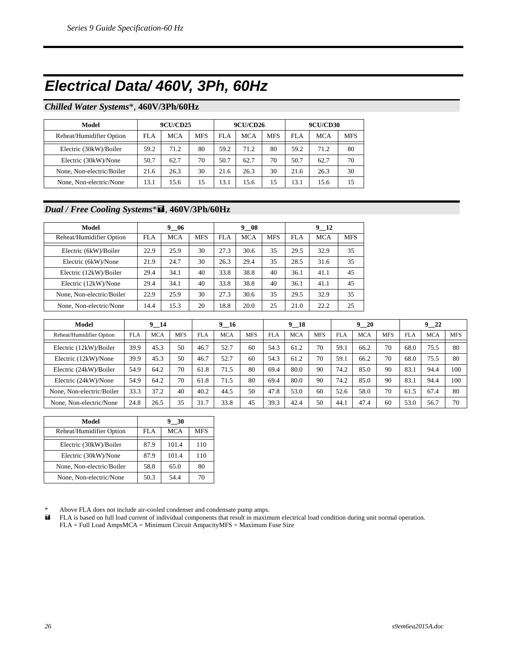### *Electrical Data/ 460V, 3Ph, 60Hz*

#### *Chilled Water Systems*\*, **460V/3Ph/60Hz**

| Model                     |      | <b>9CU/CD25</b> |            |      | <b>9CU/CD26</b> |            | <b>9CU/CD30</b> |            |            |  |
|---------------------------|------|-----------------|------------|------|-----------------|------------|-----------------|------------|------------|--|
| Reheat/Humidifier Option  | FLA  | <b>MCA</b>      | <b>MFS</b> | FLA  | <b>MCA</b>      | <b>MFS</b> | FLA             | <b>MCA</b> | <b>MFS</b> |  |
| Electric (30kW)/Boiler    | 59.2 | 71.2            | 80         | 59.2 | 71.2            | 80         | 59.2            | 71.2       | 80         |  |
| Electric (30kW)/None      | 50.7 | 62.7            | 70         | 50.7 | 62.7            | 70         | 50.7            | 62.7       | 70         |  |
| None, Non-electric/Boiler | 21.6 | 26.3            | 30         | 21.6 | 26.3            | 30         | 21.6            | 26.3       | 30         |  |
| None, Non-electric/None   | 13.1 | 15.6            | 15         | 13.1 | 15.6            | 15         | 13.1            | 15.6       | 15         |  |

#### *Dual / Free Cooling Systems*\* , **460V/3Ph/60Hz**

| Model                     |      | 9<br>-06   |            |      | 9 08       |            | 9 12 |            |            |  |
|---------------------------|------|------------|------------|------|------------|------------|------|------------|------------|--|
| Reheat/Humidifier Option  | FLA  | <b>MCA</b> | <b>MFS</b> | FLA  | <b>MCA</b> | <b>MFS</b> | FLA  | <b>MCA</b> | <b>MFS</b> |  |
| Electric (6kW)/Boiler     | 22.9 | 25.9       | 30         | 27.3 | 30.6       | 35         | 29.5 | 32.9       | 35         |  |
| Electric (6kW)/None       | 21.9 | 24.7       | 30         | 26.3 | 29.4       | 35         | 28.5 | 31.6       | 35         |  |
| Electric (12kW)/Boiler    | 29.4 | 34.1       | 40         | 33.8 | 38.8       | 40         | 36.1 | 41.1       | 45         |  |
| Electric (12kW)/None      | 29.4 | 34.1       | 40         | 33.8 | 38.8       | 40         | 36.1 | 41.1       | 45         |  |
| None, Non-electric/Boiler | 22.9 | 25.9       | 30         | 27.3 | 30.6       | 35         | 29.5 | 32.9       | 35         |  |
| None, Non-electric/None   | 14.4 | 15.3       | 20         | 18.8 | 20.0       | 25         | 21.0 | 22.2       | 25         |  |

| Model                     |            | 9 14       |            |            | 9 16       |            |            | 9 18       |            |            | 920        |            |            | 922        |            |
|---------------------------|------------|------------|------------|------------|------------|------------|------------|------------|------------|------------|------------|------------|------------|------------|------------|
| Reheat/Humidifier Option  | <b>FLA</b> | <b>MCA</b> | <b>MFS</b> | <b>FLA</b> | <b>MCA</b> | <b>MFS</b> | <b>FLA</b> | <b>MCA</b> | <b>MFS</b> | <b>FLA</b> | <b>MCA</b> | <b>MFS</b> | <b>FLA</b> | <b>MCA</b> | <b>MFS</b> |
| Electric (12kW)/Boiler    | 39.9       | 45.3       | 50         | 46.7       | 52.7       | 60         | 54.3       | 61.2       | 70         | 59.1       | 66.2       | 70         | 68.0       | 75.5       | 80         |
| Electric (12kW)/None      | 39.9       | 45.3       | 50         | 46.7       | 52.7       | 60         | 54.3       | 61.2       | 70         | 59.1       | 66.2       | 70         | 68.0       | 75.5       | 80         |
| Electric (24kW)/Boiler    | 54.9       | 64.2       | 70         | 61.8       | 71.5       | 80         | 69.4       | 80.0       | 90         | 74.2       | 85.0       | 90         | 83.1       | 94.4       | 100        |
| Electric (24kW)/None      | 54.9       | 64.2       | 70         | 61.8       | 71.5       | 80         | 69.4       | 80.0       | 90         | 74.2       | 85.0       | 90         | 83.1       | 94.4       | 100        |
| None, Non-electric/Boiler | 33.3       | 37.2       | 40         | 40.2       | 44.5       | 50         | 47.8       | 53.0       | 60         | 52.6       | 58.0       | 70         | 61.5       | 67.4       | 80         |
| None, Non-electric/None   | 24.8       | 26.5       | 35         | 31.7       | 33.8       | 45         | 39.3       | 42.4       | 50         | 44.        | 47.4       | 60         | 53.0       | 56.7       | 70         |

| Model                     | 9 30 |            |            |  |  |  |  |
|---------------------------|------|------------|------------|--|--|--|--|
| Reheat/Humidifier Option  | FLA  | <b>MCA</b> | <b>MFS</b> |  |  |  |  |
| Electric (30kW)/Boiler    | 87.9 | 101.4      | 110        |  |  |  |  |
| Electric (30kW)/None      | 87.9 | 101.4      | 110        |  |  |  |  |
| None, Non-electric/Boiler | 58.8 | 65.0       | 80         |  |  |  |  |
| None, Non-electric/None   | 50.3 | 54.4       | 70         |  |  |  |  |

\* Above FLA does not include air-cooled condenser and condensate pump amps.<br> **ELA** is based on full load current of individual components that result in maxim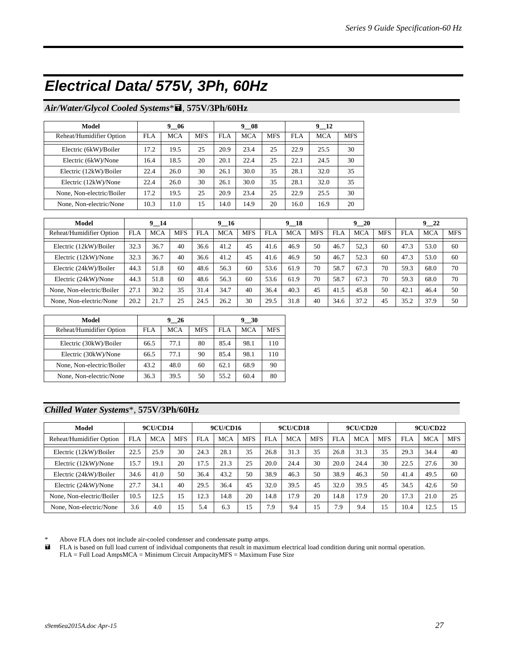### *Electrical Data/ 575V, 3Ph, 60Hz*

#### *Air/Water/Glycol Cooled Systems*\* , **575V/3Ph/60Hz**

| Model                     |      | 9 06       |            |      | 9 08       |            |      |            |            |
|---------------------------|------|------------|------------|------|------------|------------|------|------------|------------|
| Reheat/Humidifier Option  | FLA  | <b>MCA</b> | <b>MFS</b> | FLA  | <b>MCA</b> | <b>MFS</b> | FLA  | <b>MCA</b> | <b>MFS</b> |
| Electric (6kW)/Boiler     | 17.2 | 19.5       | 25         | 20.9 | 23.4       | 25         | 22.9 | 25.5       | 30         |
| Electric (6kW)/None       | 16.4 | 18.5       | 20         | 20.1 | 22.4       | 25         | 22.1 | 24.5       | 30         |
| Electric (12kW)/Boiler    | 22.4 | 26.0       | 30         | 26.1 | 30.0       | 35         | 28.1 | 32.0       | 35         |
| Electric (12kW)/None      | 22.4 | 26.0       | 30         | 26.1 | 30.0       | 35         | 28.1 | 32.0       | 35         |
| None, Non-electric/Boiler | 17.2 | 19.5       | 25         | 20.9 | 23.4       | 25         | 22.9 | 25.5       | 30         |
| None, Non-electric/None   | 10.3 | 11.0       | 15         | 14.0 | 14.9       | 20         | 16.0 | 16.9       | 20         |

| Model                     |            | $9 - 14$   |            |            | $9 - 16$   |            |            | $9 - 18$   |            |      | 920        |            |            | 922        |            |
|---------------------------|------------|------------|------------|------------|------------|------------|------------|------------|------------|------|------------|------------|------------|------------|------------|
| Reheat/Humidifier Option  | <b>FLA</b> | <b>MCA</b> | <b>MFS</b> | <b>FLA</b> | <b>MCA</b> | <b>MFS</b> | <b>FLA</b> | <b>MCA</b> | <b>MFS</b> | FLA  | <b>MCA</b> | <b>MFS</b> | <b>FLA</b> | <b>MCA</b> | <b>MFS</b> |
| Electric (12kW)/Boiler    | 32.3       | 36.7       | 40         | 36.6       | 41.2       | 45         | 41.6       | 46.9       | 50         | 46.7 | 52,3       | 60         | 47.3       | 53.0       | 60         |
| Electric (12kW)/None      | 32.3       | 36.7       | 40         | 36.6       | 41.2       | 45         | 41.6       | 46.9       | 50         | 46.7 | 52.3       | 60         | 47.3       | 53.0       | 60         |
| Electric (24kW)/Boiler    | 44.3       | 51.8       | 60         | 48.6       | 56.3       | 60         | 53.6       | 61.9       | 70         | 58.7 | 67.3       | 70         | 59.3       | 68.0       | 70         |
| Electric (24kW)/None      | 44.3       | 51.8       | 60         | 48.6       | 56.3       | 60         | 53.6       | 61.9       | 70         | 58.7 | 67.3       | 70         | 59.3       | 68.0       | 70         |
| None, Non-electric/Boiler | 27.1       | 30.2       | 35         | 31.4       | 34.7       | 40         | 36.4       | 40.3       | 45         | 41.5 | 45.8       | 50         | 42.1       | 46.4       | 50         |
| None, Non-electric/None   | 20.2       | 21.7       | 25         | 24.5       | 26.2       | 30         | 29.5       | 31.8       | 40         | 34.6 | 37.2       | 45         | 35.2       | 37.9       | 50         |

| Model                     |      | 9 26       |            | 9 30 |            |            |  |
|---------------------------|------|------------|------------|------|------------|------------|--|
| Reheat/Humidifier Option  | FLA  | <b>MCA</b> | <b>MFS</b> | FLA  | <b>MCA</b> | <b>MFS</b> |  |
| Electric (30kW)/Boiler    | 66.5 | 77.1       | 80         | 85.4 | 98.1       | 110        |  |
| Electric (30kW)/None      | 66.5 | 77.1       | 90         | 85.4 | 98.1       | 110        |  |
| None, Non-electric/Boiler | 43.2 | 48.0       | 60         | 62.1 | 68.9       | 90         |  |
| None, Non-electric/None   | 36.3 | 39.5       | 50         | 55.2 | 60.4       | 80         |  |

#### *Chilled Water Systems*\*, **575V/3Ph/60Hz**

| Model                     |            | <b>9CU/CD14</b> |            | <b>9CU/CD16</b> |            | <b>9CU/CD18</b> |            |            | <b>9CU/CD20</b> |            |                  | <b>9CU/CD22</b> |            |            |            |
|---------------------------|------------|-----------------|------------|-----------------|------------|-----------------|------------|------------|-----------------|------------|------------------|-----------------|------------|------------|------------|
| Reheat/Humidifier Option  | <b>FLA</b> | <b>MCA</b>      | <b>MFS</b> | <b>FLA</b>      | <b>MCA</b> | <b>MFS</b>      | <b>FLA</b> | <b>MCA</b> | <b>MFS</b>      | <b>FLA</b> | <b>MCA</b>       | <b>MFS</b>      | <b>FLA</b> | <b>MCA</b> | <b>MFS</b> |
| Electric (12kW)/Boiler    | 22.5       | 25.9            | 30         | 24.3            | 28.1       | 35              | 26.8       | 31.3       | 35              | 26.8       | 31.3             | 35              | 29.3       | 34.4       | 40         |
| Electric (12kW)/None      | 15.7       | 19.1            | 20         | 7.5             | 21.3       | 25              | 20.0       | 24.4       | 30              | 20.0       | 24.4             | 30              | 22.5       | 27.6       | 30         |
| Electric (24kW)/Boiler    | 34.6       | 41.0            | 50         | 36.4            | 43.2       | 50              | 38.9       | 46.3       | 50              | 38.9       | 46.3             | 50              | 41.4       | 49.5       | 60         |
| Electric (24kW)/None      | 27.7       | 34.1            | 40         | 29.5            | 36.4       | 45              | 32.0       | 39.5       | 45              | 32.0       | 39.5             | 45              | 34.5       | 42.6       | 50         |
| None, Non-electric/Boiler | 10.5       | 12.5            | 15         | 2.3             | 14.8       | 20              | 14.8       | 17.9       | 20              | 14.8       | I <sub>7.9</sub> | 20              | 17.3       | 21.0       | 25         |
| None, Non-electric/None   | 3.6        | 4.0             | 15         | 5.4             | 6.3        | 15              | 7.9        | 9.4        | 15              | 7.9        | 9.4              | 15              | 10.4       | 12.5       | 15         |

Above FLA does not include air-cooled condenser and condensate pump amps.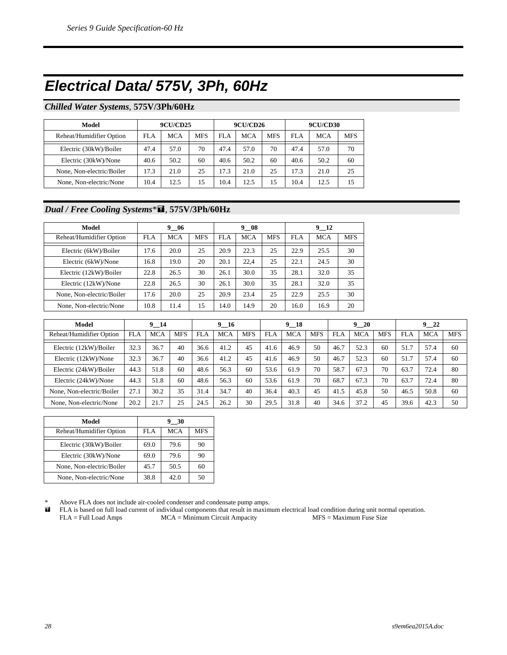### *Electrical Data/ 575V, 3Ph, 60Hz*

#### *Chilled Water Systems*, **575V/3Ph/60Hz**

| Model                     | <b>9CU/CD25</b> |            |            |      | <b>9CU/CD26</b> |            | <b>9CU/CD30</b> |      |            |  |
|---------------------------|-----------------|------------|------------|------|-----------------|------------|-----------------|------|------------|--|
| Reheat/Humidifier Option  | FLA             | <b>MCA</b> | <b>MFS</b> | FLA  | <b>MCA</b>      | <b>MFS</b> | FLA             | MCA  | <b>MFS</b> |  |
| Electric (30kW)/Boiler    | 47.4            | 57.0       | 70         | 47.4 | 57.0            | 70         | 47.4            | 57.0 | 70         |  |
| Electric (30kW)/None      | 40.6            | 50.2       | 60         | 40.6 | 50.2            | 60         | 40.6            | 50.2 | 60         |  |
| None, Non-electric/Boiler | 17.3            | 21.0       | 25         | 17.3 | 21.0            | 25         | 17.3            | 21.0 | 25         |  |
| None, Non-electric/None   | 10.4            | 12.5       | 15         | 10.4 | 12.5            | 15         | 10.4            | 12.5 | 15         |  |

#### *Dual / Free Cooling Systems*\* , **575V/3Ph/60Hz**

| Model                     | 9 06 |            |            |      | 9 08       |            | 9 12 |            |            |  |
|---------------------------|------|------------|------------|------|------------|------------|------|------------|------------|--|
| Reheat/Humidifier Option  | FLA  | <b>MCA</b> | <b>MFS</b> | FLA  | <b>MCA</b> | <b>MFS</b> | FLA  | <b>MCA</b> | <b>MFS</b> |  |
| Electric (6kW)/Boiler     | 17.6 | 20.0       | 25         | 20.9 | 22.3       | 25         | 22.9 | 25.5       | 30         |  |
| Electric (6kW)/None       | 16.8 | 19.0       | 20         | 20.1 | 22,4       | 25         | 22.1 | 24.5       | 30         |  |
| Electric (12kW)/Boiler    | 22.8 | 26.5       | 30         | 26.1 | 30.0       | 35         | 28.1 | 32.0       | 35         |  |
| Electric (12kW)/None      | 22.8 | 26.5       | 30         | 26.1 | 30.0       | 35         | 28.1 | 32.0       | 35         |  |
| None, Non-electric/Boiler | 17.6 | 20.0       | 25         | 20.9 | 23.4       | 25         | 22.9 | 25.5       | 30         |  |
| None, Non-electric/None   | 10.8 | 11.4       | 15         | 14.0 | 14.9       | 20         | 16.0 | 16.9       | 20         |  |

| Model                     |            | $9 - 14$   |            |            | 9 16       |            |            | $9 - 18$   |            |      | 920        |            |      | 922        |            |
|---------------------------|------------|------------|------------|------------|------------|------------|------------|------------|------------|------|------------|------------|------|------------|------------|
| Reheat/Humidifier Option  | <b>FLA</b> | <b>MCA</b> | <b>MFS</b> | <b>FLA</b> | <b>MCA</b> | <b>MFS</b> | <b>FLA</b> | <b>MCA</b> | <b>MFS</b> | FLA  | <b>MCA</b> | <b>MFS</b> | FLA  | <b>MCA</b> | <b>MFS</b> |
| Electric (12kW)/Boiler    | 32.3       | 36.7       | 40         | 36.6       | 41.2       | 45         | 41.6       | 46.9       | 50         | 46.7 | 52.3       | 60         | 51.7 | 57.4       | 60         |
| Electric (12kW)/None      | 32.3       | 36.7       | 40         | 36.6       | 41.2       | 45         | 41.6       | 46.9       | 50         | 46.7 | 52.3       | 60         | 51.7 | 57.4       | 60         |
| Electric (24kW)/Boiler    | 44.3       | 51.8       | 60         | 48.6       | 56.3       | 60         | 53.6       | 61.9       | 70         | 58.7 | 67.3       | 70         | 63.7 | 72.4       | 80         |
| Electric (24kW)/None      | 44.3       | 51.8       | 60         | 48.6       | 56.3       | 60         | 53.6       | 61.9       | 70         | 68.7 | 67.3       | 70         | 63.7 | 72.4       | 80         |
| None, Non-electric/Boiler | 27.1       | 30.2       | 35         | 31.4       | 34.7       | 40         | 36.4       | 40.3       | 45         | 41.5 | 45.8       | 50         | 46.5 | 50.8       | 60         |
| None, Non-electric/None   | 20.2       | 21.7       | 25         | 24.5       | 26.2       | 30         | 29.5       | 31.8       | 40         | 34.6 | 37.2       | 45         | 39.6 | 42.3       | 50         |

| Model                     | 9 30 |            |            |  |  |  |
|---------------------------|------|------------|------------|--|--|--|
| Reheat/Humidifier Option  | FLA  | <b>MCA</b> | <b>MFS</b> |  |  |  |
| Electric (30kW)/Boiler    | 69.0 | 79.6       | 90         |  |  |  |
| Electric (30kW)/None      | 69.0 | 79.6       | 90         |  |  |  |
| None, Non-electric/Boiler | 45.7 | 50.5       | 60         |  |  |  |
| None, Non-electric/None   | 38.8 | 42.0       | 50         |  |  |  |

Above FLA does not include air-cooled condenser and condensate pump amps.